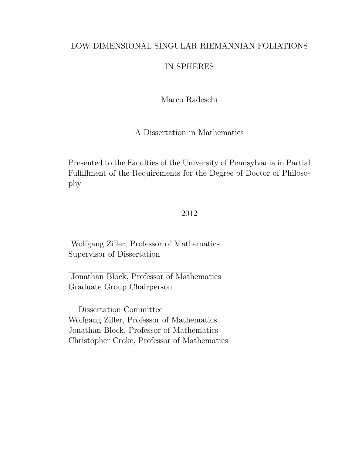### LOW DIMENSIONAL SINGULAR RIEMANNIAN FOLIATIONS

## IN SPHERES

### Marco Radeschi

A Dissertation in Mathematics

Presented to the Faculties of the University of Pennsylvania in Partial Fulfillment of the Requirements for the Degree of Doctor of Philosophy

### 2012

Wolfgang Ziller, Professor of Mathematics Supervisor of Dissertation

Jonathan Block, Professor of Mathematics Graduate Group Chairperson

Dissertation Committee Wolfgang Ziller, Professor of Mathematics Jonathan Block, Professor of Mathematics Christopher Croke, Professor of Mathematics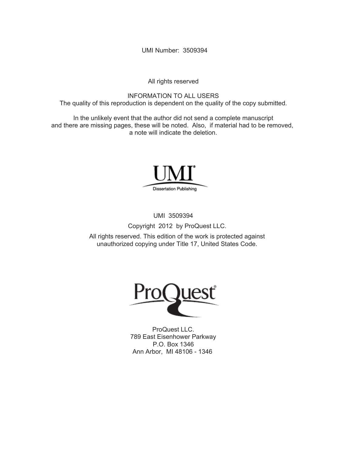UMI Number: 3509394

All rights reserved

INFORMATION TO ALL USERS The quality of this reproduction is dependent on the quality of the copy submitted.

In the unlikely event that the author did not send a complete manuscript and there are missing pages, these will be noted. Also, if material had to be removed, a note will indicate the deletion.



UMI 3509394

Copyright 2012 by ProQuest LLC.

All rights reserved. This edition of the work is protected against unauthorized copying under Title 17, United States Code.



ProQuest LLC. 789 East Eisenhower Parkway P.O. Box 1346 Ann Arbor, MI 48106 - 1346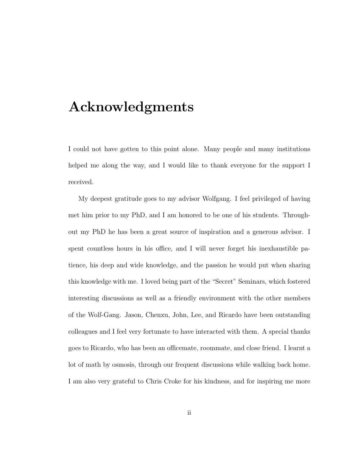# Acknowledgments

I could not have gotten to this point alone. Many people and many institutions helped me along the way, and I would like to thank everyone for the support I received.

My deepest gratitude goes to my advisor Wolfgang. I feel privileged of having met him prior to my PhD, and I am honored to be one of his students. Throughout my PhD he has been a great source of inspiration and a generous advisor. I spent countless hours in his office, and I will never forget his inexhaustible patience, his deep and wide knowledge, and the passion he would put when sharing this knowledge with me. I loved being part of the "Secret" Seminars, which fostered interesting discussions as well as a friendly environment with the other members of the Wolf-Gang. Jason, Chenxu, John, Lee, and Ricardo have been outstanding colleagues and I feel very fortunate to have interacted with them. A special thanks goes to Ricardo, who has been an officemate, roommate, and close friend. I learnt a lot of math by osmosis, through our frequent discussions while walking back home. I am also very grateful to Chris Croke for his kindness, and for inspiring me more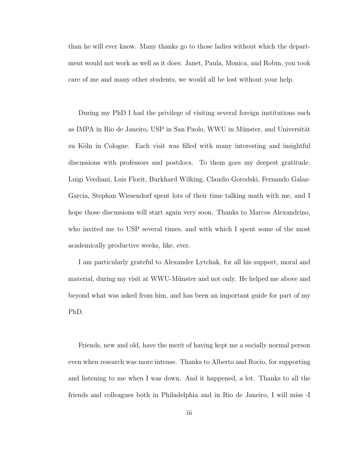than he will ever know. Many thanks go to those ladies without which the department would not work as well as it does: Janet, Paula, Monica, and Robin, you took care of me and many other students, we would all be lost without your help.

During my PhD I had the privilege of visiting several foreign institutions such as IMPA in Rio de Janeiro, USP in San Paolo, WWU in Münster, and Universität zu Köln in Cologne. Each visit was filled with many interesting and insightful discussions with professors and postdocs. To them goes my deepest gratitude. Luigi Verdiani, Luis Florit, Burkhard Wilking, Claudio Gorodski, Fernando Galaz-Garcia, Stephan Wiesendorf spent lots of their time talking math with me, and I hope those discussions will start again very soon. Thanks to Marcos Alexandrino, who invited me to USP several times, and with which I spent some of the most academically productive weeks, like, ever.

I am particularly grateful to Alexander Lytchak, for all his support, moral and material, during my visit at WWU-Münster and not only. He helped me above and beyond what was asked from him, and has been an important guide for part of my PhD.

Friends, new and old, have the merit of having kept me a socially normal person even when research was more intense. Thanks to Alberto and Rocio, for supporting and listening to me when I was down. And it happened, a lot. Thanks to all the friends and colleagues both in Philadelphia and in Rio de Janeiro, I will miss -I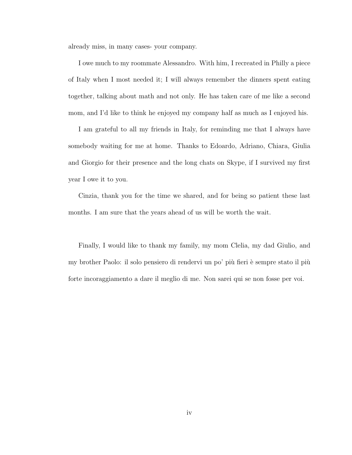already miss, in many cases- your company.

I owe much to my roommate Alessandro. With him, I recreated in Philly a piece of Italy when I most needed it; I will always remember the dinners spent eating together, talking about math and not only. He has taken care of me like a second mom, and I'd like to think he enjoyed my company half as much as I enjoyed his.

I am grateful to all my friends in Italy, for reminding me that I always have somebody waiting for me at home. Thanks to Edoardo, Adriano, Chiara, Giulia and Giorgio for their presence and the long chats on Skype, if I survived my first year I owe it to you.

Cinzia, thank you for the time we shared, and for being so patient these last months. I am sure that the years ahead of us will be worth the wait.

Finally, I would like to thank my family, my mom Clelia, my dad Giulio, and my brother Paolo: il solo pensiero di rendervi un po' più fieri è sempre stato il più forte incoraggiamento a dare il meglio di me. Non sarei qui se non fosse per voi.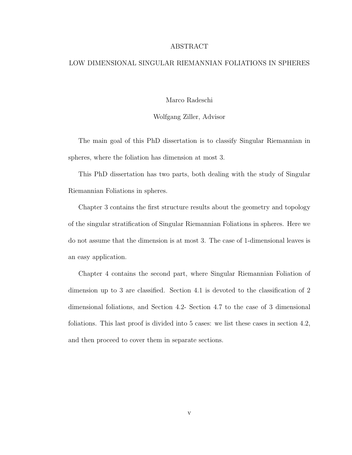#### ABSTRACT

#### LOW DIMENSIONAL SINGULAR RIEMANNIAN FOLIATIONS IN SPHERES

Marco Radeschi

Wolfgang Ziller, Advisor

The main goal of this PhD dissertation is to classify Singular Riemannian in spheres, where the foliation has dimension at most 3.

This PhD dissertation has two parts, both dealing with the study of Singular Riemannian Foliations in spheres.

Chapter 3 contains the first structure results about the geometry and topology of the singular stratification of Singular Riemannian Foliations in spheres. Here we do not assume that the dimension is at most 3. The case of 1-dimensional leaves is an easy application.

Chapter 4 contains the second part, where Singular Riemannian Foliation of dimension up to 3 are classified. Section 4.1 is devoted to the classification of 2 dimensional foliations, and Section 4.2- Section 4.7 to the case of 3 dimensional foliations. This last proof is divided into 5 cases: we list these cases in section 4.2, and then proceed to cover them in separate sections.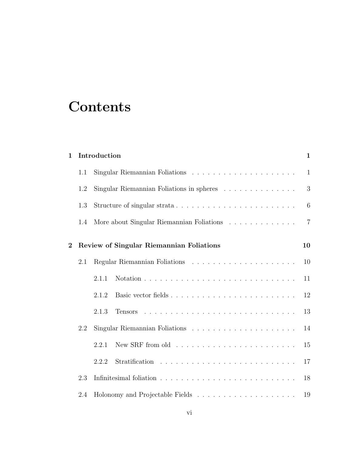# **Contents**

| $\mathbf{1}$   |     | Introduction                                                                      | $\mathbf{1}$   |
|----------------|-----|-----------------------------------------------------------------------------------|----------------|
|                | 1.1 | Singular Riemannian Foliations $\ldots \ldots \ldots \ldots \ldots \ldots \ldots$ | $\mathbf{1}$   |
|                | 1.2 | Singular Riemannian Foliations in spheres                                         | 3              |
|                | 1.3 |                                                                                   | 6              |
|                | 1.4 | More about Singular Riemannian Foliations                                         | $\overline{7}$ |
| $\overline{2}$ |     | Review of Singular Riemannian Foliations                                          | 10             |
|                | 2.1 |                                                                                   | 10             |
|                |     | 2.1.1                                                                             | 11             |
|                |     | 2.1.2                                                                             | 12             |
|                |     | 2.1.3                                                                             | 13             |
|                | 2.2 |                                                                                   | 14             |
|                |     | 2.2.1                                                                             | 15             |
|                |     | 2.2.2                                                                             | 17             |
|                | 2.3 |                                                                                   | 18             |
|                | 2.4 |                                                                                   | 19             |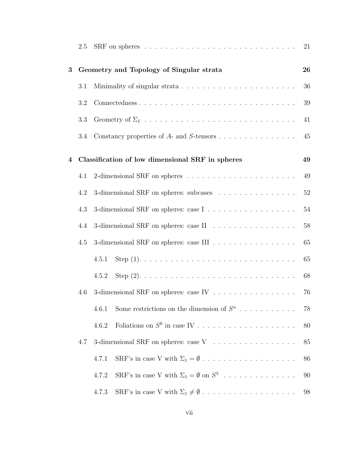|   | 2.5 |                                                                            | 21 |
|---|-----|----------------------------------------------------------------------------|----|
| 3 |     | Geometry and Topology of Singular strata                                   | 26 |
|   | 3.1 |                                                                            | 36 |
|   | 3.2 | Connectedness                                                              | 39 |
|   | 3.3 |                                                                            | 41 |
|   | 3.4 |                                                                            | 45 |
| 4 |     | Classification of low dimensional SRF in spheres                           | 49 |
|   | 4.1 |                                                                            | 49 |
|   | 4.2 | 3-dimensional SRF on spheres: subcases                                     | 52 |
|   | 4.3 |                                                                            | 54 |
|   | 4.4 | 3-dimensional SRF on spheres: case II                                      | 58 |
|   | 4.5 | 3-dimensional SRF on spheres: case III                                     | 65 |
|   |     | 4.5.1                                                                      | 65 |
|   |     | 4.5.2                                                                      | 68 |
|   | 4.6 | 3-dimensional SRF on spheres: case IV $\ldots \ldots \ldots \ldots \ldots$ | 76 |
|   |     | Some restrictions on the dimension of $S^n$<br>4.6.1                       | 78 |
|   |     | 4.6.2                                                                      | 80 |
|   | 4.7 | 3-dimensional SRF on spheres: case V                                       | 85 |
|   |     | 4.7.1                                                                      | 86 |
|   |     | SRF's in case V with $\Sigma_1 = \emptyset$ on $S^5$<br>4.7.2              | 90 |
|   |     | 4.7.3                                                                      | 98 |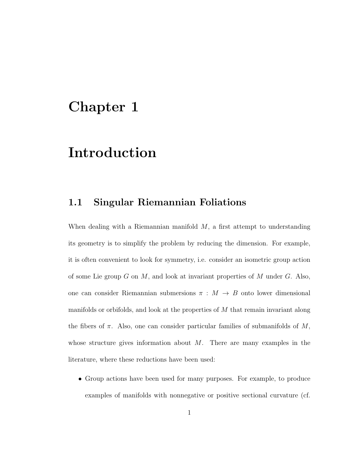## Chapter 1

# Introduction

### 1.1 Singular Riemannian Foliations

When dealing with a Riemannian manifold  $M$ , a first attempt to understanding its geometry is to simplify the problem by reducing the dimension. For example, it is often convenient to look for symmetry, i.e. consider an isometric group action of some Lie group  $G$  on  $M$ , and look at invariant properties of  $M$  under  $G$ . Also, one can consider Riemannian submersions  $\pi : M \to B$  onto lower dimensional manifolds or orbifolds, and look at the properties of M that remain invariant along the fibers of  $\pi$ . Also, one can consider particular families of submanifolds of M, whose structure gives information about  $M$ . There are many examples in the literature, where these reductions have been used:

• Group actions have been used for many purposes. For example, to produce examples of manifolds with nonnegative or positive sectional curvature (cf.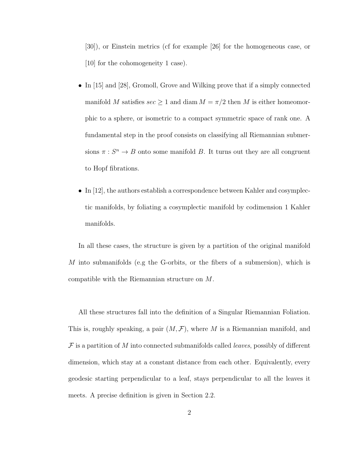[30]), or Einstein metrics (cf for example [26] for the homogeneous case, or [10] for the cohomogeneity 1 case).

- In [15] and [28], Gromoll, Grove and Wilking prove that if a simply connected manifold M satisfies  $\sec \geq 1$  and diam  $M = \pi/2$  then M is either homeomorphic to a sphere, or isometric to a compact symmetric space of rank one. A fundamental step in the proof consists on classifying all Riemannian submersions  $\pi: S^n \to B$  onto some manifold B. It turns out they are all congruent to Hopf fibrations.
- In [12], the authors establish a correspondence between Kahler and cosymplectic manifolds, by foliating a cosymplectic manifold by codimension 1 Kahler manifolds.

In all these cases, the structure is given by a partition of the original manifold M into submanifolds (e.g the G-orbits, or the fibers of a submersion), which is compatible with the Riemannian structure on M.

All these structures fall into the definition of a Singular Riemannian Foliation. This is, roughly speaking, a pair  $(M, \mathcal{F})$ , where M is a Riemannian manifold, and  $\mathcal F$  is a partition of M into connected submanifolds called *leaves*, possibly of different dimension, which stay at a constant distance from each other. Equivalently, every geodesic starting perpendicular to a leaf, stays perpendicular to all the leaves it meets. A precise definition is given in Section 2.2.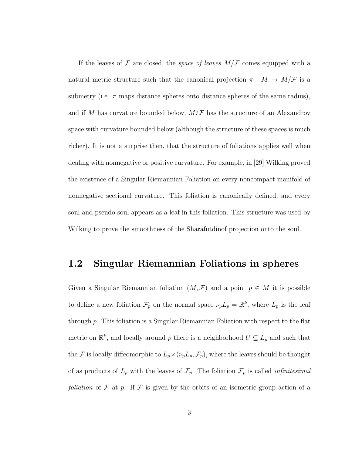If the leaves of  $\mathcal F$  are closed, the *space of leaves*  $M/\mathcal F$  comes equipped with a natural metric structure such that the canonical projection  $\pi : M \to M/\mathcal{F}$  is a submetry (i.e.  $\pi$  maps distance spheres onto distance spheres of the same radius), and if M has curvature bounded below,  $M/F$  has the structure of an Alexandrov space with curvature bounded below (although the structure of these spaces is much richer). It is not a surprise then, that the structure of foliations applies well when dealing with nonnegative or positive curvature. For example, in [29] Wilking proved the existence of a Singular Riemannian Foliation on every noncompact manifold of nonnegative sectional curvature. This foliation is canonically defined, and every soul and pseudo-soul appears as a leaf in this foliation. This structure was used by Wilking to prove the smoothness of the Sharafutdinof projection onto the soul.

### 1.2 Singular Riemannian Foliations in spheres

Given a Singular Riemannian foliation  $(M, \mathcal{F})$  and a point  $p \in M$  it is possible to define a new foliation  $\mathcal{F}_p$  on the normal space  $\nu_p L_p = \mathbb{R}^k$ , where  $L_p$  is the leaf through p. This foliation is a Singular Riemannian Foliation with respect to the flat metric on  $\mathbb{R}^k$ , and locally around p there is a neighborhood  $U \subseteq L_p$  and such that the F is locally diffeomorphic to  $L_p \times (\nu_p L_p, \mathcal{F}_p)$ , where the leaves should be thought of as products of  $L_p$  with the leaves of  $\mathcal{F}_p$ . The foliation  $\mathcal{F}_p$  is called *infinitesimal* foliation of  $\mathcal F$  at  $p$ . If  $\mathcal F$  is given by the orbits of an isometric group action of a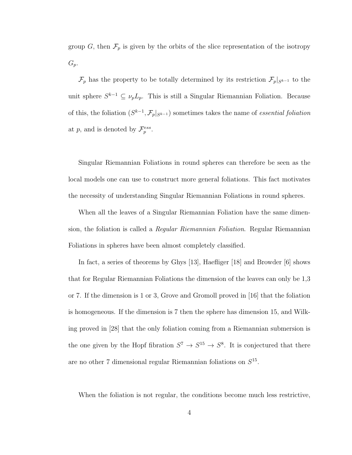group G, then  $\mathcal{F}_p$  is given by the orbits of the slice representation of the isotropy  $G_p$ .

 $\mathcal{F}_p$  has the property to be totally determined by its restriction  $\mathcal{F}_p|_{S^{k-1}}$  to the unit sphere  $S^{k-1} \subseteq \nu_p L_p$ . This is still a Singular Riemannian Foliation. Because of this, the foliation  $(S^{k-1}, \mathcal{F}_p|_{S^{k-1}})$  sometimes takes the name of *essential foliation* at p, and is denoted by  $\mathcal{F}_{p}^{ess}$ .

Singular Riemannian Foliations in round spheres can therefore be seen as the local models one can use to construct more general foliations. This fact motivates the necessity of understanding Singular Riemannian Foliations in round spheres.

When all the leaves of a Singular Riemannian Foliation have the same dimension, the foliation is called a Regular Riemannian Foliation. Regular Riemannian Foliations in spheres have been almost completely classified.

In fact, a series of theorems by Ghys [13], Haefliger [18] and Browder [6] shows that for Regular Riemannian Foliations the dimension of the leaves can only be 1,3 or 7. If the dimension is 1 or 3, Grove and Gromoll proved in [16] that the foliation is homogeneous. If the dimension is 7 then the sphere has dimension 15, and Wilking proved in [28] that the only foliation coming from a Riemannian submersion is the one given by the Hopf fibration  $S^7 \to S^{15} \to S^8$ . It is conjectured that there are no other 7 dimensional regular Riemannian foliations on  $S^{15}$ .

When the foliation is not regular, the conditions become much less restrictive,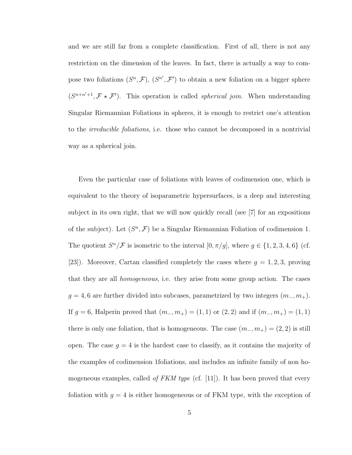and we are still far from a complete classification. First of all, there is not any restriction on the dimension of the leaves. In fact, there is actually a way to compose two foliations  $(S^n, \mathcal{F})$ ,  $(S^{n'}, \mathcal{F}')$  to obtain a new foliation on a bigger sphere  $(S^{n+n'+1}, \mathcal{F} \star \mathcal{F}')$ . This operation is called *spherical join*. When understanding Singular Riemannian Foliations in spheres, it is enough to restrict one's attention to the irreducible foliations, i.e. those who cannot be decomposed in a nontrivial way as a spherical join.

Even the particular case of foliations with leaves of codimension one, which is equivalent to the theory of isoparametric hypersurfaces, is a deep and interesting subject in its own right, that we will now quickly recall (see [7] for an expositions of the subject). Let  $(S^n, \mathcal{F})$  be a Singular Riemannian Foliation of codimension 1. The quotient  $S^n/\mathcal{F}$  is isometric to the interval  $[0, \pi/g]$ , where  $g \in \{1, 2, 3, 4, 6\}$  (cf. [23]). Moreover, Cartan classified completely the cases where  $g = 1, 2, 3$ , proving that they are all homogeneous, i.e. they arise from some group action. The cases  $g = 4, 6$  are further divided into subcases, parametrized by two integers  $(m_-, m_+).$ If  $g = 6$ , Halperin proved that  $(m_-, m_+) = (1, 1)$  or  $(2, 2)$  and if  $(m_-, m_+) = (1, 1)$ there is only one foliation, that is homogeneous. The case  $(m_-, m_+) = (2, 2)$  is still open. The case  $g = 4$  is the hardest case to classify, as it contains the majority of the examples of codimension 1foliations, and includes an infinite family of non homogeneous examples, called *of FKM type* (cf. [11]). It has been proved that every foliation with  $g = 4$  is either homogeneous or of FKM type, with the exception of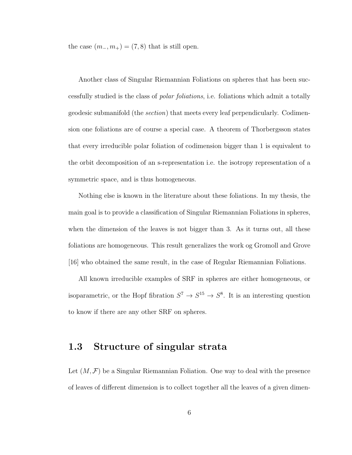the case  $(m_-, m_+) = (7, 8)$  that is still open.

Another class of Singular Riemannian Foliations on spheres that has been successfully studied is the class of polar foliations, i.e. foliations which admit a totally geodesic submanifold (the section) that meets every leaf perpendicularly. Codimension one foliations are of course a special case. A theorem of Thorbergsson states that every irreducible polar foliation of codimension bigger than 1 is equivalent to the orbit decomposition of an s-representation i.e. the isotropy representation of a symmetric space, and is thus homogeneous.

Nothing else is known in the literature about these foliations. In my thesis, the main goal is to provide a classification of Singular Riemannian Foliations in spheres, when the dimension of the leaves is not bigger than 3. As it turns out, all these foliations are homogeneous. This result generalizes the work og Gromoll and Grove [16] who obtained the same result, in the case of Regular Riemannian Foliations.

All known irreducible examples of SRF in spheres are either homogeneous, or isoparametric, or the Hopf fibration  $S^7 \to S^{15} \to S^8$ . It is an interesting question to know if there are any other SRF on spheres.

## 1.3 Structure of singular strata

Let  $(M, \mathcal{F})$  be a Singular Riemannian Foliation. One way to deal with the presence of leaves of different dimension is to collect together all the leaves of a given dimen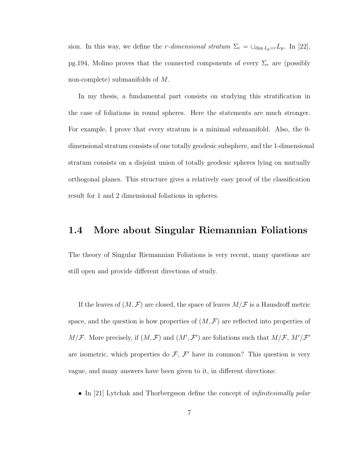sion. In this way, we define the r-dimensional stratum  $\Sigma_r = \bigcup_{\dim L_p = r} L_p$ . In [22], pg.194, Molino proves that the connected components of every  $\Sigma_r$  are (possibly non-complete) submanifolds of M.

In my thesis, a fundamental part consists on studying this stratification in the case of foliations in round spheres. Here the statements are much stronger. For example, I prove that every stratum is a minimal submanifold. Also, the 0 dimensional stratum consists of one totally geodesic subsphere, and the 1-dimensional stratum consists on a disjoint union of totally geodesic spheres lying on mutually orthogonal planes. This structure gives a relatively easy proof of the classification result for 1 and 2 dimensional foliations in spheres.

## 1.4 More about Singular Riemannian Foliations

The theory of Singular Riemannian Foliations is very recent, many questions are still open and provide different directions of study.

If the leaves of  $(M, \mathcal{F})$  are closed, the space of leaves  $M/\mathcal{F}$  is a Hausdroff metric space, and the question is how properties of  $(M, \mathcal{F})$  are reflected into properties of  $M/\mathcal{F}$ . More precisely, if  $(M,\mathcal{F})$  and  $(M',\mathcal{F}')$  are foliations such that  $M/\mathcal{F}$ ,  $M'/\mathcal{F}'$ are isometric, which properties do  $\mathcal{F}, \mathcal{F}'$  have in common? This question is very vague, and many answers have been given to it, in different directions:

• In [21] Lytchak and Thorbergsson define the concept of *infinitesimally polar*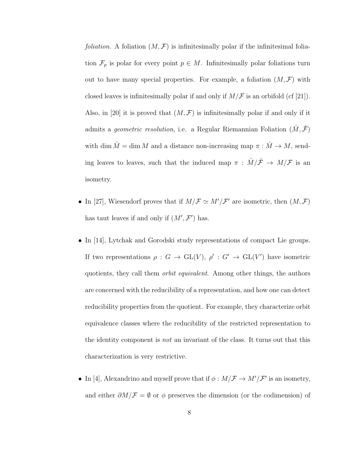*foliation.* A foliation  $(M, \mathcal{F})$  is infinitesimally polar if the infinitesimal foliation  $\mathcal{F}_p$  is polar for every point  $p \in M$ . Infinitesimally polar foliations turn out to have many special properties. For example, a foliation  $(M, \mathcal{F})$  with closed leaves is infinitesimally polar if and only if  $M/F$  is an orbifold (cf [21]). Also, in [20] it is proved that  $(M, \mathcal{F})$  is infinitesimally polar if and only if it admits a *geometric resolution*, i.e. a Regular Riemannian Foliation  $(\hat{M}, \hat{\mathcal{F}})$ with dim  $\hat{M} = \dim M$  and a distance non-increasing map  $\pi : \hat{M} \to M$ , sending leaves to leaves, such that the induced map  $\pi$  :  $\hat{M}/\hat{\mathcal{F}} \rightarrow M/\mathcal{F}$  is an isometry.

- In [27], Wiesendorf proves that if  $M/F \simeq M'/F'$  are isometric, then  $(M, \mathcal{F})$ has taut leaves if and only if  $(M', \mathcal{F}')$  has.
- In [14], Lytchak and Gorodski study representations of compact Lie groups. If two representations  $\rho: G \to \text{GL}(V)$ ,  $\rho': G' \to \text{GL}(V')$  have isometric quotients, they call them orbit equivalent. Among other things, the authors are concerned with the reducibility of a representation, and how one can detect reducibility properties from the quotient. For example, they characterize orbit equivalence classes where the reducibility of the restricted representation to the identity component is not an invariant of the class. It turns out that this characterization is very restrictive.
- In [4], Alexandrino and myself prove that if  $\phi : M/\mathcal{F} \to M'/\mathcal{F}'$  is an isometry, and either  $\partial M/\mathcal{F} = \emptyset$  or  $\phi$  preserves the dimension (or the codimension) of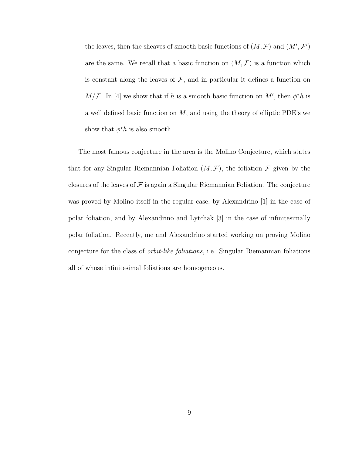the leaves, then the sheaves of smooth basic functions of  $(M, \mathcal{F})$  and  $(M', \mathcal{F}')$ are the same. We recall that a basic function on  $(M, \mathcal{F})$  is a function which is constant along the leaves of  $\mathcal{F}$ , and in particular it defines a function on  $M/F$ . In [4] we show that if h is a smooth basic function on M', then  $\phi^*h$  is a well defined basic function on  $M$ , and using the theory of elliptic PDE's we show that  $\phi^*h$  is also smooth.

The most famous conjecture in the area is the Molino Conjecture, which states that for any Singular Riemannian Foliation  $(M, \mathcal{F})$ , the foliation  $\overline{\mathcal{F}}$  given by the closures of the leaves of  $\mathcal F$  is again a Singular Riemannian Foliation. The conjecture was proved by Molino itself in the regular case, by Alexandrino [1] in the case of polar foliation, and by Alexandrino and Lytchak [3] in the case of infinitesimally polar foliation. Recently, me and Alexandrino started working on proving Molino conjecture for the class of orbit-like foliations, i.e. Singular Riemannian foliations all of whose infinitesimal foliations are homogeneous.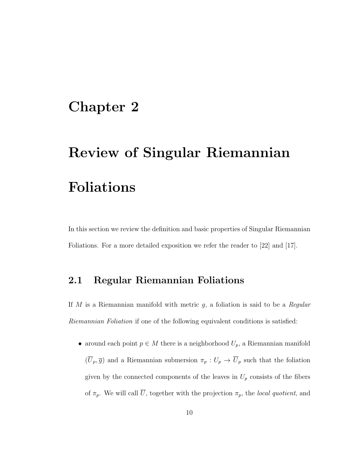## Chapter 2

# Review of Singular Riemannian Foliations

In this section we review the definition and basic properties of Singular Riemannian Foliations. For a more detailed exposition we refer the reader to [22] and [17].

## 2.1 Regular Riemannian Foliations

If M is a Riemannian manifold with metric  $g$ , a foliation is said to be a Regular Riemannian Foliation if one of the following equivalent conditions is satisfied:

• around each point  $p \in M$  there is a neighborhood  $U_p$ , a Riemannian manifold  $(\overline{U}_p, \overline{g})$  and a Riemannian submersion  $\pi_p : U_p \to \overline{U}_p$  such that the foliation given by the connected components of the leaves in  $U_p$  consists of the fibers of  $\pi_p$ . We will call  $\overline{U}$ , together with the projection  $\pi_p$ , the *local quotient*, and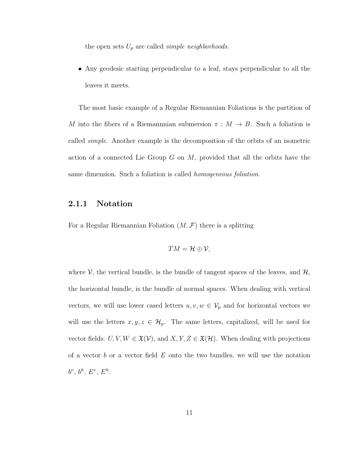the open sets  $U_p$  are called *simple neighborhoods*.

• Any geodesic starting perpendicular to a leaf, stays perpendicular to all the leaves it meets.

The most basic example of a Regular Riemannian Foliations is the partition of M into the fibers of a Riemannian submersion  $\pi : M \to B$ . Such a foliation is called simple. Another example is the decomposition of the orbits of an isometric action of a connected Lie Group  $G$  on  $M$ , provided that all the orbits have the same dimension. Such a foliation is called homogeneous foliation.

### 2.1.1 Notation

For a Regular Riemannian Foliation  $(M, \mathcal{F})$  there is a splitting

$$
TM=\mathcal{H}\oplus\mathcal{V},
$$

where  $V$ , the vertical bundle, is the bundle of tangent spaces of the leaves, and  $H$ , the horizontal bundle, is the bundle of normal spaces. When dealing with vertical vectors, we will use lower cased letters  $u, v, w \in V_p$  and for horizontal vectors we will use the letters  $x, y, z \in \mathcal{H}_p$ . The same letters, capitalized, will be used for vector fields:  $U, V, W \in \mathfrak{X}(V)$ , and  $X, Y, Z \in \mathfrak{X}(\mathcal{H})$ . When dealing with projections of a vector b or a vector field  $E$  onto the two bundles, we will use the notation  $b^v, b^h, E^v, E^h.$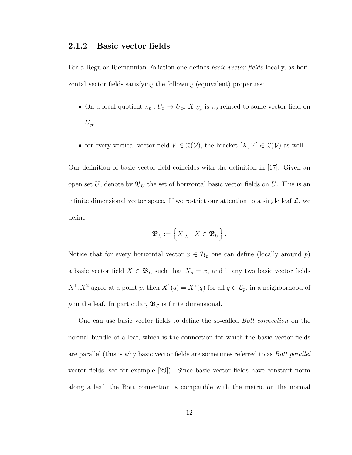### 2.1.2 Basic vector fields

For a Regular Riemannian Foliation one defines basic vector fields locally, as horizontal vector fields satisfying the following (equivalent) properties:

- On a local quotient  $\pi_p: U_p \to \overline{U}_p$ ,  $X|_{U_p}$  is  $\pi_p$ -related to some vector field on  $\overline{U}_p$ .
- for every vertical vector field  $V \in \mathfrak{X}(V)$ , the bracket  $[X, V] \in \mathfrak{X}(V)$  as well.

Our definition of basic vector field coincides with the definition in [17]. Given an open set U, denote by  $\mathfrak{B}_U$  the set of horizontal basic vector fields on U. This is an infinite dimensional vector space. If we restrict our attention to a single leaf  $\mathcal{L}$ , we define

$$
\mathfrak{B}_{\mathcal{L}}:=\left\{X|_{\mathcal{L}}\,\middle|\, X\in\mathfrak{B}_U\right\}.
$$

Notice that for every horizontal vector  $x \in \mathcal{H}_p$  one can define (locally around p) a basic vector field  $X \in \mathfrak{B}_{\mathcal{L}}$  such that  $X_p = x$ , and if any two basic vector fields  $X^1, X^2$  agree at a point p, then  $X^1(q) = X^2(q)$  for all  $q \in \mathcal{L}_p$ , in a neighborhood of  $p$  in the leaf. In particular,  $\mathfrak{B}_{\mathcal{L}}$  is finite dimensional.

One can use basic vector fields to define the so-called Bott connection on the normal bundle of a leaf, which is the connection for which the basic vector fields are parallel (this is why basic vector fields are sometimes referred to as *Bott parallel* vector fields, see for example [29]). Since basic vector fields have constant norm along a leaf, the Bott connection is compatible with the metric on the normal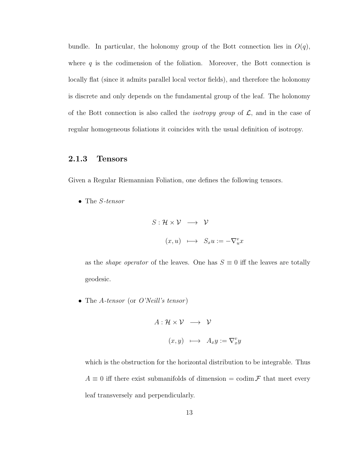bundle. In particular, the holonomy group of the Bott connection lies in  $O(q)$ , where  $q$  is the codimension of the foliation. Moreover, the Bott connection is locally flat (since it admits parallel local vector fields), and therefore the holonomy is discrete and only depends on the fundamental group of the leaf. The holonomy of the Bott connection is also called the *isotropy group* of  $\mathcal{L}$ , and in the case of regular homogeneous foliations it coincides with the usual definition of isotropy.

### 2.1.3 Tensors

Given a Regular Riemannian Foliation, one defines the following tensors.

• The S-tensor

$$
S: \mathcal{H} \times \mathcal{V} \longrightarrow \mathcal{V}
$$

$$
(x, u) \longmapsto S_x u := -\nabla^v_x x
$$

as the *shape operator* of the leaves. One has  $S \equiv 0$  iff the leaves are totally geodesic.

• The A-tensor (or  $O'Neill's tensor$ )

$$
A: \mathcal{H} \times \mathcal{V} \longrightarrow \mathcal{V}
$$

$$
(x, y) \longmapsto A_x y := \nabla_x^v y
$$

which is the obstruction for the horizontal distribution to be integrable. Thus  $A \equiv 0$  iff there exist submanifolds of dimension = codim F that meet every leaf transversely and perpendicularly.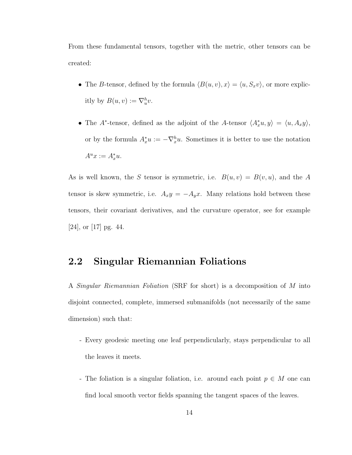From these fundamental tensors, together with the metric, other tensors can be created:

- The B-tensor, defined by the formula  $\langle B(u, v), x \rangle = \langle u, S_x v \rangle$ , or more explicitly by  $B(u, v) := \nabla_u^h v$ .
- The A<sup>\*</sup>-tensor, defined as the adjoint of the A-tensor  $\langle A_x^*u, y \rangle = \langle u, A_x y \rangle$ , or by the formula  $A_x^*u := -\nabla_x^h u$ . Sometimes it is better to use the notation  $A^u x := A_x^* u.$

As is well known, the S tensor is symmetric, i.e.  $B(u, v) = B(v, u)$ , and the A tensor is skew symmetric, i.e.  $A_x y = -A_y x$ . Many relations hold between these tensors, their covariant derivatives, and the curvature operator, see for example [24], or [17] pg. 44.

## 2.2 Singular Riemannian Foliations

A Singular Riemannian Foliation (SRF for short) is a decomposition of M into disjoint connected, complete, immersed submanifolds (not necessarily of the same dimension) such that:

- Every geodesic meeting one leaf perpendicularly, stays perpendicular to all the leaves it meets.
- The foliation is a singular foliation, i.e. around each point  $p \in M$  one can find local smooth vector fields spanning the tangent spaces of the leaves.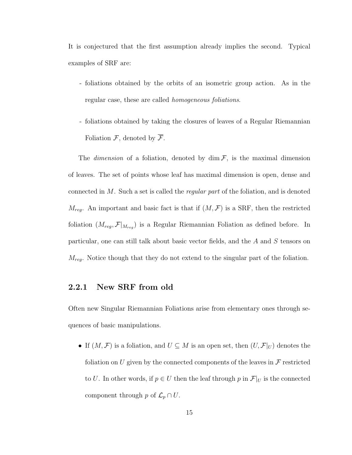It is conjectured that the first assumption already implies the second. Typical examples of SRF are:

- foliations obtained by the orbits of an isometric group action. As in the regular case, these are called homogeneous foliations.
- foliations obtained by taking the closures of leaves of a Regular Riemannian Foliation  $\mathcal{F}$ , denoted by  $\overline{\mathcal{F}}$ .

The *dimension* of a foliation, denoted by  $\dim \mathcal{F}$ , is the maximal dimension of leaves. The set of points whose leaf has maximal dimension is open, dense and connected in  $M$ . Such a set is called the *regular part* of the foliation, and is denoted  $M_{req}$ . An important and basic fact is that if  $(M, \mathcal{F})$  is a SRF, then the restricted foliation  $(M_{reg}, \mathcal{F}|_{M_{reg}})$  is a Regular Riemannian Foliation as defined before. In particular, one can still talk about basic vector fields, and the A and S tensors on  $M_{reg}$ . Notice though that they do not extend to the singular part of the foliation.

### 2.2.1 New SRF from old

Often new Singular Riemannian Foliations arise from elementary ones through sequences of basic manipulations.

• If  $(M, \mathcal{F})$  is a foliation, and  $U \subseteq M$  is an open set, then  $(U, \mathcal{F}|_U)$  denotes the foliation on U given by the connected components of the leaves in  $\mathcal F$  restricted to U. In other words, if  $p \in U$  then the leaf through p in  $\mathcal{F}|_U$  is the connected component through p of  $\mathcal{L}_p \cap U$ .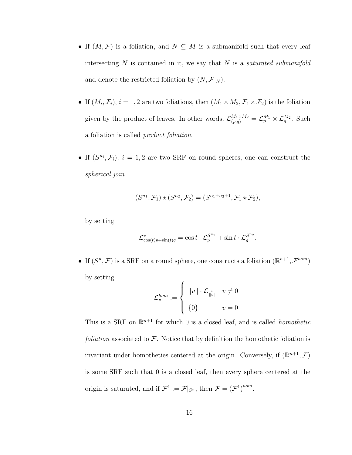- If  $(M, \mathcal{F})$  is a foliation, and  $N \subseteq M$  is a submanifold such that every leaf intersecting  $N$  is contained in it, we say that  $N$  is a *saturated submanifold* and denote the restricted foliation by  $(N, \mathcal{F}|_N)$ .
- If  $(M_i, \mathcal{F}_i)$ ,  $i = 1, 2$  are two foliations, then  $(M_1 \times M_2, \mathcal{F}_1 \times \mathcal{F}_2)$  is the foliation given by the product of leaves. In other words,  $\mathcal{L}_{(p,q)}^{M_1 \times M_2} = \mathcal{L}_{p}^{M_1} \times \mathcal{L}_{q}^{M_2}$ . Such a foliation is called product foliation.
- If  $(S^{n_i}, \mathcal{F}_i)$ ,  $i = 1, 2$  are two SRF on round spheres, one can construct the spherical join

$$
(S^{n_1}, \mathcal{F}_1) \star (S^{n_2}, \mathcal{F}_2) = (S^{n_1+n_2+1}, \mathcal{F}_1 \star \mathcal{F}_2),
$$

by setting

$$
\mathcal{L}_{\cos(t)p+\sin(t)q}^{\star} = \cos t \cdot \mathcal{L}_p^{S^{n_1}} + \sin t \cdot \mathcal{L}_q^{S^{n_2}}.
$$

• If  $(S^n, \mathcal{F})$  is a SRF on a round sphere, one constructs a foliation  $(\mathbb{R}^{n+1}, \mathcal{F}^{hom})$ by setting  $\epsilon$ 

$$
\mathcal{L}_v^{hom} := \begin{cases} ||v|| \cdot \mathcal{L}_{\frac{v}{||v||}} & v \neq 0 \\ \{0\} & v = 0 \end{cases}
$$

This is a SRF on  $\mathbb{R}^{n+1}$  for which 0 is a closed leaf, and is called *homothetic* foliation associated to  $\mathcal F$ . Notice that by definition the homothetic foliation is invariant under homotheties centered at the origin. Conversely, if  $(\mathbb{R}^{n+1}, \mathcal{F})$ is some SRF such that 0 is a closed leaf, then every sphere centered at the origin is saturated, and if  $\mathcal{F}^1 := \mathcal{F}|_{S^n}$ , then  $\mathcal{F} = (\mathcal{F}^1)^{hom}$ .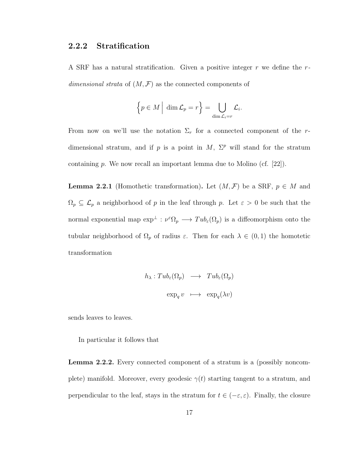### 2.2.2 Stratification

A SRF has a natural stratification. Given a positive integer  $r$  we define the  $r$ dimensional strata of  $(M, \mathcal{F})$  as the connected components of

$$
\left\{p \in M \mid \dim \mathcal{L}_p = r\right\} = \bigcup_{\dim \mathcal{L}_i = r} \mathcal{L}_i.
$$

From now on we'll use the notation  $\Sigma_r$  for a connected component of the rdimensional stratum, and if p is a point in M,  $\Sigma^p$  will stand for the stratum containing  $p$ . We now recall an important lemma due to Molino (cf. [22]).

**Lemma 2.2.1** (Homothetic transformation). Let  $(M, \mathcal{F})$  be a SRF,  $p \in M$  and  $\Omega_p \subseteq \mathcal{L}_p$  a neighborhood of p in the leaf through p. Let  $\varepsilon > 0$  be such that the normal exponential map  $\exp^{\perp} : \nu^{\varepsilon} \Omega_p \longrightarrow \mathrm{Tab}_{\varepsilon}(\Omega_p)$  is a diffeomorphism onto the tubular neighborhood of  $\Omega_p$  of radius  $\varepsilon$ . Then for each  $\lambda \in (0,1)$  the homotetic transformation

$$
h_{\lambda}: Tub_{\varepsilon}(\Omega_p) \longrightarrow Tub_{\varepsilon}(\Omega_p)
$$

$$
exp_q v \longrightarrow exp_q(\lambda v)
$$

sends leaves to leaves.

In particular it follows that

Lemma 2.2.2. Every connected component of a stratum is a (possibly noncomplete) manifold. Moreover, every geodesic  $\gamma(t)$  starting tangent to a stratum, and perpendicular to the leaf, stays in the stratum for  $t \in (-\varepsilon, \varepsilon)$ . Finally, the closure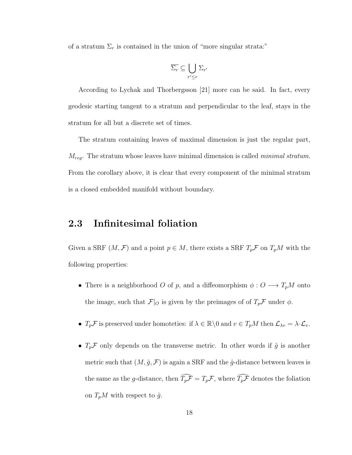of a stratum  $\Sigma_r$  is contained in the union of "more singular strata:"

$$
\overline{\Sigma_r} \subseteq \bigcup_{r' \le r} \Sigma_{r'}
$$

According to Lychak and Thorbergsson [21] more can be said. In fact, every geodesic starting tangent to a stratum and perpendicular to the leaf, stays in the stratum for all but a discrete set of times.

The stratum containing leaves of maximal dimension is just the regular part,  $M_{reg}$ . The stratum whose leaves have minimal dimension is called *minimal stratum*. From the corollary above, it is clear that every component of the minimal stratum is a closed embedded manifold without boundary.

## 2.3 Infinitesimal foliation

Given a SRF  $(M, \mathcal{F})$  and a point  $p \in M$ , there exists a SRF  $T_p\mathcal{F}$  on  $T_pM$  with the following properties:

- There is a neighborhood O of p, and a diffeomorphism  $\phi: O \longrightarrow T_pM$  onto the image, such that  $\mathcal{F}|_O$  is given by the preimages of of  $T_p\mathcal{F}$  under  $\phi$ .
- $T_p\mathcal{F}$  is preserved under homoteties: if  $\lambda \in \mathbb{R} \setminus 0$  and  $v \in T_pM$  then  $\mathcal{L}_{\lambda v} = \lambda \cdot \mathcal{L}_v$ .
- $T_p\mathcal{F}$  only depends on the transverse metric. In other words if  $\hat{g}$  is another metric such that  $(M, \hat{g}, \mathcal{F})$  is again a SRF and the  $\hat{g}$ -distance between leaves is the same as the g-distance, then  $\widehat{T_p\mathcal{F}} = T_p\mathcal{F}$ , where  $\widehat{T_p\mathcal{F}}$  denotes the foliation on  $T_pM$  with respect to  $\hat{g}$ .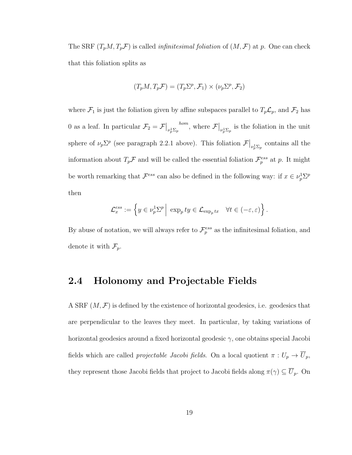The SRF  $(T_pM, T_pF)$  is called *infinitesimal foliation* of  $(M, F)$  at p. One can check that this foliation splits as

$$
(T_pM, T_p\mathcal{F}) = (T_p\Sigma^p, \mathcal{F}_1) \times (\nu_p\Sigma^p, \mathcal{F}_2)
$$

where  $\mathcal{F}_1$  is just the foliation given by affine subspaces parallel to  $T_p\mathcal{L}_p$ , and  $\mathcal{F}_2$  has 0 as a leaf. In particular  $\mathcal{F}_2 = \mathcal{F}\big|_{\nu_p^1 \Sigma_p}^{hom}$ , where  $\mathcal{F}\big|_{\nu_p^1 \Sigma_p}$  is the foliation in the unit sphere of  $\nu_p \Sigma^p$  (see paragraph 2.2.1 above). This foliation  $\mathcal{F}|_{\nu_p^1 \Sigma_p}$  contains all the information about  $T_p\mathcal{F}$  and will be called the essential foliation  $\mathcal{F}_p^{ess}$  at p. It might be worth remarking that  $\mathcal{F}^{ess}$  can also be defined in the following way: if  $x \in \nu_p^1\Sigma^p$ then

$$
\mathcal{L}^{ess}_x := \left\{ y \in \nu_p^1 \Sigma^p \middle| \exp_p ty \in \mathcal{L}_{\exp_p tx} \quad \forall t \in (-\varepsilon, \varepsilon) \right\}.
$$

By abuse of notation, we will always refer to  $\mathcal{F}_p^{ess}$  as the infinitesimal foliation, and denote it with  $\mathcal{F}_p$ .

### 2.4 Holonomy and Projectable Fields

A SRF  $(M, \mathcal{F})$  is defined by the existence of horizontal geodesics, i.e. geodesics that are perpendicular to the leaves they meet. In particular, by taking variations of horizontal geodesics around a fixed horizontal geodesic  $\gamma$ , one obtains special Jacobi fields which are called *projectable Jacobi fields*. On a local quotient  $\pi: U_p \to \overline{U}_p$ , they represent those Jacobi fields that project to Jacobi fields along  $\pi(\gamma) \subseteq \overline{U}_p$ . On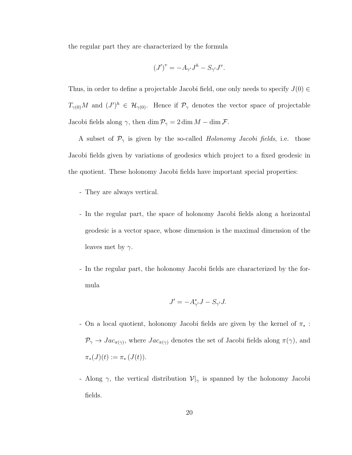the regular part they are characterized by the formula

$$
(J')^v = -A_{\gamma'}J^h - S_{\gamma'}J^v.
$$

Thus, in order to define a projectable Jacobi field, one only needs to specify  $J(0) \in$  $T_{\gamma(0)}M$  and  $(J')^h \in \mathcal{H}_{\gamma(0)}$ . Hence if  $\mathcal{P}_{\gamma}$  denotes the vector space of projectable Jacobi fields along  $\gamma$ , then dim  $\mathcal{P}_{\gamma} = 2 \dim M - \dim \mathcal{F}$ .

A subset of  $\mathcal{P}_{\gamma}$  is given by the so-called *Holonomy Jacobi fields*, i.e. those Jacobi fields given by variations of geodesics which project to a fixed geodesic in the quotient. These holonomy Jacobi fields have important special properties:

- They are always vertical.
- In the regular part, the space of holonomy Jacobi fields along a horizontal geodesic is a vector space, whose dimension is the maximal dimension of the leaves met by  $\gamma$ .
- In the regular part, the holonomy Jacobi fields are characterized by the formula

$$
J' = -A_{\gamma'}^* J - S_{\gamma'} J.
$$

- On a local quotient, holonomy Jacobi fields are given by the kernel of  $\pi_*$ :  $\mathcal{P}_{\gamma} \to Jac_{\pi(\gamma)}$ , where  $Jac_{\pi(\gamma)}$  denotes the set of Jacobi fields along  $\pi(\gamma)$ , and  $\pi_*(J)(t) := \pi_*(J(t)).$
- Along  $\gamma$ , the vertical distribution  $\mathcal{V}|_{\gamma}$  is spanned by the holonomy Jacobi fields.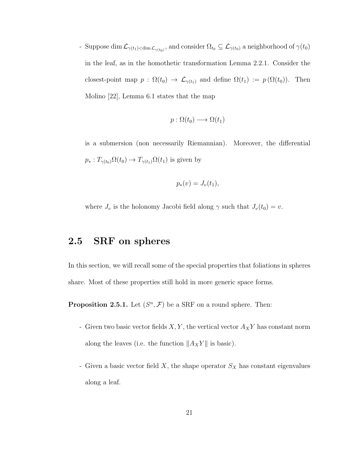- Suppose dim  $\mathcal{L}_{\gamma(t_1) < \dim \mathcal{L}_{\gamma(t_0)}},$  and consider  $\Omega_{t_0} \subseteq \mathcal{L}_{\gamma(t_0)}$  a neighborhood of  $\gamma(t_0)$ in the leaf, as in the homothetic transformation Lemma 2.2.1. Consider the closest-point map  $p : \Omega(t_0) \to \mathcal{L}_{\gamma(t_1)}$  and define  $\Omega(t_1) := p(\Omega(t_0))$ . Then Molino [22], Lemma 6.1 states that the map

$$
p:\Omega(t_0)\longrightarrow \Omega(t_1)
$$

is a submersion (non necessarily Riemannian). Moreover, the differential  $p_*: T_{\gamma(t_0)}\Omega(t_0) \to T_{\gamma(t_1)}\Omega(t_1)$  is given by

$$
p_*(v) = J_v(t_1),
$$

where  $J_v$  is the holonomy Jacobi field along  $\gamma$  such that  $J_v(t_0) = v$ .

## 2.5 SRF on spheres

In this section, we will recall some of the special properties that foliations in spheres share. Most of these properties still hold in more generic space forms.

**Proposition 2.5.1.** Let  $(S^n, \mathcal{F})$  be a SRF on a round sphere. Then:

- Given two basic vector fields  $X, Y$ , the vertical vector  ${\mathcal A}_X Y$  has constant norm along the leaves (i.e. the function  $||A_XY||$  is basic).
- Given a basic vector field  $X$ , the shape operator  $S_X$  has constant eigenvalues along a leaf.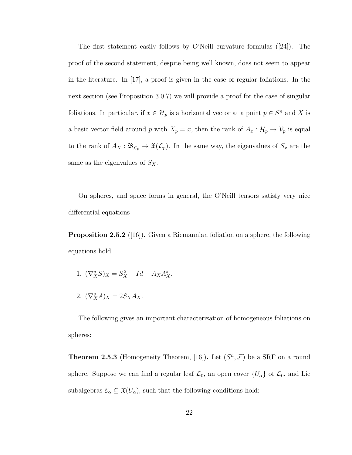The first statement easily follows by O'Neill curvature formulas ([24]). The proof of the second statement, despite being well known, does not seem to appear in the literature. In  $[17]$ , a proof is given in the case of regular foliations. In the next section (see Proposition 3.0.7) we will provide a proof for the case of singular foliations. In particular, if  $x \in \mathcal{H}_p$  is a horizontal vector at a point  $p \in S^n$  and X is a basic vector field around p with  $X_p = x$ , then the rank of  $A_x : \mathcal{H}_p \to \mathcal{V}_p$  is equal to the rank of  $A_X : \mathfrak{B}_{\mathcal{L}_p} \to \mathfrak{X}(\mathcal{L}_p)$ . In the same way, the eigenvalues of  $S_x$  are the same as the eigenvalues of  $S_X$ .

On spheres, and space forms in general, the O'Neill tensors satisfy very nice differential equations

**Proposition 2.5.2** ([16]). Given a Riemannian foliation on a sphere, the following equations hold:

- 1.  $(\nabla^v_X S)_X = S_X^2 + Id A_X A_X^*$ .
- 2.  $(\nabla_X^v A)_X = 2S_X A_X.$

The following gives an important characterization of homogeneous foliations on spheres:

**Theorem 2.5.3** (Homogeneity Theorem, [16]). Let  $(S<sup>n</sup>, F)$  be a SRF on a round sphere. Suppose we can find a regular leaf  $\mathcal{L}_0$ , an open cover  $\{U_\alpha\}$  of  $\mathcal{L}_0$ , and Lie subalgebras  $\mathcal{E}_{\alpha} \subseteq \mathfrak{X}(U_{\alpha})$ , such that the following conditions hold: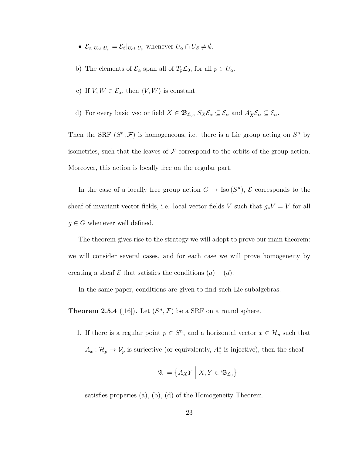- $\mathcal{E}_{\alpha}|_{U_{\alpha} \cap U_{\beta}} = \mathcal{E}_{\beta}|_{U_{\alpha} \cap U_{\beta}}$  whenever  $U_{\alpha} \cap U_{\beta} \neq \emptyset$ .
- b) The elements of  $\mathcal{E}_{\alpha}$  span all of  $T_p\mathcal{L}_0$ , for all  $p \in U_{\alpha}$ .
- c) If  $V, W \in \mathcal{E}_{\alpha}$ , then  $\langle V, W \rangle$  is constant.
- d) For every basic vector field  $X \in \mathfrak{B}_{\mathcal{L}_0}$ ,  $S_X \mathcal{E}_{\alpha} \subseteq \mathcal{E}_{\alpha}$  and  $A_X^* \mathcal{E}_{\alpha} \subseteq \mathcal{E}_{\alpha}$ .

Then the SRF  $(S^n, \mathcal{F})$  is homogeneous, i.e. there is a Lie group acting on  $S^n$  by isometries, such that the leaves of  $\mathcal F$  correspond to the orbits of the group action. Moreover, this action is locally free on the regular part.

In the case of a locally free group action  $G \to \text{Iso}(S^n)$ ,  $\mathcal E$  corresponds to the sheaf of invariant vector fields, i.e. local vector fields V such that  $g_*V = V$  for all  $g \in G$  whenever well defined.

The theorem gives rise to the strategy we will adopt to prove our main theorem: we will consider several cases, and for each case we will prove homogeneity by creating a sheaf  $\mathcal E$  that satisfies the conditions  $(a) - (d)$ .

In the same paper, conditions are given to find such Lie subalgebras.

**Theorem 2.5.4** ([16]). Let  $(S<sup>n</sup>, F)$  be a SRF on a round sphere.

1. If there is a regular point  $p \in S<sup>n</sup>$ , and a horizontal vector  $x \in \mathcal{H}_p$  such that  $A_x: \mathcal{H}_p \to \mathcal{V}_p$  is surjective (or equivalently,  $A_x^*$  is injective), then the sheaf

$$
\mathfrak{A} := \left\{ A_X Y \middle| X, Y \in \mathfrak{B}_{\mathcal{L}_0} \right\}
$$

satisfies properies (a), (b), (d) of the Homogeneity Theorem.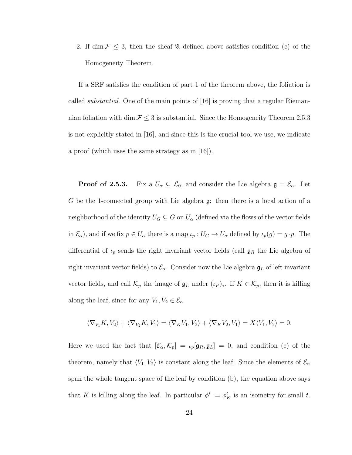2. If dim  $\mathcal{F} \leq 3$ , then the sheaf  $\mathfrak A$  defined above satisfies condition (c) of the Homogeneity Theorem.

If a SRF satisfies the condition of part 1 of the theorem above, the foliation is called substantial. One of the main points of [16] is proving that a regular Riemannian foliation with dim  $\mathcal{F} \leq 3$  is substantial. Since the Homogeneity Theorem 2.5.3 is not explicitly stated in [16], and since this is the crucial tool we use, we indicate a proof (which uses the same strategy as in [16]).

**Proof of 2.5.3.** Fix a  $U_{\alpha} \subseteq \mathcal{L}_0$ , and consider the Lie algebra  $\mathfrak{g} = \mathcal{E}_{\alpha}$ . Let G be the 1-connected group with Lie algebra g: then there is a local action of a neighborhood of the identity  $U_G \subseteq G$  on  $U_\alpha$  (defined via the flows of the vector fields in  $\mathcal{E}_{\alpha}$ , and if we fix  $p \in U_{\alpha}$  there is a map  $\iota_p : U_G \to U_{\alpha}$  defined by  $\iota_p(g) = g \cdot p$ . The differential of  $\iota_p$  sends the right invariant vector fields (call  $\mathfrak{g}_R$  the Lie algebra of right invariant vector fields) to  $\mathcal{E}_{\alpha}$ . Consider now the Lie algebra  $\mathfrak{g}_L$  of left invariant vector fields, and call  $\mathcal{K}_p$  the image of  $\mathfrak{g}_L$  under  $(\iota_P)_*$ . If  $K \in \mathcal{K}_p$ , then it is killing along the leaf, since for any  $V_1, V_2 \in \mathcal{E}_{\alpha}$ 

$$
\langle \nabla_{V_1} K, V_2 \rangle + \langle \nabla_{V_2} K, V_1 \rangle = \langle \nabla_K V_1, V_2 \rangle + \langle \nabla_K V_2, V_1 \rangle = X \langle V_1, V_2 \rangle = 0.
$$

Here we used the fact that  $[\mathcal{E}_{\alpha}, \mathcal{K}_{p}] = \iota_{p}[\mathfrak{g}_{R}, \mathfrak{g}_{L}] = 0$ , and condition (c) of the theorem, namely that  $\langle V_1, V_2 \rangle$  is constant along the leaf. Since the elements of  $\mathcal{E}_{\alpha}$ span the whole tangent space of the leaf by condition (b), the equation above says that K is killing along the leaf. In particular  $\phi^t := \phi^t_K$  is an isometry for small t.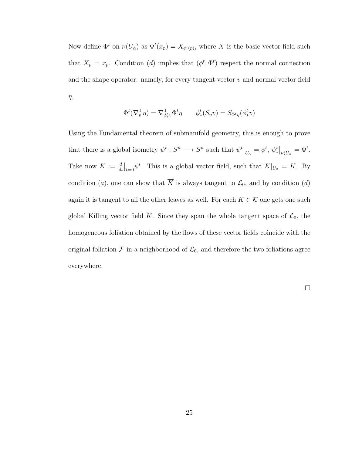Now define  $\Phi^t$  on  $\nu(U_\alpha)$  as  $\Phi^t(x_p) = X_{\phi^t(p)}$ , where X is the basic vector field such that  $X_p = x_p$ . Condition (d) implies that  $(\phi^t, \Phi^t)$  respect the normal connection and the shape operator: namely, for every tangent vector  $v$  and normal vector field  $\eta$ ,

$$
\Phi^t(\nabla_v^{\perp}\eta) = \nabla_{\phi^t_*v}^{\perp}\Phi^t\eta \qquad \phi^t_*(S_\eta v) = S_{\Phi^t\eta}(\phi^t_*v)
$$

Using the Fundamental theorem of submanifold geometry, this is enough to prove that there is a global isometry  $\psi^t : S^n \longrightarrow S^n$  such that  $\psi^t\big|_{U_\alpha} = \phi^t$ ,  $\psi^t_*\big|_{\nu(U_\alpha)} = \Phi^t$ . Take now  $\overline{K} := \frac{d}{dt}\Big|_{t=0} \psi^t$ . This is a global vector field, such that  $\overline{K}\Big|_{U_\alpha} = K$ . By condition (a), one can show that  $\overline{K}$  is always tangent to  $\mathcal{L}_0$ , and by condition (d) again it is tangent to all the other leaves as well. For each  $K \in \mathcal{K}$  one gets one such global Killing vector field  $\overline{K}$ . Since they span the whole tangent space of  $\mathcal{L}_0$ , the homogeneous foliation obtained by the flows of these vector fields coincide with the original foliation  $\mathcal F$  in a neighborhood of  $\mathcal L_0$ , and therefore the two foliations agree everywhere.

 $\Box$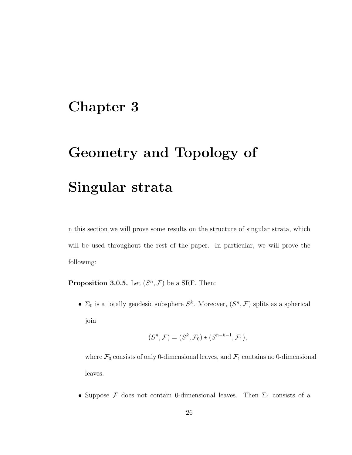# Chapter 3

# Geometry and Topology of

# Singular strata

n this section we will prove some results on the structure of singular strata, which will be used throughout the rest of the paper. In particular, we will prove the following:

**Proposition 3.0.5.** Let  $(S^n, \mathcal{F})$  be a SRF. Then:

•  $\Sigma_0$  is a totally geodesic subsphere  $S^k$ . Moreover,  $(S^n, \mathcal{F})$  splits as a spherical join

$$
(S^n, \mathcal{F}) = (S^k, \mathcal{F}_0) \star (S^{n-k-1}, \mathcal{F}_1),
$$

where  $\mathcal{F}_0$  consists of only 0-dimensional leaves, and  $\mathcal{F}_1$  contains no 0-dimensional leaves.

• Suppose  $\mathcal F$  does not contain 0-dimensional leaves. Then  $\Sigma_1$  consists of a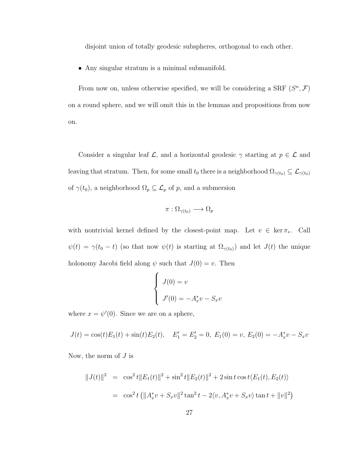disjoint union of totally geodesic subspheres, orthogonal to each other.

• Any singular stratum is a minimal submanifold.

From now on, unless otherwise specified, we will be considering a SRF  $(S<sup>n</sup>, F)$ on a round sphere, and we will omit this in the lemmas and propositions from now on.

Consider a singular leaf  $\mathcal{L}$ , and a horizontal geodesic  $\gamma$  starting at  $p \in \mathcal{L}$  and leaving that stratum. Then, for some small  $t_0$  there is a neighborhood  $\Omega_{\gamma(t_0)} \subseteq \mathcal{L}_{\gamma(t_0)}$ of  $\gamma(t_0)$ , a neighborhood  $\Omega_p \subseteq \mathcal{L}_p$  of  $p$ , and a submersion

$$
\pi : \Omega_{\gamma(t_0)} \longrightarrow \Omega_p
$$

with nontrivial kernel defined by the closest-point map. Let  $v \in \ker \pi_*$ . Call  $\psi(t) = \gamma(t_0 - t)$  (so that now  $\psi(t)$  is starting at  $\Omega_{\gamma(t_0)}$ ) and let  $J(t)$  the unique holonomy Jacobi field along  $\psi$  such that  $J(0) = v$ . Then

$$
\begin{cases}\nJ(0) = v \\
J'(0) = -A_x^* v - S_x v\n\end{cases}
$$

where  $x = \psi'(0)$ . Since we are on a sphere,

$$
J(t) = \cos(t)E_1(t) + \sin(t)E_2(t), \quad E'_1 = E'_2 = 0, \ E_1(0) = v, \ E_2(0) = -A_x^*v - S_xv
$$

Now, the norm of  $J$  is

$$
||J(t)||^2 = \cos^2 t ||E_1(t)||^2 + \sin^2 t ||E_2(t)||^2 + 2 \sin t \cos t \langle E_1(t), E_2(t) \rangle
$$
  
=  $\cos^2 t (||A_x^* v + S_x v||^2 \tan^2 t - 2 \langle v, A_x^* v + S_x v \rangle \tan t + ||v||^2)$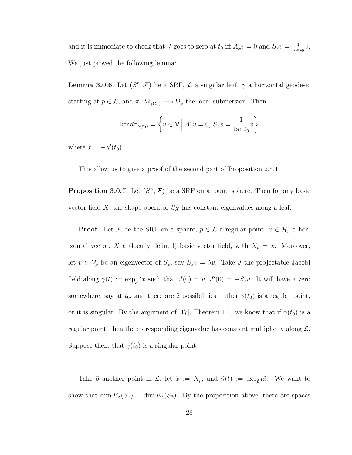and it is immediate to check that J goes to zero at  $t_0$  iff  $A_x^*v = 0$  and  $S_xv = \frac{1}{\tan \theta}$  $\frac{1}{\tan t_0}v.$ We just proved the following lemma:

**Lemma 3.0.6.** Let  $(S^n, \mathcal{F})$  be a SRF,  $\mathcal{L}$  a singular leaf,  $\gamma$  a horizontal geodesic starting at  $p \in \mathcal{L}$ , and  $\pi : \Omega_{\gamma(t_0)} \longrightarrow \Omega_p$  the local submersion. Then

$$
\ker d\pi_{\gamma(t_0)} = \left\{ v \in \mathcal{V} \mid A_x^* v = 0, \ S_x v = \frac{1}{\tan t_0} v \right\}
$$

where  $x = -\gamma'(t_0)$ .

This allow us to give a proof of the second part of Proposition 2.5.1:

**Proposition 3.0.7.** Let  $(S^n, \mathcal{F})$  be a SRF on a round sphere. Then for any basic vector field X, the shape operator  $S_X$  has constant eigenvalues along a leaf.

**Proof.** Let F be the SRF on a sphere,  $p \in \mathcal{L}$  a regular point,  $x \in \mathcal{H}_p$  a horizontal vector, X a (locally defined) basic vector field, with  $X_p = x$ . Moreover, let  $v \in V_p$  be an eigenvector of  $S_x$ , say  $S_xv = \lambda v$ . Take J the projectable Jacobi field along  $\gamma(t) := \exp_p tx$  such that  $J(0) = v$ ,  $J'(0) = -S_x v$ . It will have a zero somewhere, say at  $t_0$ , and there are 2 possibilities: either  $\gamma(t_0)$  is a regular point, or it is singular. By the argument of [17], Theorem 1.1, we know that if  $\gamma(t_0)$  is a regular point, then the corresponding eigenvalue has constant multiplicity along  $\mathcal{L}$ . Suppose then, that  $\gamma(t_0)$  is a singular point.

Take  $\tilde{p}$  another point in  $\mathcal{L}$ , let  $\tilde{x} := X_{\tilde{p}}$ , and  $\tilde{\gamma}(t) := \exp_{\tilde{p}} t\tilde{x}$ . We want to show that dim  $E_{\lambda}(S_x) = \dim E_{\lambda}(S_x)$ . By the proposition above, there are spaces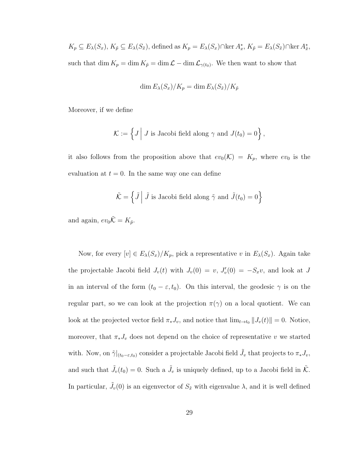$K_p \subseteq E_\lambda(S_x)$ ,  $K_{\tilde{p}} \subseteq E_\lambda(S_{\tilde{x}})$ , defined as  $K_p = E_\lambda(S_x) \cap \ker A_x^*$ ,  $K_{\tilde{p}} = E_\lambda(S_{\tilde{x}}) \cap \ker A_{\tilde{x}}^*$ , such that  $\dim K_p = \dim K_{\tilde{p}} = \dim \mathcal{L} - \dim \mathcal{L}_{\gamma(t_0)}$ . We then want to show that

$$
\dim E_{\lambda}(S_x)/K_p = \dim E_{\lambda}(S_{\tilde{x}})/K_{\tilde{p}}
$$

Moreover, if we define

$$
\mathcal{K} := \left\{ J \middle| J \text{ is Jacobi field along } \gamma \text{ and } J(t_0) = 0 \right\},\
$$

it also follows from the proposition above that  $ev_0(\mathcal{K}) = K_p$ , where  $ev_0$  is the evaluation at  $t = 0$ . In the same way one can define

$$
\tilde{\mathcal{K}} = \left\{ \tilde{J} \middle| \tilde{J} \text{ is Jacobi field along } \tilde{\gamma} \text{ and } \tilde{J}(t_0) = 0 \right\}
$$

and again,  $ev_0\tilde{\mathcal{K}} = K_{\tilde{p}}$ .

Now, for every  $[v] \in E_{\lambda}(S_x)/K_p$ , pick a representative v in  $E_{\lambda}(S_x)$ . Again take the projectable Jacobi field  $J_v(t)$  with  $J_v(0) = v$ ,  $J'_v(0) = -S_xv$ , and look at J in an interval of the form  $(t_0 - \varepsilon, t_0)$ . On this interval, the geodesic  $\gamma$  is on the regular part, so we can look at the projection  $\pi(\gamma)$  on a local quotient. We can look at the projected vector field  $\pi_* J_v$ , and notice that  $\lim_{t \to t_0} ||J_v(t)|| = 0$ . Notice, moreover, that  $\pi_* J_v$  does not depend on the choice of representative v we started with. Now, on  $\tilde{\gamma}|_{(t_0-\varepsilon,t_0)}$  consider a projectable Jacobi field  $\tilde{J}_v$  that projects to  $\pi_*J_v$ , and such that  $\tilde{J}_v(t_0) = 0$ . Such a  $\tilde{J}_v$  is uniquely defined, up to a Jacobi field in  $\tilde{\mathcal{K}}$ . In particular,  $\tilde{J}_v(0)$  is an eigenvector of  $S_{\tilde{x}}$  with eigenvalue  $\lambda$ , and it is well defined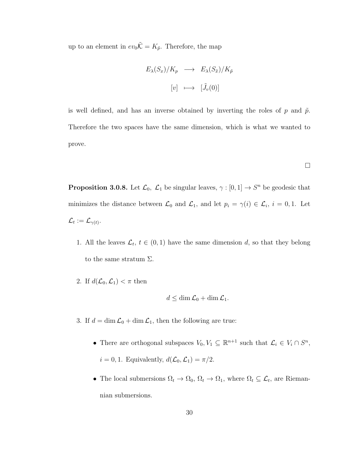up to an element in  $ev_0\tilde{\mathcal{K}} = K_{\tilde{p}}$ . Therefore, the map

$$
E_{\lambda}(S_x)/K_p \longrightarrow E_{\lambda}(S_{\tilde{x}})/K_{\tilde{p}}
$$
  

$$
[v] \longmapsto [\tilde{J}_v(0)]
$$

is well defined, and has an inverse obtained by inverting the roles of p and  $\tilde{p}$ . Therefore the two spaces have the same dimension, which is what we wanted to prove.

 $\Box$ 

**Proposition 3.0.8.** Let  $\mathcal{L}_0$ ,  $\mathcal{L}_1$  be singular leaves,  $\gamma : [0,1] \to S^n$  be geodesic that minimizes the distance between  $\mathcal{L}_0$  and  $\mathcal{L}_1$ , and let  $p_i = \gamma(i) \in \mathcal{L}_i$ ,  $i = 0, 1$ . Let  $\mathcal{L}_t := \mathcal{L}_{\gamma(t)}.$ 

- 1. All the leaves  $\mathcal{L}_t$ ,  $t \in (0,1)$  have the same dimension d, so that they belong to the same stratum  $\Sigma$ .
- 2. If  $d(\mathcal{L}_0, \mathcal{L}_1) < \pi$  then

$$
d \leq \dim \mathcal{L}_0 + \dim \mathcal{L}_1.
$$

- 3. If  $d = \dim \mathcal{L}_0 + \dim \mathcal{L}_1$ , then the following are true:
	- There are orthogonal subspaces  $V_0, V_1 \subseteq \mathbb{R}^{n+1}$  such that  $\mathcal{L}_i \in V_i \cap S^n$ ,  $i = 0, 1$ . Equivalently,  $d(\mathcal{L}_0, \mathcal{L}_1) = \pi/2$ .
	- The local submersions  $\Omega_t \to \Omega_0$ ,  $\Omega_t \to \Omega_1$ , where  $\Omega_t \subseteq \mathcal{L}_t$ , are Riemannian submersions.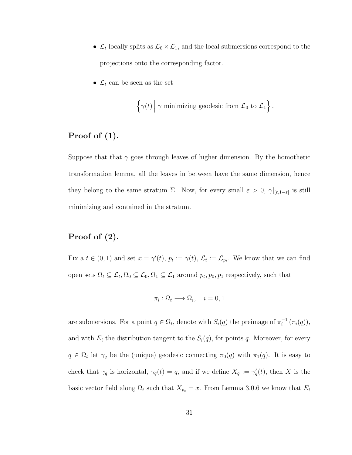- $\mathcal{L}_t$  locally splits as  $\mathcal{L}_0 \times \mathcal{L}_1$ , and the local submersions correspond to the projections onto the corresponding factor.
- $\bullet$   $\mathcal{L}_t$  can be seen as the set

$$
\left\{\gamma(t) \middle| \gamma \text{ minimizing geodesic from } \mathcal{L}_0 \text{ to } \mathcal{L}_1\right\}.
$$

#### Proof of (1).

Suppose that that  $\gamma$  goes through leaves of higher dimension. By the homothetic transformation lemma, all the leaves in between have the same dimension, hence they belong to the same stratum  $\Sigma$ . Now, for every small  $\varepsilon > 0$ ,  $\gamma|_{[\varepsilon,1-\varepsilon]}$  is still minimizing and contained in the stratum.

# Proof of (2).

Fix a  $t \in (0,1)$  and set  $x = \gamma'(t)$ ,  $p_t := \gamma(t)$ ,  $\mathcal{L}_t := \mathcal{L}_{p_t}$ . We know that we can find open sets  $\Omega_t \subseteq \mathcal{L}_t, \Omega_0 \subseteq \mathcal{L}_0, \Omega_1 \subseteq \mathcal{L}_1$  around  $p_t, p_0, p_1$  respectively, such that

$$
\pi_i : \Omega_t \longrightarrow \Omega_i, \quad i = 0, 1
$$

are submersions. For a point  $q \in \Omega_t$ , denote with  $S_i(q)$  the preimage of  $\pi_i^{-1}$  $i^{-1}(\pi_i(q)),$ and with  $E_i$  the distribution tangent to the  $S_i(q)$ , for points q. Moreover, for every  $q \in \Omega_t$  let  $\gamma_q$  be the (unique) geodesic connecting  $\pi_0(q)$  with  $\pi_1(q)$ . It is easy to check that  $\gamma_q$  is horizontal,  $\gamma_q(t) = q$ , and if we define  $X_q := \gamma'_q(t)$ , then X is the basic vector field along  $\Omega_t$  such that  $X_{p_t} = x$ . From Lemma 3.0.6 we know that  $E_i$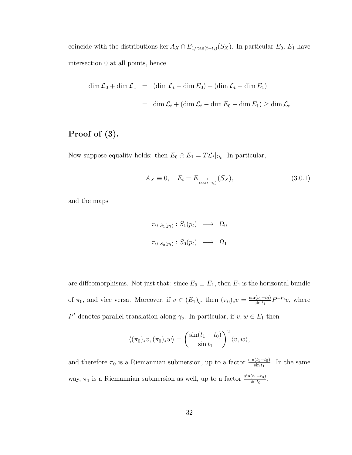coincide with the distributions ker  $A_X \cap E_{1/\tan(t-t_i)}(S_X)$ . In particular  $E_0, E_1$  have intersection 0 at all points, hence

$$
\dim \mathcal{L}_0 + \dim \mathcal{L}_1 = (\dim \mathcal{L}_t - \dim E_0) + (\dim \mathcal{L}_t - \dim E_1)
$$
  
= 
$$
\dim \mathcal{L}_t + (\dim \mathcal{L}_t - \dim E_0 - \dim E_1) \ge \dim \mathcal{L}_t
$$

# Proof of (3).

Now suppose equality holds: then  $E_0 \oplus E_1 = T \mathcal{L}_t|_{\Omega_t}$ . In particular,

$$
A_X \equiv 0, \quad E_i = E_{\frac{1}{\tan(t - t_i)}}(S_X), \tag{3.0.1}
$$

and the maps

$$
\pi_0|_{S_1(p_t)}: S_1(p_t) \longrightarrow \Omega_0
$$
  

$$
\pi_0|_{S_0(p_t)}: S_0(p_t) \longrightarrow \Omega_1
$$

are diffeomorphisms. Not just that: since  $E_0 \perp E_1$ , then  $E_1$  is the horizontal bundle of  $\pi_0$ , and vice versa. Moreover, if  $v \in (E_1)_q$ , then  $(\pi_0)_*v = \frac{\sin(t_1 - t_0)}{\sin t_1}$  $\frac{\sin t_1 - t_0}{\sin t_1} P^{-t_0} v$ , where P<sup>t</sup> denotes parallel translation along  $\gamma_q$ . In particular, if  $v, w \in E_1$  then

$$
\langle (\pi_0)_*v, (\pi_0)_*w \rangle = \left(\frac{\sin(t_1 - t_0)}{\sin t_1}\right)^2 \langle v, w \rangle,
$$

and therefore  $\pi_0$  is a Riemannian submersion, up to a factor  $\frac{\sin(t_1-t_0)}{\sin t_1}$ . In the same way,  $\pi_1$  is a Riemannian submersion as well, up to a factor  $\frac{\sin(t_1-t_0)}{\sin t_0}$ .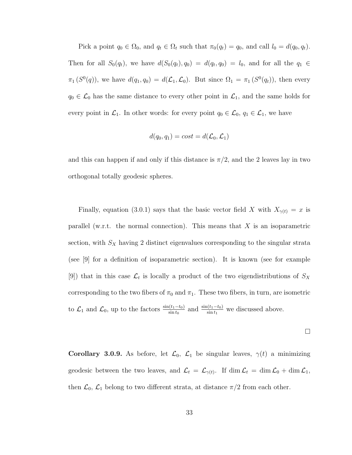Pick a point  $q_0 \in \Omega_0$ , and  $q_t \in \Omega_t$  such that  $\pi_0(q_t) = q_0$ , and call  $l_0 = d(q_0, q_t)$ . Then for all  $S_0(q_t)$ , we have  $d(S_0(q_t), q_0) = d(q_t, q_0) = l_0$ , and for all the  $q_1 \in$  $\pi_1(S^0(q))$ , we have  $d(q_1,q_0) = d(\mathcal{L}_1,\mathcal{L}_0)$ . But since  $\Omega_1 = \pi_1(S^0(q_t))$ , then every  $q_0 \in \mathcal{L}_0$  has the same distance to every other point in  $\mathcal{L}_1$ , and the same holds for every point in  $\mathcal{L}_1$ . In other words: for every point  $q_0 \in \mathcal{L}_0$ ,  $q_1 \in \mathcal{L}_1$ , we have

$$
d(q_0, q_1) = cost = d(\mathcal{L}_0, \mathcal{L}_1)
$$

and this can happen if and only if this distance is  $\pi/2$ , and the 2 leaves lay in two orthogonal totally geodesic spheres.

Finally, equation (3.0.1) says that the basic vector field X with  $X_{\gamma(t)} = x$  is parallel (w.r.t. the normal connection). This means that  $X$  is an isoparametric section, with  $S_X$  having 2 distinct eigenvalues corresponding to the singular strata (see [9] for a definition of isoparametric section). It is known (see for example [9]) that in this case  $\mathcal{L}_t$  is locally a product of the two eigendistributions of  $S_X$ corresponding to the two fibers of  $\pi_0$  and  $\pi_1$ . These two fibers, in turn, are isometric to  $\mathcal{L}_1$  and  $\mathcal{L}_0$ , up to the factors  $\frac{\sin(t_1-t_0)}{\sin t_0}$  and  $\frac{\sin(t_1-t_0)}{\sin t_1}$  we discussed above.

$$
\Box
$$

Corollary 3.0.9. As before, let  $\mathcal{L}_0$ ,  $\mathcal{L}_1$  be singular leaves,  $\gamma(t)$  a minimizing geodesic between the two leaves, and  $\mathcal{L}_t = \mathcal{L}_{\gamma(t)}$ . If  $\dim \mathcal{L}_t = \dim \mathcal{L}_0 + \dim \mathcal{L}_1$ , then  $\mathcal{L}_0$ ,  $\mathcal{L}_1$  belong to two different strata, at distance  $\pi/2$  from each other.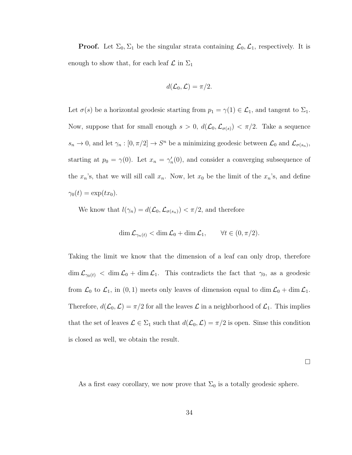**Proof.** Let  $\Sigma_0$ ,  $\Sigma_1$  be the singular strata containing  $\mathcal{L}_0$ ,  $\mathcal{L}_1$ , respectively. It is enough to show that, for each leaf  $\mathcal L$  in  $\Sigma_1$ 

$$
d(\mathcal{L}_0, \mathcal{L}) = \pi/2.
$$

Let  $\sigma(s)$  be a horizontal geodesic starting from  $p_1 = \gamma(1) \in \mathcal{L}_1$ , and tangent to  $\Sigma_1$ . Now, suppose that for small enough  $s > 0$ ,  $d(\mathcal{L}_0, \mathcal{L}_{\sigma(s)}) < \pi/2$ . Take a sequence  $s_n \to 0$ , and let  $\gamma_n : [0, \pi/2] \to S^n$  be a minimizing geodesic between  $\mathcal{L}_0$  and  $\mathcal{L}_{\sigma(s_n)}$ , starting at  $p_0 = \gamma(0)$ . Let  $x_n = \gamma'_n(0)$ , and consider a converging subsequence of the  $x_n$ 's, that we will sill call  $x_n$ . Now, let  $x_0$  be the limit of the  $x_n$ 's, and define  $\gamma_0(t) = \exp(tx_0).$ 

We know that  $l(\gamma_n) = d(\mathcal{L}_0, \mathcal{L}_{\sigma(s_n)}) < \pi/2$ , and therefore

$$
\dim \mathcal{L}_{\gamma_n(t)} < \dim \mathcal{L}_0 + \dim \mathcal{L}_1, \qquad \forall t \in (0, \pi/2).
$$

Taking the limit we know that the dimension of a leaf can only drop, therefore  $\dim \mathcal{L}_{\gamma_0(t)} < \dim \mathcal{L}_0 + \dim \mathcal{L}_1$ . This contradicts the fact that  $\gamma_0$ , as a geodesic from  $\mathcal{L}_0$  to  $\mathcal{L}_1$ , in  $(0, 1)$  meets only leaves of dimension equal to dim  $\mathcal{L}_0$  + dim  $\mathcal{L}_1$ . Therefore,  $d(\mathcal{L}_0,\mathcal{L}) = \pi/2$  for all the leaves  $\mathcal L$  in a neighborhood of  $\mathcal{L}_1$ . This implies that the set of leaves  $\mathcal{L} \in \Sigma_1$  such that  $d(\mathcal{L}_0, \mathcal{L}) = \pi/2$  is open. Sinse this condition is closed as well, we obtain the result.

 $\Box$ 

As a first easy corollary, we now prove that  $\Sigma_0$  is a totally geodesic sphere.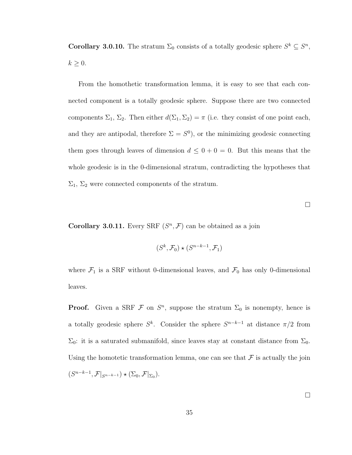**Corollary 3.0.10.** The stratum  $\Sigma_0$  consists of a totally geodesic sphere  $S^k \subseteq S^n$ ,  $k \geq 0$ .

From the homothetic transformation lemma, it is easy to see that each connected component is a totally geodesic sphere. Suppose there are two connected components  $\Sigma_1$ ,  $\Sigma_2$ . Then either  $d(\Sigma_1, \Sigma_2) = \pi$  (i.e. they consist of one point each, and they are antipodal, therefore  $\Sigma = S^{0}$ , or the minimizing geodesic connecting them goes through leaves of dimension  $d \leq 0 + 0 = 0$ . But this means that the whole geodesic is in the 0-dimensional stratum, contradicting the hypotheses that  $\Sigma_1$ ,  $\Sigma_2$  were connected components of the stratum.

 $\Box$ 

Corollary 3.0.11. Every SRF  $(S<sup>n</sup>, F)$  can be obtained as a join

$$
(S^k, \mathcal{F}_0) \star (S^{n-k-1}, \mathcal{F}_1)
$$

where  $\mathcal{F}_1$  is a SRF without 0-dimensional leaves, and  $\mathcal{F}_0$  has only 0-dimensional leaves.

**Proof.** Given a SRF  $\mathcal F$  on  $S^n$ , suppose the stratum  $\Sigma_0$  is nonempty, hence is a totally geodesic sphere  $S^k$ . Consider the sphere  $S^{n-k-1}$  at distance  $\pi/2$  from  $\Sigma_0$ : it is a saturated submanifold, since leaves stay at constant distance from  $\Sigma_0$ . Using the homotetic transformation lemma, one can see that  $\mathcal F$  is actually the join  $(S^{n-k-1}, \mathcal{F}|_{S^{n-k-1}}) \star (\Sigma_0, \mathcal{F}|_{\Sigma_0}).$ 

 $\Box$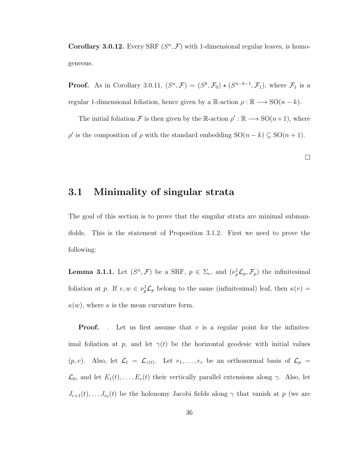Corollary 3.0.12. Every SRF  $(S<sup>n</sup>, F)$  with 1-dimensional regular leaves, is homogeneous.

**Proof.** As in Corollary 3.0.11,  $(S^n, \mathcal{F}) = (S^k, \mathcal{F}_0) \star (S^{n-k-1}, \mathcal{F}_1)$ , where  $\mathcal{F}_1$  is a regular 1-dimensional foliation, hence given by a R-action  $\rho : \mathbb{R} \longrightarrow SO(n-k)$ .

The initial foliation F is then given by the R-action  $\rho' : \mathbb{R} \longrightarrow SO(n+1)$ , where  $ρ'$  is the composition of  $ρ$  with the standard embedding SO(n – k) ⊆ SO(n + 1).

 $\Box$ 

### 3.1 Minimality of singular strata

The goal of this section is to prove that the singular strata are minimal submanifolds. This is the statement of Proposition 3.1.2. First we need to prove the following:

**Lemma 3.1.1.** Let  $(S^n, \mathcal{F})$  be a SRF,  $p \in \Sigma_r$ , and  $(\nu_p^1 \mathcal{L}_p, \mathcal{F}_p)$  the infinitesimal foliation at p. If  $v, w \in \nu_p^1 \mathcal{L}_p$  belong to the same (infinitesimal) leaf, then  $\kappa(v) =$  $\kappa(w)$ , where  $\kappa$  is the mean curvature form.

**Proof.** . Let us first assume that v is a regular point for the infinitesimal foliation at p, and let  $\gamma(t)$  be the horizontal geodesic with initial values  $(p, v)$ . Also, let  $\mathcal{L}_t = \mathcal{L}_{\gamma(t)}$ . Let  $e_1, \ldots, e_r$  be an orthonormal basis of  $\mathcal{L}_p =$  $\mathcal{L}_0$ , and let  $E_1(t), \ldots, E_r(t)$  their vertically parallel extensions along  $\gamma$ . Also, let  $J_{r+1}(t), \ldots, J_{r_0}(t)$  be the holonomy Jacobi fields along  $\gamma$  that vanish at p (we are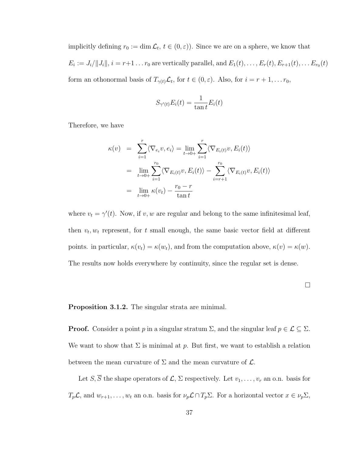implicitly defining  $r_0 := \dim \mathcal{L}_t$ ,  $t \in (0, \varepsilon)$ . Since we are on a sphere, we know that  $E_i := J_i / ||J_i||, i = r+1 \dots r_0$  are vertically parallel, and  $E_1(t), \dots, E_r(t), E_{r+1}(t), \dots E_{r_0}(t)$ form an othonormal basis of  $T_{\gamma(t)}\mathcal{L}_t$ , for  $t \in (0,\varepsilon)$ . Also, for  $i = r + 1, \ldots r_0$ ,

$$
S_{\gamma'(t)}E_i(t) = \frac{1}{\tan t}E_i(t)
$$

Therefore, we have

$$
\kappa(v) = \sum_{i=1}^{r} \langle \nabla_{e_i} v, e_i \rangle = \lim_{t \to 0+} \sum_{i=1}^{r} \langle \nabla_{E_i(t)} v, E_i(t) \rangle
$$
  
\n
$$
= \lim_{t \to 0+} \sum_{i=1}^{r_0} \langle \nabla_{E_i(t)} v, E_i(t) \rangle - \sum_{i=r+1}^{r_0} \langle \nabla_{E_i(t)} v, E_i(t) \rangle
$$
  
\n
$$
= \lim_{t \to 0+} \kappa(v_t) - \frac{r_0 - r}{\tan t}
$$

where  $v_t = \gamma'(t)$ . Now, if v, w are regular and belong to the same infinitesimal leaf, then  $v_t, w_t$  represent, for t small enough, the same basic vector field at different points. in particular,  $\kappa(v_t) = \kappa(w_t)$ , and from the computation above,  $\kappa(v) = \kappa(w)$ . The results now holds everywhere by continuity, since the regular set is dense.

Proposition 3.1.2. The singular strata are minimal.

**Proof.** Consider a point p in a singular stratum  $\Sigma$ , and the singular leaf  $p \in \mathcal{L} \subseteq \Sigma$ . We want to show that  $\Sigma$  is minimal at p. But first, we want to establish a relation between the mean curvature of  $\Sigma$  and the mean curvature of  $\mathcal{L}$ .

Let  $S, \overline{S}$  the shape operators of  $\mathcal{L}, \Sigma$  respectively. Let  $v_1, \ldots, v_r$  an o.n. basis for  $T_p\mathcal{L}$ , and  $w_{r+1}, \ldots, w_t$  an o.n. basis for  $\nu_p\mathcal{L} \cap T_p\Sigma$ . For a horizontal vector  $x \in \nu_p\Sigma$ ,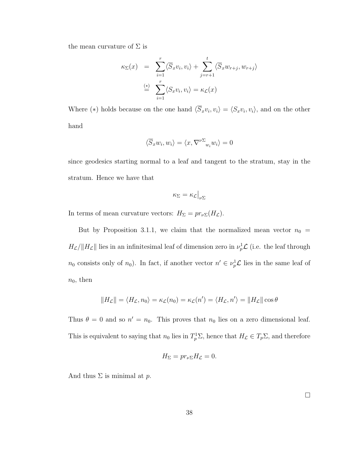the mean curvature of  $\Sigma$  is

$$
\kappa_{\Sigma}(x) = \sum_{i=1}^{r} \langle \overline{S}_x v_i, v_i \rangle + \sum_{j=r+1}^{t} \langle \overline{S}_x w_{r+j}, w_{r+j} \rangle
$$
  
\n
$$
\stackrel{(*)}{=} \sum_{i=1}^{r} \langle S_x v_i, v_i \rangle = \kappa_{\mathcal{L}}(x)
$$

Where (\*) holds because on the one hand  $\langle \overline{S}_x v_i, v_i \rangle = \langle S_x v_i, v_i \rangle$ , and on the other hand

$$
\langle \overline{S}_x w_i, w_i \rangle = \langle x, \nabla^{\nu \Sigma} w_i w_i \rangle = 0
$$

since geodesics starting normal to a leaf and tangent to the stratum, stay in the stratum. Hence we have that

$$
\kappa_{\Sigma} = \kappa_{\mathcal{L}} \big|_{\nu \Sigma}
$$

In terms of mean curvature vectors:  $H_{\Sigma} = pr_{\nu\Sigma}(H_{\mathcal{L}})$ .

But by Proposition 3.1.1, we claim that the normalized mean vector  $n_0$  =  $H_{\mathcal{L}}/||H_{\mathcal{L}}||$  lies in an infinitesimal leaf of dimension zero in  $\nu_p^1 \mathcal{L}$  (i.e. the leaf through  $n_0$  consists only of  $n_0$ ). In fact, if another vector  $n' \in \nu_p^1 \mathcal{L}$  lies in the same leaf of  $n_0$ , then

$$
||H_{\mathcal{L}}|| = \langle H_{\mathcal{L}}, n_0 \rangle = \kappa_{\mathcal{L}}(n_0) = \kappa_{\mathcal{L}}(n') = \langle H_{\mathcal{L}}, n' \rangle = ||H_{\mathcal{L}}|| \cos \theta
$$

Thus  $\theta = 0$  and so  $n' = n_0$ . This proves that  $n_0$  lies on a zero dimensional leaf. This is equivalent to saying that  $n_0$  lies in  $T_p^1\Sigma$ , hence that  $H_{\mathcal{L}} \in T_p\Sigma$ , and therefore

$$
H_{\Sigma} = pr_{\nu\Sigma} H_{\mathcal{L}} = 0.
$$

And thus  $\Sigma$  is minimal at p.

 $\Box$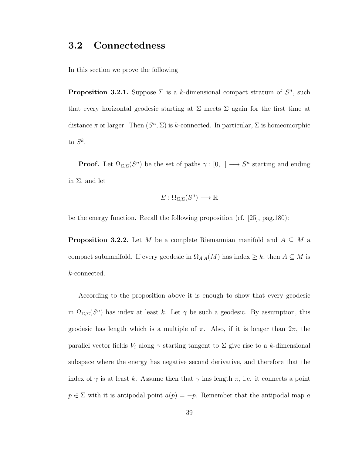## 3.2 Connectedness

In this section we prove the following

**Proposition 3.2.1.** Suppose  $\Sigma$  is a k-dimensional compact stratum of  $S<sup>n</sup>$ , such that every horizontal geodesic starting at  $\Sigma$  meets  $\Sigma$  again for the first time at distance  $\pi$  or larger. Then  $(S<sup>n</sup>, \Sigma)$  is k-connected. In particular,  $\Sigma$  is homeomorphic to  $S^k$ .

**Proof.** Let  $\Omega_{\Sigma,\Sigma}(S^n)$  be the set of paths  $\gamma: [0,1] \longrightarrow S^n$  starting and ending in  $\Sigma$ , and let

$$
E:\Omega_{\Sigma,\Sigma}(S^n)\longrightarrow\mathbb{R}
$$

be the energy function. Recall the following proposition (cf. [25], pag.180):

**Proposition 3.2.2.** Let M be a complete Riemannian manifold and  $A \subseteq M$  a compact submanifold. If every geodesic in  $\Omega_{A,A}(M)$  has index  $\geq k$ , then  $A \subseteq M$  is k-connected.

According to the proposition above it is enough to show that every geodesic in  $\Omega_{\Sigma,\Sigma}(S^n)$  has index at least k. Let  $\gamma$  be such a geodesic. By assumption, this geodesic has length which is a multiple of  $\pi$ . Also, if it is longer than  $2\pi$ , the parallel vector fields  $V_i$  along  $\gamma$  starting tangent to  $\Sigma$  give rise to a k-dimensional subspace where the energy has negative second derivative, and therefore that the index of  $\gamma$  is at least k. Assume then that  $\gamma$  has length  $\pi$ , i.e. it connects a point  $p \in \Sigma$  with it is antipodal point  $a(p) = -p$ . Remember that the antipodal map a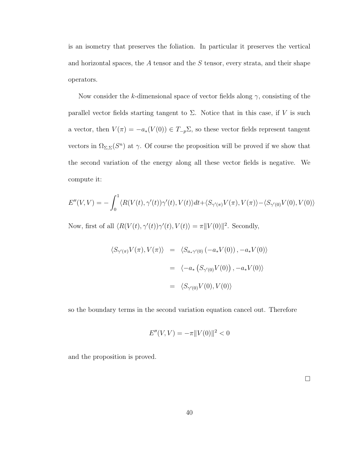is an isometry that preserves the foliation. In particular it preserves the vertical and horizontal spaces, the  $A$  tensor and the  $S$  tensor, every strata, and their shape operators.

Now consider the k-dimensional space of vector fields along  $\gamma$ , consisting of the parallel vector fields starting tangent to  $\Sigma$ . Notice that in this case, if V is such a vector, then  $V(\pi) = -a_*(V(0)) \in T_{-p} \Sigma$ , so these vector fields represent tangent vectors in  $\Omega_{\Sigma,\Sigma}(S^n)$  at  $\gamma$ . Of course the proposition will be proved if we show that the second variation of the energy along all these vector fields is negative. We compute it:

$$
E''(V,V) = -\int_0^1 \langle R(V(t), \gamma'(t))\gamma'(t), V(t) \rangle dt + \langle S_{\gamma'(\pi)}V(\pi), V(\pi) \rangle - \langle S_{\gamma'(0)}V(0), V(0) \rangle
$$

Now, first of all  $\langle R(V(t), \gamma'(t))\gamma'(t), V(t)\rangle = \pi ||V(0)||^2$ . Secondly,

$$
\langle S_{\gamma'(\pi)} V(\pi), V(\pi) \rangle = \langle S_{a_*\gamma'(0)} (-a_* V(0)), -a_* V(0) \rangle
$$
  

$$
= \langle -a_* \left( S_{\gamma'(0)} V(0) \right), -a_* V(0) \rangle
$$
  

$$
= \langle S_{\gamma'(0)} V(0), V(0) \rangle
$$

so the boundary terms in the second variation equation cancel out. Therefore

$$
E''(V, V) = -\pi ||V(0)||^2 < 0
$$

and the proposition is proved.

 $\Box$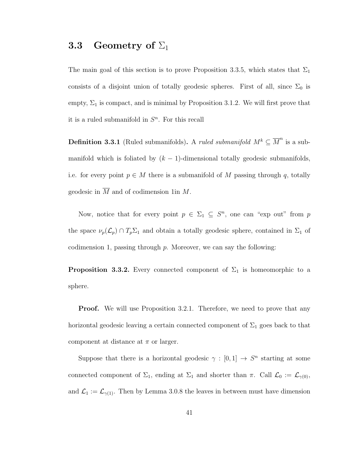# **3.3** Geometry of  $\Sigma_1$

The main goal of this section is to prove Proposition 3.3.5, which states that  $\Sigma_1$ consists of a disjoint union of totally geodesic spheres. First of all, since  $\Sigma_0$  is empty,  $\Sigma_1$  is compact, and is minimal by Proposition 3.1.2. We will first prove that it is a ruled submanifold in  $S<sup>n</sup>$ . For this recall

**Definition 3.3.1** (Ruled submanifolds). A *ruled submanifold*  $M^k \subseteq \overline{M}^n$  is a submanifold which is foliated by  $(k - 1)$ -dimensional totally geodesic submanifolds, i.e. for every point  $p \in M$  there is a submanifold of M passing through q, totally geodesic in  $\overline{M}$  and of codimension 1in M.

Now, notice that for every point  $p \in \Sigma_1 \subseteq S^n$ , one can "exp out" from p the space  $\nu_p(\mathcal{L}_p) \cap T_p \Sigma_1$  and obtain a totally geodesic sphere, contained in  $\Sigma_1$  of codimension 1, passing through  $p$ . Moreover, we can say the following:

**Proposition 3.3.2.** Every connected component of  $\Sigma_1$  is homeomorphic to a sphere.

**Proof.** We will use Proposition 3.2.1. Therefore, we need to prove that any horizontal geodesic leaving a certain connected component of  $\Sigma_1$  goes back to that component at distance at  $\pi$  or larger.

Suppose that there is a horizontal geodesic  $\gamma : [0,1] \to S^n$  starting at some connected component of  $\Sigma_1$ , ending at  $\Sigma_1$  and shorter than  $\pi$ . Call  $\mathcal{L}_0 := \mathcal{L}_{\gamma(0)}$ , and  $\mathcal{L}_1 := \mathcal{L}_{\gamma(1)}$ . Then by Lemma 3.0.8 the leaves in between must have dimension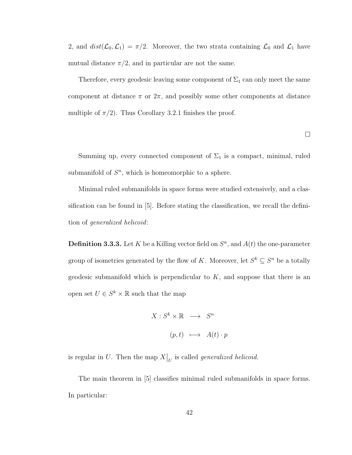2, and  $dist(\mathcal{L}_0, \mathcal{L}_1) = \pi/2$ . Moreover, the two strata containing  $\mathcal{L}_0$  and  $\mathcal{L}_1$  have mutual distance  $\pi/2$ , and in particular are not the same.

Therefore, every geodesic leaving some component of  $\Sigma_1$  can only meet the same component at distance  $\pi$  or  $2\pi$ , and possibly some other components at distance multiple of  $\pi/2$ ). Thus Corollary 3.2.1 finishes the proof.

 $\Box$ 

Summing up, every connected component of  $\Sigma_1$  is a compact, minimal, ruled submanifold of  $S<sup>n</sup>$ , which is homeomorphic to a sphere.

Minimal ruled submanifolds in space forms were studied extensively, and a classification can be found in [5]. Before stating the classification, we recall the definition of generalized helicoid:

**Definition 3.3.3.** Let K be a Killing vector field on  $S<sup>n</sup>$ , and  $A(t)$  the one-parameter group of isometries generated by the flow of K. Moreover, let  $S^k \subseteq S^n$  be a totally geodesic submanifold which is perpendicular to  $K$ , and suppose that there is an open set  $U \in S^k \times \mathbb{R}$  such that the map

$$
X: S^k \times \mathbb{R} \longrightarrow S^n
$$
  

$$
(p, t) \longmapsto A(t) \cdot p
$$

is regular in U. Then the map  $X|_U$  is called *generalized helicoid*.

The main theorem in [5] classifies minimal ruled submanifolds in space forms. In particular: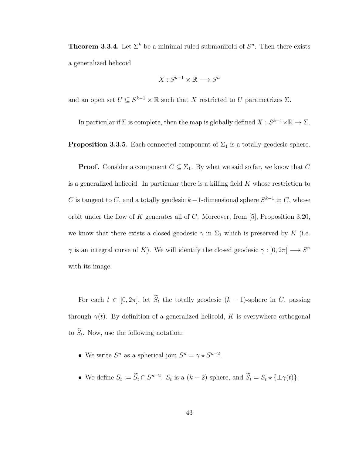**Theorem 3.3.4.** Let  $\Sigma^k$  be a minimal ruled submanifold of  $S^n$ . Then there exists a generalized helicoid

$$
X: S^{k-1} \times \mathbb{R} \longrightarrow S^n
$$

and an open set  $U \subseteq S^{k-1} \times \mathbb{R}$  such that X restricted to U parametrizes  $\Sigma$ .

In particular if  $\Sigma$  is complete, then the map is globally defined  $X: S^{k-1} \times \mathbb{R} \to \Sigma$ .

**Proposition 3.3.5.** Each connected component of  $\Sigma_1$  is a totally geodesic sphere.

**Proof.** Consider a component  $C \subseteq \Sigma_1$ . By what we said so far, we know that C is a generalized helicoid. In particular there is a killing field  $K$  whose restriction to C is tangent to C, and a totally geodesic  $k-1$ -dimensional sphere  $S^{k-1}$  in C, whose orbit under the flow of K generates all of C. Moreover, from [5], Proposition 3.20, we know that there exists a closed geodesic  $\gamma$  in  $\Sigma_1$  which is preserved by K (i.e.  $\gamma$  is an integral curve of K). We will identify the closed geodesic  $\gamma : [0, 2\pi] \longrightarrow S^n$ with its image.

For each  $t \in [0, 2\pi]$ , let  $\widetilde{S}_t$  the totally geodesic  $(k-1)$ -sphere in C, passing through  $\gamma(t)$ . By definition of a generalized helicoid, K is everywhere orthogonal to  $S_t$ . Now, use the following notation:

- We write  $S^n$  as a spherical join  $S^n = \gamma \star S^{n-2}$ .
- We define  $S_t := \tilde{S}_t \cap S^{n-2}$ .  $S_t$  is a  $(k-2)$ -sphere, and  $\tilde{S}_t = S_t \star \{\pm \gamma(t)\}.$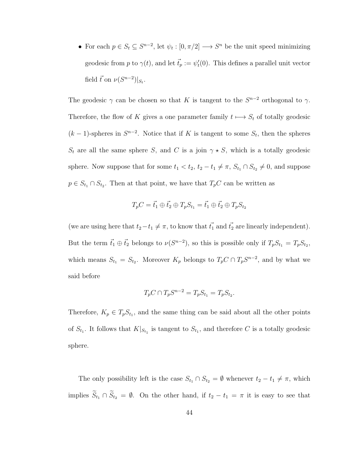• For each  $p \in S_t \subseteq S^{n-2}$ , let  $\psi_t : [0, \pi/2] \longrightarrow S^n$  be the unit speed minimizing geodesic from p to  $\gamma(t)$ , and let  $\vec{t}_p := \psi_t'(0)$ . This defines a parallel unit vector field  $\vec{t}$  on  $\nu(S^{n-2})|_{S_t}$ .

The geodesic  $\gamma$  can be chosen so that K is tangent to the  $S^{n-2}$  orthogonal to  $\gamma$ . Therefore, the flow of K gives a one parameter family  $t \mapsto S_t$  of totally geodesic  $(k-1)$ -spheres in  $S^{n-2}$ . Notice that if K is tangent to some  $S_t$ , then the spheres  $S_t$  are all the same sphere S, and C is a join  $\gamma \star S$ , which is a totally geodesic sphere. Now suppose that for some  $t_1 < t_2$ ,  $t_2 - t_1 \neq \pi$ ,  $S_{t_1} \cap S_{t_2} \neq 0$ , and suppose  $p \in S_{t_1} \cap S_{t_2}$ . Then at that point, we have that  $T_pC$  can be written as

$$
T_pC = \vec{t}_1 \oplus \vec{t}_2 \oplus T_pS_{t_1} = \vec{t}_1 \oplus \vec{t}_2 \oplus T_pS_{t_2}
$$

(we are using here that  $t_2-t_1 \neq \pi$ , to know that  $t_1$  and  $t_2$  are linearly independent). But the term  $\vec{t}_1 \oplus \vec{t}_2$  belongs to  $\nu(S^{n-2})$ , so this is possible only if  $T_p S_{t_1} = T_p S_{t_2}$ , which means  $S_{t_1} = S_{t_2}$ . Moreover  $K_p$  belongs to  $T_p C \cap T_p S^{n-2}$ , and by what we said before

$$
T_p C \cap T_p S^{n-2} = T_p S_{t_1} = T_p S_{t_2}.
$$

Therefore,  $K_p \in T_p S_{t_1}$ , and the same thing can be said about all the other points of  $S_{t_1}$ . It follows that  $K|_{S_{t_1}}$  is tangent to  $S_{t_1}$ , and therefore C is a totally geodesic sphere.

The only possibility left is the case  $S_{t_1} \cap S_{t_2} = \emptyset$  whenever  $t_2 - t_1 \neq \pi$ , which implies  $\widetilde{S}_{t_1} \cap \widetilde{S}_{t_2} = \emptyset$ . On the other hand, if  $t_2 - t_1 = \pi$  it is easy to see that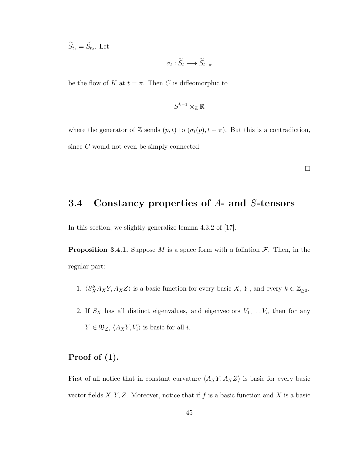$S_{t_1} = S_{t_2}$ . Let

$$
\sigma_t : \widetilde{S}_t \longrightarrow \widetilde{S}_{t+\pi}
$$

be the flow of K at  $t = \pi$ . Then C is diffeomorphic to

$$
S^{k-1}\times_\mathbb{Z} \mathbb{R}
$$

where the generator of Z sends  $(p, t)$  to  $(\sigma_t(p), t + \pi)$ . But this is a contradiction, since C would not even be simply connected.

 $\Box$ 

# 3.4 Constancy properties of A- and S-tensors

In this section, we slightly generalize lemma 4.3.2 of [17].

**Proposition 3.4.1.** Suppose M is a space form with a foliation  $\mathcal{F}$ . Then, in the regular part:

- 1.  $\langle S_X^k A_X Y, A_X Z \rangle$  is a basic function for every basic X, Y, and every  $k \in \mathbb{Z}_{\geq 0}$ .
- 2. If  $S_X$  has all distinct eigenvalues, and eigenvectors  $V_1, \ldots V_n$  then for any  $Y \in \mathfrak{B}_{\mathcal{L}}, \langle A_X Y, V_i \rangle$  is basic for all *i*.

#### Proof of (1).

First of all notice that in constant curvature  $\langle A_XY, A_XZ \rangle$  is basic for every basic vector fields  $X, Y, Z$ . Moreover, notice that if f is a basic function and X is a basic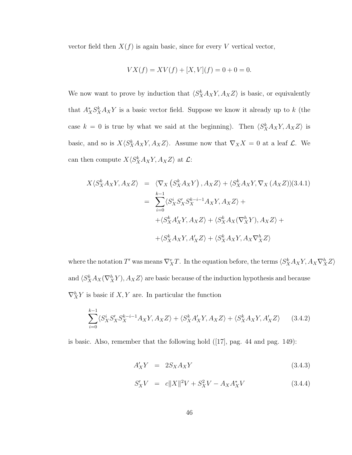vector field then  $X(f)$  is again basic, since for every V vertical vector,

$$
VX(f) = XV(f) + [X, V](f) = 0 + 0 = 0
$$

We now want to prove by induction that  $\langle S_X^k A_X Y, A_X Z \rangle$  is basic, or equivalently that  $A_X^* S_X^k A_X Y$  is a basic vector field. Suppose we know it already up to k (the case  $k = 0$  is true by what we said at the beginning). Then  $\langle S_X^k A_X Y, A_X Z \rangle$  is basic, and so is  $X\langle S_X^k A_X Y, A_X Z \rangle$ . Assume now that  $\nabla_X X = 0$  at a leaf  $\mathcal{L}$ . We can then compute  $X\langle S_X^k A_X Y, A_X Z \rangle$  at  $\mathcal{L}$ :

$$
X\langle S_X^k A_X Y, A_X Z \rangle = \langle \nabla_X \left( S_X^k A_X Y \right), A_X Z \rangle + \langle S_X^k A_X Y, \nabla_X \left( A_X Z \right) \rangle (3.4.1)
$$
  

$$
= \sum_{i=0}^{k-1} \langle S_X^i S_X' S_X^{k-i-1} A_X Y, A_X Z \rangle +
$$
  

$$
+ \langle S_X^k A_X' Y, A_X Z \rangle + \langle S_X^k A_X (\nabla_X^h Y), A_X Z \rangle +
$$
  

$$
+ \langle S_X^k A_X Y, A_X Z \rangle + \langle S_X^k A_X Y, A_X \nabla_X^h Z \rangle
$$

where the notation  $T'$  was means  $\nabla^v_X T$ . In the equation before, the terms  $\langle S^k_X A_X Y, A_X \nabla^h_X Z \rangle$ and  $\langle S_X^k A_X(\nabla_X^h Y), A_X Z \rangle$  are basic because of the induction hypothesis and because  $\nabla_X^h Y$  is basic if  $X, Y$  are. In particular the function

$$
\sum_{i=0}^{k-1} \langle S_X^i S_X' S_X^{k-i-1} A_X Y, A_X Z \rangle + \langle S_X^k A_X' Y, A_X Z \rangle + \langle S_X^k A_X Y, A_X' Z \rangle \tag{3.4.2}
$$

is basic. Also, remember that the following hold ([17], pag. 44 and pag. 149):

$$
A'_{X}Y = 2S_{X}A_{X}Y \qquad (3.4.3)
$$

$$
S'_X V = c||X||^2 V + S_X^2 V - A_X A_X^* V \tag{3.4.4}
$$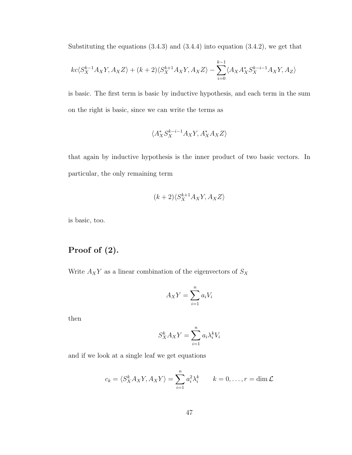Substituting the equations  $(3.4.3)$  and  $(3.4.4)$  into equation  $(3.4.2)$ , we get that

$$
kc\langle S_X^{k-1}A_XY,A_XZ\rangle + (k+2)\langle S_X^{k+1}A_XY,A_XZ\rangle - \sum_{i=0}^{k-1}\langle A_XA_X^*S_X^{k-i-1}A_XY,A_Z\rangle
$$

is basic. The first term is basic by inductive hypothesis, and each term in the sum on the right is basic, since we can write the terms as

$$
\langle A_X^*S_X^{k-i-1}A_XY, A_X^*A_XZ\rangle
$$

that again by inductive hypothesis is the inner product of two basic vectors. In particular, the only remaining term

$$
(k+2)\langle S_X^{k+1}A_XY, A_XZ\rangle
$$

is basic, too.

# Proof of (2).

Write  ${\mathcal A}_XY$  as a linear combination of the eigenvectors of  $S_X$ 

$$
A_X Y = \sum_{i=1}^n a_i V_i
$$

then

$$
S_X^k A_X Y = \sum_{i=1}^n a_i \lambda_i^k V_i
$$

and if we look at a single leaf we get equations

$$
c_k = \langle S_X^k A_X Y, A_X Y \rangle = \sum_{i=1}^n a_i^2 \lambda_i^k \qquad k = 0, \dots, r = \dim \mathcal{L}
$$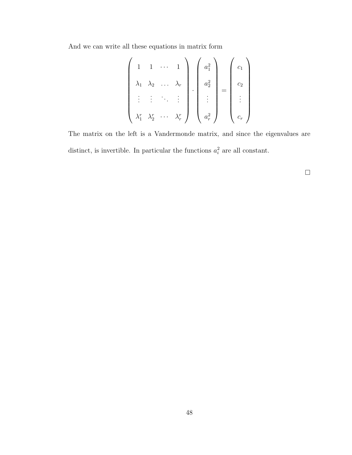And we can write all these equations in matrix form

$$
\begin{pmatrix}\n1 & 1 & \cdots & 1 \\
\lambda_1 & \lambda_2 & \cdots & \lambda_r \\
\vdots & \vdots & \ddots & \vdots \\
\lambda_1^r & \lambda_2^r & \cdots & \lambda_r^r\n\end{pmatrix}\n\cdot\n\begin{pmatrix}\na_1^2 \\
a_2^2 \\
\vdots \\
a_r^2\n\end{pmatrix}\n=\n\begin{pmatrix}\nc_1 \\
c_2 \\
\vdots \\
c_r\n\end{pmatrix}
$$

The matrix on the left is a Vandermonde matrix, and since the eigenvalues are distinct, is invertible. In particular the functions  $a_i^2$  are all constant.

 $\Box$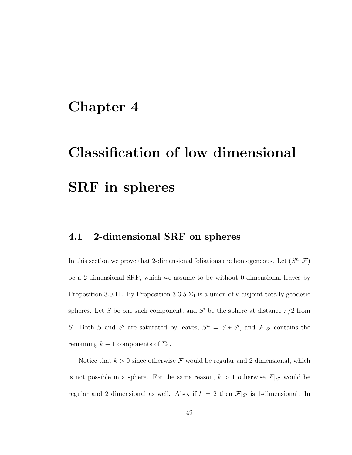# Chapter 4

# Classification of low dimensional SRF in spheres

# 4.1 2-dimensional SRF on spheres

In this section we prove that 2-dimensional foliations are homogeneous. Let  $(S^n, \mathcal{F})$ be a 2-dimensional SRF, which we assume to be without 0-dimensional leaves by Proposition 3.0.11. By Proposition 3.3.5  $\Sigma_1$  is a union of k disjoint totally geodesic spheres. Let S be one such component, and S' be the sphere at distance  $\pi/2$  from S. Both S and S' are saturated by leaves,  $S^n = S \star S'$ , and  $\mathcal{F}|_{S'}$  contains the remaining  $k - 1$  components of  $\Sigma_1$ .

Notice that  $k > 0$  since otherwise F would be regular and 2 dimensional, which is not possible in a sphere. For the same reason,  $k > 1$  otherwise  $\mathcal{F}|_{S'}$  would be regular and 2 dimensional as well. Also, if  $k = 2$  then  $\mathcal{F}|_{S'}$  is 1-dimensional. In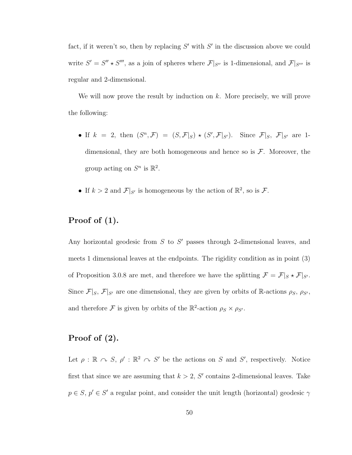fact, if it weren't so, then by replacing  $S'$  with  $S'$  in the discussion above we could write  $S' = S'' \star S'''$ , as a join of spheres where  $\mathcal{F}|_{S''}$  is 1-dimensional, and  $\mathcal{F}|_{S'''}$  is regular and 2-dimensional.

We will now prove the result by induction on  $k$ . More precisely, we will prove the following:

- If  $k = 2$ , then  $(S^n, \mathcal{F}) = (S, \mathcal{F}|_S) * (S', \mathcal{F}|_{S'})$ . Since  $\mathcal{F}|_S$ ,  $\mathcal{F}|_{S'}$  are 1dimensional, they are both homogeneous and hence so is  $\mathcal{F}$ . Moreover, the group acting on  $S^n$  is  $\mathbb{R}^2$ .
- If  $k > 2$  and  $\mathcal{F}|_{S'}$  is homogeneous by the action of  $\mathbb{R}^2$ , so is  $\mathcal{F}$ .

#### Proof of (1).

Any horizontal geodesic from  $S$  to  $S'$  passes through 2-dimensional leaves, and meets 1 dimensional leaves at the endpoints. The rigidity condition as in point (3) of Proposition 3.0.8 are met, and therefore we have the splitting  $\mathcal{F} = \mathcal{F}|_S \star \mathcal{F}|_{S'}$ . Since  $\mathcal{F}|_S$ ,  $\mathcal{F}|_{S'}$  are one dimensional, they are given by orbits of R-actions  $\rho_S$ ,  $\rho_{S'}$ , and therefore F is given by orbits of the  $\mathbb{R}^2$ -action  $\rho_S \times \rho_{S'}$ .

#### Proof of (2).

Let  $\rho : \mathbb{R} \cap S$ ,  $\rho' : \mathbb{R}^2 \cap S'$  be the actions on S and S', respectively. Notice first that since we are assuming that  $k > 2$ , S' contains 2-dimensional leaves. Take  $p \in S$ ,  $p' \in S'$  a regular point, and consider the unit length (horizontal) geodesic  $\gamma$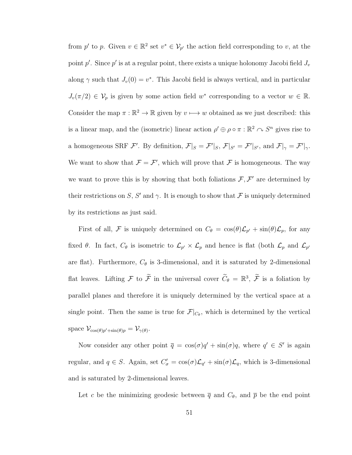from p' to p. Given  $v \in \mathbb{R}^2$  set  $v^* \in V_{p'}$  the action field corresponding to v, at the point  $p'$ . Since  $p'$  is at a regular point, there exists a unique holonomy Jacobi field  $J_v$ along  $\gamma$  such that  $J_v(0) = v^*$ . This Jacobi field is always vertical, and in particular  $J_v(\pi/2) \in \mathcal{V}_p$  is given by some action field w<sup>\*</sup> corresponding to a vector  $w \in \mathbb{R}$ . Consider the map  $\pi : \mathbb{R}^2 \to \mathbb{R}$  given by  $v \mapsto w$  obtained as we just described: this is a linear map, and the (isometric) linear action  $\rho' \oplus \rho \circ \pi : \mathbb{R}^2 \cap S^n$  gives rise to a homogeneous SRF F'. By definition,  $\mathcal{F}|_S = \mathcal{F}'|_S$ ,  $\mathcal{F}|_{S'} = \mathcal{F}'|_{S'}$ , and  $\mathcal{F}|_{\gamma} = \mathcal{F}'|_{\gamma}$ . We want to show that  $\mathcal{F} = \mathcal{F}'$ , which will prove that  $\mathcal F$  is homogeneous. The way we want to prove this is by showing that both foliations  $\mathcal{F}, \mathcal{F}'$  are determined by their restrictions on S, S' and  $\gamma$ . It is enough to show that F is uniquely determined by its restrictions as just said.

First of all, F is uniquely determined on  $C_{\theta} = \cos(\theta)\mathcal{L}_{p'} + \sin(\theta)\mathcal{L}_p$ , for any fixed  $\theta$ . In fact,  $C_{\theta}$  is isometric to  $\mathcal{L}_{p'} \times \mathcal{L}_p$  and hence is flat (both  $\mathcal{L}_p$  and  $\mathcal{L}_{p'}$ are flat). Furthermore,  $C_{\theta}$  is 3-dimensional, and it is saturated by 2-dimensional flat leaves. Lifting  $\mathcal F$  to  $\widetilde{\mathcal F}$  in the universal cover  $\widetilde{C}_{\theta} = \mathbb{R}^3$ ,  $\widetilde{\mathcal F}$  is a foliation by parallel planes and therefore it is uniquely determined by the vertical space at a single point. Then the same is true for  $\mathcal{F}|_{C_{\theta}}$ , which is determined by the vertical space  $\mathcal{V}_{\cos(\theta)p'+\sin(\theta)p} = \mathcal{V}_{\gamma(\theta)}$ .

Now consider any other point  $\bar{q} = \cos(\sigma)q' + \sin(\sigma)q$ , where  $q' \in S'$  is again regular, and  $q \in S$ . Again, set  $C'_{\sigma} = \cos(\sigma) \mathcal{L}_{q'} + \sin(\sigma) \mathcal{L}_{q}$ , which is 3-dimensional and is saturated by 2-dimensional leaves.

Let c be the minimizing geodesic between  $\bar{q}$  and  $C_{\theta}$ , and  $\bar{p}$  be the end point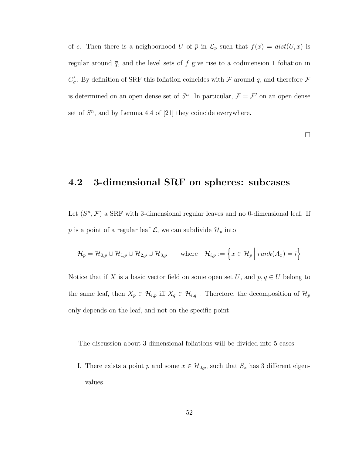of c. Then there is a neighborhood U of  $\bar{p}$  in  $\mathcal{L}_{\bar{p}}$  such that  $f(x) = dist(U, x)$  is regular around  $\bar{q}$ , and the level sets of f give rise to a codimension 1 foliation in  $C'_{\sigma}$ . By definition of SRF this foliation coincides with  $\mathcal F$  around  $\overline q$ , and therefore  $\mathcal F$ is determined on an open dense set of  $S<sup>n</sup>$ . In particular,  $\mathcal{F} = \mathcal{F}'$  on an open dense set of  $S<sup>n</sup>$ , and by Lemma 4.4 of [21] they coincide everywhere.

 $\Box$ 

# 4.2 3-dimensional SRF on spheres: subcases

Let  $(S<sup>n</sup>, F)$  a SRF with 3-dimensional regular leaves and no 0-dimensional leaf. If p is a point of a regular leaf  $\mathcal{L}$ , we can subdivide  $\mathcal{H}_p$  into

$$
\mathcal{H}_p = \mathcal{H}_{0,p} \cup \mathcal{H}_{1,p} \cup \mathcal{H}_{2,p} \cup \mathcal{H}_{3,p} \qquad \text{where} \quad \mathcal{H}_{i,p} := \left\{ x \in \mathcal{H}_p \mid \text{rank}(A_x) = i \right\}
$$

Notice that if X is a basic vector field on some open set U, and  $p, q \in U$  belong to the same leaf, then  $X_p \in \mathcal{H}_{i,p}$  iff  $X_q \in \mathcal{H}_{i,q}$ . Therefore, the decomposition of  $\mathcal{H}_p$ only depends on the leaf, and not on the specific point.

The discussion about 3-dimensional foliations will be divided into 5 cases:

I. There exists a point p and some  $x \in \mathcal{H}_{0,p}$ , such that  $S_x$  has 3 different eigenvalues.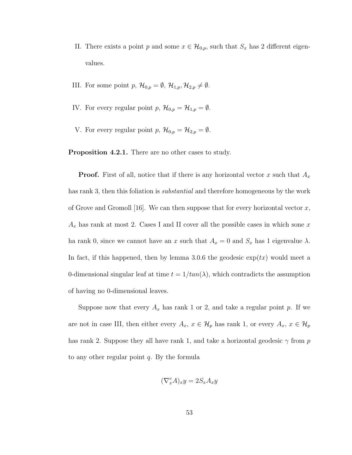- II. There exists a point p and some  $x \in \mathcal{H}_{0,p}$ , such that  $S_x$  has 2 different eigenvalues.
- III. For some point  $p, \mathcal{H}_{0,p} = \emptyset, \mathcal{H}_{1,p}, \mathcal{H}_{2,p} \neq \emptyset$ .
- IV. For every regular point  $p, \mathcal{H}_{0,p} = \mathcal{H}_{1,p} = \emptyset$ .
- V. For every regular point  $p, \mathcal{H}_{0,p} = \mathcal{H}_{2,p} = \emptyset$ .

Proposition 4.2.1. There are no other cases to study.

**Proof.** First of all, notice that if there is any horizontal vector x such that  $A_x$ has rank 3, then this foliation is *substantial* and therefore homogeneous by the work of Grove and Gromoll [16]. We can then suppose that for every horizontal vector  $x$ ,  $A_x$  has rank at most 2. Cases I and II cover all the possible cases in which sone x ha rank 0, since we cannot have an x such that  $A_x = 0$  and  $S_x$  has 1 eigenvalue  $\lambda$ . In fact, if this happened, then by lemma 3.0.6 the geodesic  $\exp(tx)$  would meet a 0-dimensional singular leaf at time  $t = 1/tan(\lambda)$ , which contradicts the assumption of having no 0-dimensional leaves.

Suppose now that every  $A_x$  has rank 1 or 2, and take a regular point p. If we are not in case III, then either every  $A_x$ ,  $x \in \mathcal{H}_p$  has rank 1, or every  $A_x$ ,  $x \in \mathcal{H}_p$ has rank 2. Suppose they all have rank 1, and take a horizontal geodesic  $\gamma$  from p to any other regular point  $q$ . By the formula

$$
(\nabla_x^v A)_x y = 2S_x A_x y
$$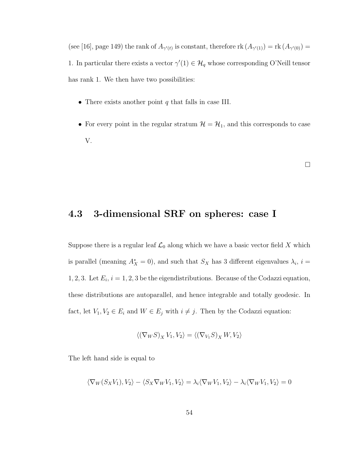(see [16], page 149) the rank of  $A_{\gamma'(t)}$  is constant, therefore rk  $(A_{\gamma'(1)}) = \text{rk}(A_{\gamma'(0)}) =$ 1. In particular there exists a vector  $\gamma'(1) \in \mathcal{H}_q$  whose corresponding O'Neill tensor has rank 1. We then have two possibilities:

- There exists another point  $q$  that falls in case III.
- For every point in the regular stratum  $\mathcal{H} = \mathcal{H}_1$ , and this corresponds to case V.

 $\Box$ 

#### 4.3 3-dimensional SRF on spheres: case I

Suppose there is a regular leaf  $\mathcal{L}_0$  along which we have a basic vector field X which is parallel (meaning  $A_X^* = 0$ ), and such that  $S_X$  has 3 different eigenvalues  $\lambda_i$ ,  $i =$ 1, 2, 3. Let  $E_i$ ,  $i = 1, 2, 3$  be the eigendistributions. Because of the Codazzi equation, these distributions are autoparallel, and hence integrable and totally geodesic. In fact, let  $V_1, V_2 \in E_i$  and  $W \in E_j$  with  $i \neq j$ . Then by the Codazzi equation:

$$
\langle (\nabla_W S)_X V_1, V_2 \rangle = \langle (\nabla_{V_1} S)_X W, V_2 \rangle
$$

The left hand side is equal to

$$
\langle \nabla_W(S_XV_1), V_2 \rangle - \langle S_X \nabla_W V_1, V_2 \rangle = \lambda_i \langle \nabla_W V_1, V_2 \rangle - \lambda_i \langle \nabla_W V_1, V_2 \rangle = 0
$$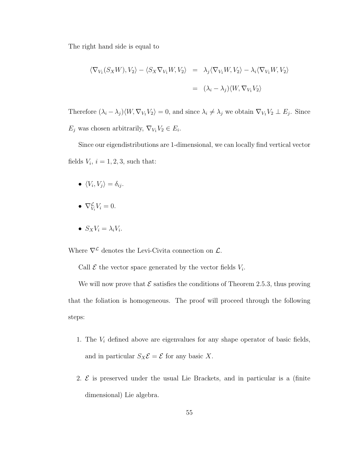The right hand side is equal to

$$
\langle \nabla_{V_1}(S_X W), V_2 \rangle - \langle S_X \nabla_{V_1} W, V_2 \rangle = \lambda_j \langle \nabla_{V_1} W, V_2 \rangle - \lambda_i \langle \nabla_{V_1} W, V_2 \rangle
$$
  
=  $(\lambda_i - \lambda_j) \langle W, \nabla_{V_1} V_2 \rangle$ 

Therefore  $(\lambda_i - \lambda_j) \langle W, \nabla_{V_1} V_2 \rangle = 0$ , and since  $\lambda_i \neq \lambda_j$  we obtain  $\nabla_{V_1} V_2 \perp E_j$ . Since  $E_j$  was chosen arbitrarily,  $\nabla_{V_1} V_2 \in E_i$ .

Since our eigendistributions are 1-dimensional, we can locally find vertical vector fields  $V_i$ ,  $i = 1, 2, 3$ , such that:

- $\bullet \ \langle V_i, V_j \rangle = \delta_{ij}.$
- $\nabla_{V_i}^{\mathcal{L}} V_i = 0.$
- $S_X V_i = \lambda_i V_i$ .

Where  $\nabla^{\mathcal{L}}$  denotes the Levi-Civita connection on  $\mathcal{L}$ .

Call  $\mathcal E$  the vector space generated by the vector fields  $V_i$ .

We will now prove that  $\mathcal E$  satisfies the conditions of Theorem 2.5.3, thus proving that the foliation is homogeneous. The proof will proceed through the following steps:

- 1. The  $V_i$  defined above are eigenvalues for any shape operator of basic fields, and in particular  $S_X \mathcal{E} = \mathcal{E}$  for any basic X.
- 2.  $\mathcal{E}$  is preserved under the usual Lie Brackets, and in particular is a (finite dimensional) Lie algebra.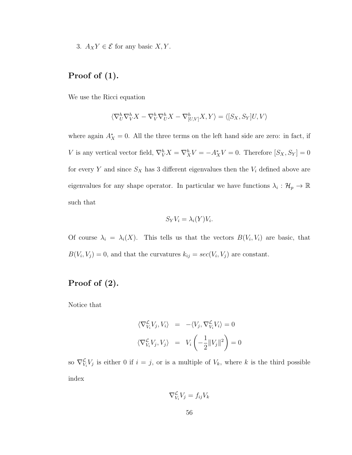3.  $A_X Y \in \mathcal{E}$  for any basic  $X, Y$ .

#### Proof of (1).

We use the Ricci equation

$$
\langle \nabla_U^h \nabla_V^h X - \nabla_V^h \nabla_U^h X - \nabla_{[U,V]}^h X, Y \rangle = \langle [S_X, S_Y] U, V \rangle
$$

where again  $A_X^* = 0$ . All the three terms on the left hand side are zero: in fact, if V is any vertical vector field,  $\nabla_V^h X = \nabla_X^h V = -A_X^* V = 0$ . Therefore  $[S_X, S_Y] = 0$ for every Y and since  $S_X$  has 3 different eigenvalues then the  $V_i$  defined above are eigenvalues for any shape operator. In particular we have functions  $\lambda_i: \mathcal{H}_p \to \mathbb{R}$ such that

$$
S_Y V_i = \lambda_i(Y) V_i.
$$

Of course  $\lambda_i = \lambda_i(X)$ . This tells us that the vectors  $B(V_i, V_i)$  are basic, that  $B(V_i, V_j) = 0$ , and that the curvatures  $k_{ij} = sec(V_i, V_j)$  are constant.

# Proof of (2).

Notice that

$$
\langle \nabla_{V_i}^{\mathcal{L}} V_j, V_i \rangle = - \langle V_j, \nabla_{V_i}^{\mathcal{L}} V_i \rangle = 0
$$
  

$$
\langle \nabla_{V_i}^{\mathcal{L}} V_j, V_j \rangle = V_i \left( -\frac{1}{2} ||V_j||^2 \right) = 0
$$

so  $\nabla_{V_i}^{\mathcal{L}} V_j$  is either 0 if  $i = j$ , or is a multiple of  $V_k$ , where k is the third possible index

$$
\nabla_{V_i}^{\mathcal{L}} V_j = f_{ij} V_k
$$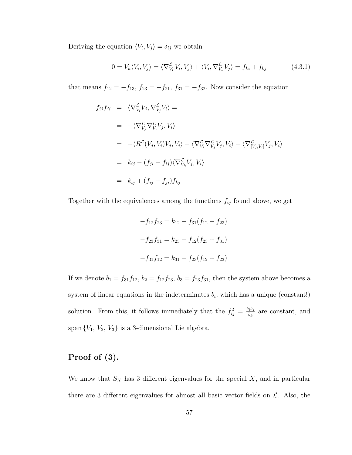Deriving the equation  $\langle V_i, V_j \rangle = \delta_{ij}$  we obtain

$$
0 = V_k \langle V_i, V_j \rangle = \langle \nabla^{\mathcal{L}}_{V_k} V_i, V_j \rangle + \langle V_i, \nabla^{\mathcal{L}}_{V_k} V_j \rangle = f_{ki} + f_{kj} \tag{4.3.1}
$$

that means  $f_{12} = -f_{13}$ ,  $f_{23} = -f_{21}$ ,  $f_{31} = -f_{32}$ . Now consider the equation

$$
f_{ij}f_{ji} = \langle \nabla^{\mathcal{L}}_{V_i} V_j, \nabla^{\mathcal{L}}_{V_j} V_i \rangle =
$$
  
\n
$$
= -\langle \nabla^{\mathcal{L}}_{V_j} \nabla^{\mathcal{L}}_{V_i} V_j, V_i \rangle
$$
  
\n
$$
= -\langle R^{\mathcal{L}}(V_j, V_i) V_j, V_i \rangle - \langle \nabla^{\mathcal{L}}_{V_i} \nabla^{\mathcal{L}}_{V_j} V_j, V_i \rangle - \langle \nabla^{\mathcal{L}}_{[V_j, V_i]} V_j, V_i \rangle
$$
  
\n
$$
= k_{ij} - (f_{ji} - f_{ij}) \langle \nabla^{\mathcal{L}}_{V_k} V_j, V_i \rangle
$$
  
\n
$$
= k_{ij} + (f_{ij} - f_{ji}) f_{kj}
$$

Together with the equivalences among the functions  $f_{ij}$  found above, we get

$$
-f_{12}f_{23} = k_{12} - f_{31}(f_{12} + f_{23})
$$

$$
-f_{23}f_{31} = k_{23} - f_{12}(f_{23} + f_{31})
$$

$$
-f_{31}f_{12} = k_{31} - f_{23}(f_{12} + f_{23})
$$

If we denote  $b_1 = f_{31}f_{12}, b_2 = f_{12}f_{23}, b_3 = f_{23}f_{31}$ , then the system above becomes a system of linear equations in the indeterminates  $b_i$ , which has a unique (constant!) solution. From this, it follows immediately that the  $f_{ij}^2 = \frac{b_i b_j}{b_k}$  $\frac{b_i b_j}{b_k}$  are constant, and span  $\{V_1, V_2, V_3\}$  is a 3-dimensional Lie algebra.

#### Proof of (3).

We know that  $S_X$  has 3 different eigenvalues for the special  $X$ , and in particular there are 3 different eigenvalues for almost all basic vector fields on  $\mathcal{L}$ . Also, the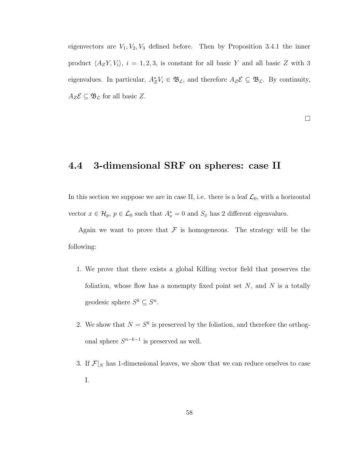eigenvectors are  $V_1, V_2, V_3$  defined before. Then by Proposition 3.4.1 the inner product  $\langle A_Z Y, V_i \rangle$ ,  $i = 1, 2, 3$ , is constant for all basic Y and all basic Z with 3 eigenvalues. In particular,  $A_Z^* V_i \in \mathfrak{B}_{\mathcal{L}}$ , and therefore  $A_Z \mathcal{E} \subseteq \mathfrak{B}_{\mathcal{L}}$ . By continuity,  $A_Z \mathcal{E} \subseteq \mathfrak{B}_{\mathcal{L}}$  for all basic Z.

 $\Box$ 

# 4.4 3-dimensional SRF on spheres: case II

In this section we suppose we are in case II, i.e. there is a leaf  $\mathcal{L}_0$ , with a horizontal vector  $x \in \mathcal{H}_p$ ,  $p \in \mathcal{L}_0$  such that  $A_x^* = 0$  and  $S_x$  has 2 different eigenvalues.

Again we want to prove that  $\mathcal F$  is homogeneous. The strategy will be the following:

- 1. We prove that there exists a global Killing vector field that preserves the foliation, whose flow has a nonempty fixed point set  $N$ , and  $N$  is a totally geodesic sphere  $S^k \subseteq S^n$ .
- 2. We show that  $N = S^k$  is preserved by the foliation, and therefore the orthogonal sphere  $S^{n-k-1}$  is preserved as well.
- 3. If  $\mathcal{F}|_N$  has 1-dimensional leaves, we show that we can reduce orselves to case I.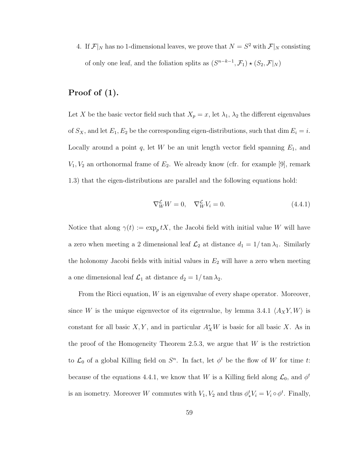4. If  $\mathcal{F}|_N$  has no 1-dimensional leaves, we prove that  $N = S^2$  with  $\mathcal{F}|_N$  consisting of only one leaf, and the foliation splits as  $(S^{n-k-1}, \mathcal{F}_1) \star (S_2, \mathcal{F}|_N)$ 

#### Proof of (1).

Let X be the basic vector field such that  $X_p = x$ , let  $\lambda_1$ ,  $\lambda_2$  the different eigenvalues of  $S_X$ , and let  $E_1, E_2$  be the corresponding eigen-distributions, such that dim  $E_i = i$ . Locally around a point  $q$ , let W be an unit length vector field spanning  $E_1$ , and  $V_1, V_2$  an orthonormal frame of  $E_2$ . We already know (cfr. for example [9], remark 1.3) that the eigen-distributions are parallel and the following equations hold:

$$
\nabla^{\mathcal{L}}_{W}W = 0, \quad \nabla^{\mathcal{L}}_{W}V_{i} = 0. \tag{4.4.1}
$$

Notice that along  $\gamma(t) := \exp_p tX$ , the Jacobi field with initial value W will have a zero when meeting a 2 dimensional leaf  $\mathcal{L}_2$  at distance  $d_1 = 1/\tan \lambda_1$ . Similarly the holonomy Jacobi fields with initial values in  $E_2$  will have a zero when meeting a one dimensional leaf  $\mathcal{L}_1$  at distance  $d_2 = 1/\tan \lambda_2$ .

From the Ricci equation,  $W$  is an eigenvalue of every shape operator. Moreover, since W is the unique eigenvector of its eigenvalue, by lemma 3.4.1  $\langle A_X Y, W \rangle$  is constant for all basic  $X, Y$ , and in particular  $A_X^*W$  is basic for all basic X. As in the proof of the Homogeneity Theorem 2.5.3, we argue that  $W$  is the restriction to  $\mathcal{L}_0$  of a global Killing field on  $S^n$ . In fact, let  $\phi^t$  be the flow of W for time t: because of the equations 4.4.1, we know that W is a Killing field along  $\mathcal{L}_0$ , and  $\phi^t$ is an isometry. Moreover W commutes with  $V_1, V_2$  and thus  $\phi_*^t V_i = V_i \circ \phi^t$ . Finally,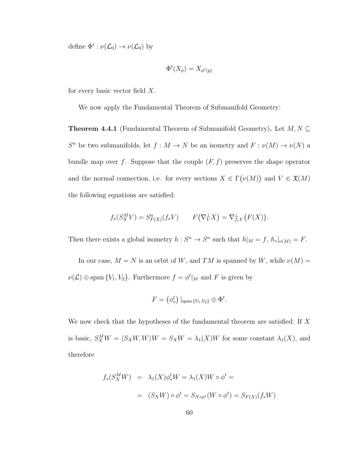define  $\Phi^t: \nu(\mathcal{L}_0) \to \nu(\mathcal{L}_0)$  by

$$
\Phi^t(X_p) = X_{\phi^t(p)}
$$

for every basic vector field  $X$ .

We now apply the Fundamental Theorem of Submanifold Geometry:

**Theorem 4.4.1** (Fundamental Theorem of Submanifold Geometry). Let  $M, N \subseteq$  $S<sup>n</sup>$  be two submanifolds, let  $f : M \to N$  be an isometry and  $F : \nu(M) \to \nu(N)$  a bundle map over f. Suppose that the couple  $(F, f)$  preserves the shape operator and the normal connection, i.e. for every sections  $X \in \Gamma(\nu(M))$  and  $V \in \mathfrak{X}(M)$ the following equations are satisfied:

$$
f_*(S_X^M V) = S_{F(X)}^n(f_* V) \qquad F(\nabla_V^{\perp} X) = \nabla_{f_*V}^{\perp}(F(X)).
$$

Then there exists a global isometry  $h: S^n \to S^n$  such that  $h|_M = f$ ,  $h_*|_{\nu(M)} = F$ .

In our case,  $M = N$  is an orbit of W, and TM is spanned by W, while  $\nu(M) =$  $\nu(\mathcal{L}) \oplus \text{span}\{V_1, V_2\}.$  Furthermore  $f = \phi^t|_M$  and F is given by

$$
F = \left(\phi_*^t\right)|_{\text{span}\{V_1, V_2\}} \oplus \Phi^t.
$$

We now check that the hypotheses of the fundamental theorem are satisfied: If X is basic,  $S_X^M W = \langle S_X W, W \rangle W = S_X W = \lambda_1(X) W$  for some constant  $\lambda_1(X)$ , and therefore

$$
f_*(S_X^M W) = \lambda_1(X)\phi_*^t W = \lambda_1(X)W \circ \phi^t =
$$
  

$$
= (S_X W) \circ \phi^t = S_{X \circ \phi^t}(W \circ \phi^t) = S_{F(X)}(f_* W)
$$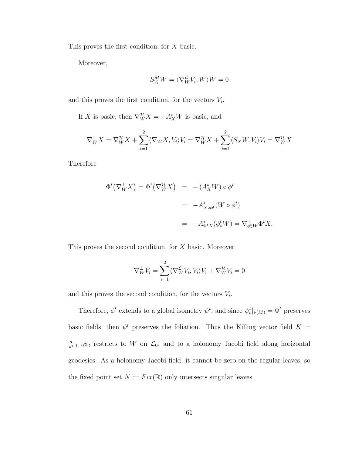This proves the first condition, for X basic.

Moreover,

$$
S^M_{V_i} W = \langle \nabla^{\mathcal{L}}_W V_i, W \rangle W = 0
$$

and this proves the first condition, for the vectors  $V_i$ .

If X is basic, then  $\nabla_W^{\mathcal{H}} X = -A_X^* W$  is basic, and

$$
\nabla_W^{\perp} X = \nabla_W^{\mathcal{H}} X + \sum_{i=1}^2 \langle \nabla_W X, V_i \rangle V_i = \nabla_W^{\mathcal{H}} X + \sum_{i=1}^2 \langle S_X W, V_i \rangle V_i = \nabla_W^{\mathcal{H}} X
$$

Therefore

$$
\Phi^t(\nabla_W^{\perp}X) = \Phi^t(\nabla_W^{\mathcal{H}}X) = -(A_X^*W) \circ \phi^t
$$
  
=  $-A_{X \circ \phi^t}^*(W \circ \phi^t)$   
=  $-A_{\Phi^t X}^*(\phi_*^t W) = \nabla_{\phi_*^t W}^{\perp} \Phi^t X.$ 

This proves the second condition, for X basic. Moreover

$$
\nabla_W^{\perp} V_i = \sum_{i=1}^2 \langle \nabla_W^{\mathcal{L}} V_i, V_i \rangle V_i + \nabla_W^{\mathcal{H}} V_i = 0
$$

and this proves the second condition, for the vectors  $V_i$ .

Therefore,  $\phi^t$  extends to a global isometry  $\psi^t$ , and since  $\psi_*^t|_{\nu(M)} = \Phi^t$  preserves basic fields, then  $\psi^t$  preserves the foliation. Thus the Killing vector field  $K =$  $\frac{d}{dt}|_{t=0}\psi_t$  restricts to W on  $\mathcal{L}_0$ , and to a holonomy Jacobi field along horizontal geodesics. As a holonomy Jacobi field, it cannot be zero on the regular leaves, so the fixed point set  $N := Fix(\mathbb{R})$  only intersects singular leaves.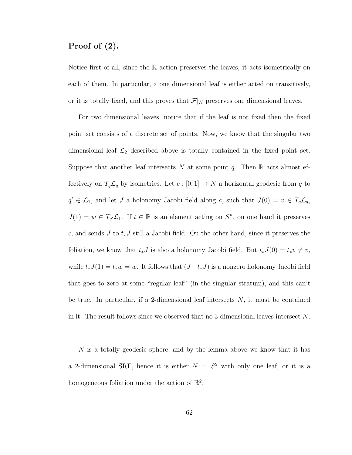#### Proof of (2).

Notice first of all, since the R action preserves the leaves, it acts isometrically on each of them. In particular, a one dimensional leaf is either acted on transitively, or it is totally fixed, and this proves that  $\mathcal{F}|_N$  preserves one dimensional leaves.

For two dimensional leaves, notice that if the leaf is not fixed then the fixed point set consists of a discrete set of points. Now, we know that the singular two dimensional leaf  $\mathcal{L}_2$  described above is totally contained in the fixed point set. Suppose that another leaf intersects N at some point q. Then  $\mathbb R$  acts almost effectively on  $T_q\mathcal{L}_q$  by isometries. Let  $c : [0,1] \to N$  a horizontal geodesic from q to  $q' \in \mathcal{L}_1$ , and let J a holonomy Jacobi field along c, such that  $J(0) = v \in T_q\mathcal{L}_q$ ,  $J(1) = w \in T_{q'}\mathcal{L}_1$ . If  $t \in \mathbb{R}$  is an element acting on  $S<sup>n</sup>$ , on one hand it preserves c, and sends J to  $t_*J$  still a Jacobi field. On the other hand, since it preserves the foliation, we know that  $t_*J$  is also a holonomy Jacobi field. But  $t_*J(0) = t_*v \neq v$ , while  $t_*J(1) = t_*w = w$ . It follows that  $(J-t_*J)$  is a nonzero holonomy Jacobi field that goes to zero at some "regular leaf" (in the singular stratum), and this can't be true. In particular, if a 2-dimensional leaf intersects  $N$ , it must be contained in it. The result follows since we observed that no 3-dimensional leaves intersect N.

N is a totally geodesic sphere, and by the lemma above we know that it has a 2-dimensional SRF, hence it is either  $N = S^2$  with only one leaf, or it is a homogeneous foliation under the action of  $\mathbb{R}^2$ .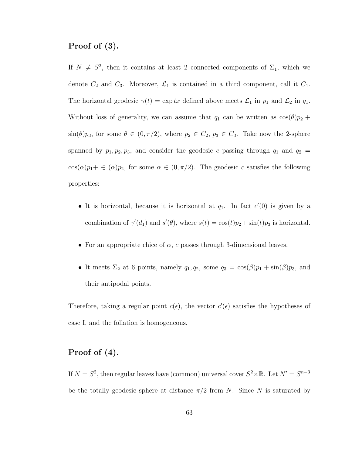# Proof of (3).

If  $N \neq S^2$ , then it contains at least 2 connected components of  $\Sigma_1$ , which we denote  $C_2$  and  $C_3$ . Moreover,  $\mathcal{L}_1$  is contained in a third component, call it  $C_1$ . The horizontal geodesic  $\gamma(t) = \exp tx$  defined above meets  $\mathcal{L}_1$  in  $p_1$  and  $\mathcal{L}_2$  in  $q_1$ . Without loss of generality, we can assume that  $q_1$  can be written as  $\cos(\theta)p_2 +$  $\sin(\theta)p_3$ , for some  $\theta \in (0, \pi/2)$ , where  $p_2 \in C_2$ ,  $p_3 \in C_3$ . Take now the 2-sphere spanned by  $p_1, p_2, p_3$ , and consider the geodesic c passing through  $q_1$  and  $q_2$  =  $\cos(\alpha)p_1 + \epsilon (\alpha)p_2$ , for some  $\alpha \in (0, \pi/2)$ . The geodesic c satisfies the following properties:

- It is horizontal, because it is horizontal at  $q_1$ . In fact  $c'(0)$  is given by a combination of  $\gamma'(d_1)$  and  $s'(\theta)$ , where  $s(t) = \cos(t)p_2 + \sin(t)p_3$  is horizontal.
- For an appropriate chice of  $\alpha$ , c passes through 3-dimensional leaves.
- It meets  $\Sigma_2$  at 6 points, namely  $q_1, q_2$ , some  $q_3 = \cos(\beta)p_1 + \sin(\beta)p_3$ , and their antipodal points.

Therefore, taking a regular point  $c(\epsilon)$ , the vector  $c'(\epsilon)$  satisfies the hypotheses of case I, and the foliation is homogeneous.

#### Proof of (4).

If  $N = S^2$ , then regular leaves have (common) universal cover  $S^2 \times \mathbb{R}$ . Let  $N' = S^{n-3}$ be the totally geodesic sphere at distance  $\pi/2$  from N. Since N is saturated by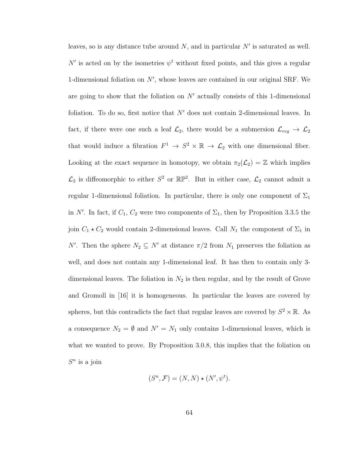leaves, so is any distance tube around  $N$ , and in particular  $N'$  is saturated as well. N' is acted on by the isometries  $\psi^t$  without fixed points, and this gives a regular 1-dimensional foliation on  $N'$ , whose leaves are contained in our original SRF. We are going to show that the foliation on  $N'$  actually consists of this 1-dimensional foliation. To do so, first notice that  $N'$  does not contain 2-dimensional leaves. In fact, if there were one such a leaf  $\mathcal{L}_2$ , there would be a submersion  $\mathcal{L}_{reg} \to \mathcal{L}_2$ that would induce a fibration  $F^1 \to S^2 \times \mathbb{R} \to \mathcal{L}_2$  with one dimensional fiber. Looking at the exact sequence in homotopy, we obtain  $\pi_2(\mathcal{L}_2) = \mathbb{Z}$  which implies  $\mathcal{L}_2$  is diffeomorphic to either  $S^2$  or  $\mathbb{RP}^2$ . But in either case,  $\mathcal{L}_2$  cannot admit a regular 1-dimensional foliation. In particular, there is only one component of  $\Sigma_1$ in N'. In fact, if  $C_1$ ,  $C_2$  were two components of  $\Sigma_1$ , then by Proposition 3.3.5 the join  $C_1 \star C_2$  would contain 2-dimensional leaves. Call  $N_1$  the component of  $\Sigma_1$  in N'. Then the sphere  $N_2 \subseteq N'$  at distance  $\pi/2$  from  $N_1$  preserves the foliation as well, and does not contain any 1-dimensional leaf. It has then to contain only 3 dimensional leaves. The foliation in  $N_2$  is then regular, and by the result of Grove and Gromoll in [16] it is homogeneous. In particular the leaves are covered by spheres, but this contradicts the fact that regular leaves are covered by  $S^2 \times \mathbb{R}$ . As a consequence  $N_2 = \emptyset$  and  $N' = N_1$  only contains 1-dimensional leaves, which is what we wanted to prove. By Proposition 3.0.8, this implies that the foliation on  $S^n$  is a join

$$
(S^n, \mathcal{F}) = (N, N) \star (N', \psi^t).
$$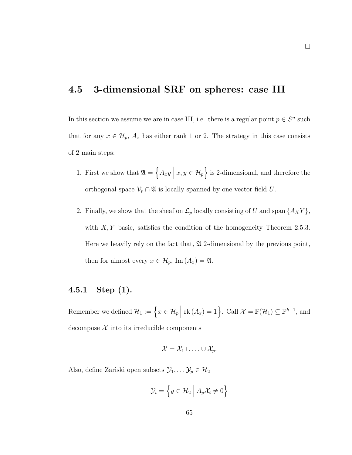### 4.5 3-dimensional SRF on spheres: case III

In this section we assume we are in case III, i.e. there is a regular point  $p \in S<sup>n</sup>$  such that for any  $x \in \mathcal{H}_p$ ,  $A_x$  has either rank 1 or 2. The strategy in this case consists of 2 main steps:

- 1. First we show that  $\mathfrak{A} = \{ A_x y \mid x, y \in \mathcal{H}_p \}$  is 2-dimensional, and therefore the orthogonal space  $\mathcal{V}_p \cap \mathfrak{A}$  is locally spanned by one vector field U.
- 2. Finally, we show that the sheaf on  $\mathcal{L}_p$  locally consisting of U and span  $\{A_X Y\}$ , with  $X, Y$  basic, satisfies the condition of the homogeneity Theorem 2.5.3. Here we heavily rely on the fact that,  $\mathfrak A$  2-dimensional by the previous point, then for almost every  $x \in \mathcal{H}_p$ , Im  $(A_x) = \mathfrak{A}$ .

#### 4.5.1 Step (1).

Remember we defined  $\mathcal{H}_1 := \left\{ x \in \mathcal{H}_p \mid \text{rk}(A_x) = 1 \right\}$ . Call  $\mathcal{X} = \mathbb{P}(\mathcal{H}_1) \subseteq \mathbb{P}^{h-1}$ , and decompose  $X$  into its irreducible components

$$
\mathcal{X} = \mathcal{X}_1 \cup \ldots \cup \mathcal{X}_p.
$$

Also, define Zariski open subsets  $\mathcal{Y}_1, \ldots \mathcal{Y}_p \in \mathcal{H}_2$ 

$$
\mathcal{Y}_i = \left\{ y \in \mathcal{H}_2 \middle| A_y \mathcal{X}_i \neq 0 \right\}
$$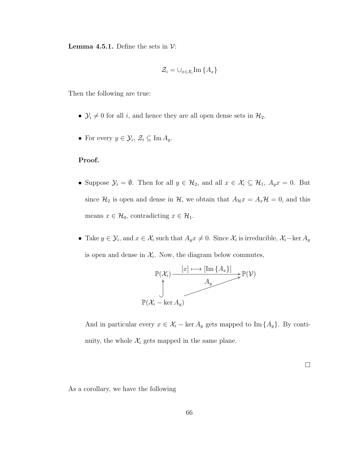**Lemma 4.5.1.** Define the sets in  $\mathcal{V}$ :

$$
\mathcal{Z}_i = \cup_{x \in \mathcal{X}_i} \text{Im} \left\{ A_x \right\}
$$

Then the following are true:

- $\mathcal{Y}_i \neq 0$  for all *i*, and hence they are all open dense sets in  $\mathcal{H}_2$ .
- For every  $y \in \mathcal{Y}_i$ ,  $\mathcal{Z}_i \subseteq \text{Im } A_y$ .

#### Proof.

- Suppose  $\mathcal{Y}_i = \emptyset$ . Then for all  $y \in \mathcal{H}_2$ , and all  $x \in \mathcal{X}_i \subseteq \mathcal{H}_1$ ,  $A_y x = 0$ . But since  $\mathcal{H}_2$  is open and dense in  $\mathcal{H}$ , we obtain that  $A_{\mathcal{H}}x = A_x \mathcal{H} = 0$ , and this means  $x \in \mathcal{H}_0$ , contradicting  $x \in \mathcal{H}_1$ .
- Take  $y \in \mathcal{Y}_i$ , and  $x \in \mathcal{X}_i$  such that  $A_y x \neq 0$ . Since  $\mathcal{X}_i$  is irreducible,  $\mathcal{X}_i$ -ker  $A_y$ is open and dense in  $\mathcal{X}_i$ . Now, the diagram below commutes,



And in particular every  $x \in \mathcal{X}_i$  – ker  $A_y$  gets mapped to Im  $\{A_y\}$ . By continuity, the whole  $\mathcal{X}_i$  gets mapped in the same plane.

 $\Box$ 

As a corollary, we have the following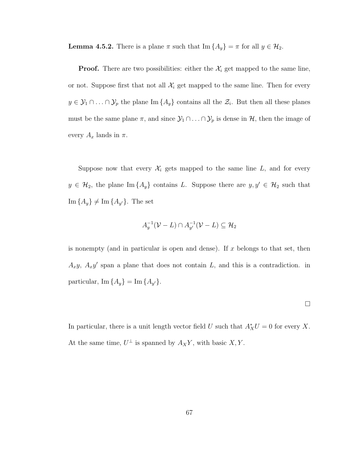**Lemma 4.5.2.** There is a plane  $\pi$  such that Im  $\{A_y\} = \pi$  for all  $y \in \mathcal{H}_2$ .

**Proof.** There are two possibilities: either the  $\mathcal{X}_i$  get mapped to the same line, or not. Suppose first that not all  $\mathcal{X}_i$  get mapped to the same line. Then for every  $y \in \mathcal{Y}_1 \cap \ldots \cap \mathcal{Y}_p$  the plane Im  $\{A_y\}$  contains all the  $\mathcal{Z}_i$ . But then all these planes must be the same plane  $\pi$ , and since  $\mathcal{Y}_1 \cap \ldots \cap \mathcal{Y}_p$  is dense in  $\mathcal{H}$ , then the image of every  $A_x$  lands in  $\pi$ .

Suppose now that every  $\mathcal{X}_i$  gets mapped to the same line  $L$ , and for every  $y \in \mathcal{H}_2$ , the plane Im  $\{A_y\}$  contains L. Suppose there are  $y, y' \in \mathcal{H}_2$  such that  $\text{Im}\left\{A_y\right\} \neq \text{Im}\left\{A_{y'}\right\}$ . The set

$$
A_y^{-1}(\mathcal{V} - L) \cap A_{y'}^{-1}(\mathcal{V} - L) \subseteq \mathcal{H}_2
$$

is nonempty (and in particular is open and dense). If  $x$  belongs to that set, then  $A_x y$ ,  $A_x y'$  span a plane that does not contain L, and this is a contradiction. in particular,  $\text{Im}\left\{A_y\right\} = \text{Im}\left\{A_{y'}\right\}.$ 

$$
\Box
$$

In particular, there is a unit length vector field U such that  $A_X^*U = 0$  for every X. At the same time,  $U^{\perp}$  is spanned by  $A_X Y$ , with basic X, Y.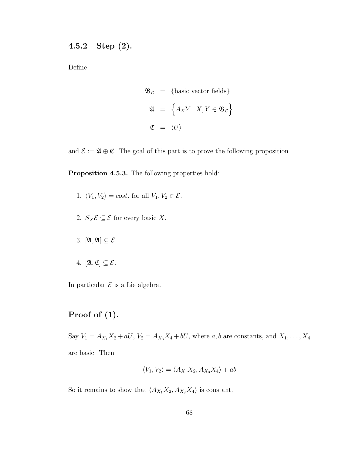### 4.5.2 Step (2).

Define

$$
\mathfrak{B}_{\mathcal{L}} = \{\text{basic vector fields}\}\
$$

$$
\mathfrak{A} = \left\{ A_X Y \mid X, Y \in \mathfrak{B}_{\mathcal{L}} \right\}
$$

$$
\mathfrak{C} = \langle U \rangle
$$

and  $\mathcal{E} := \mathfrak{A} \oplus \mathfrak{C}$ . The goal of this part is to prove the following proposition

Proposition 4.5.3. The following properties hold:

- 1.  $\langle V_1, V_2 \rangle = cost.$  for all  $V_1, V_2 \in \mathcal{E}$ .
- 2.  $S_X \mathcal{E} \subseteq \mathcal{E}$  for every basic X.
- 3.  $[\mathfrak{A}, \mathfrak{A}] \subseteq \mathcal{E}$ .
- 4.  $[\mathfrak{A}, \mathfrak{C}] \subseteq \mathcal{E}$ .

In particular  $\mathcal E$  is a Lie algebra.

## Proof of (1).

Say  $V_1 = A_{X_1}X_2 + aU$ ,  $V_2 = A_{X_3}X_4 + bU$ , where  $a, b$  are constants, and  $X_1, \ldots, X_4$ are basic. Then

$$
\langle V_1, V_2 \rangle = \langle A_{X_1} X_2, A_{X_3} X_4 \rangle + ab
$$

So it remains to show that  $\langle A_{X_1}X_2, A_{X_3}X_4 \rangle$  is constant.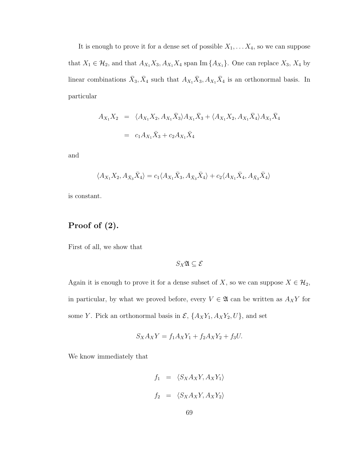It is enough to prove it for a dense set of possible  $X_1, \ldots, X_4$ , so we can suppose that  $X_1 \in \mathcal{H}_2$ , and that  $A_{X_1}X_3, A_{X_1}X_4$  span Im  $\{A_{X_1}\}$ . One can replace  $X_3, X_4$  by linear combinations  $\bar{X}_3, \bar{X}_4$  such that  $A_{X_1} \bar{X}_3, A_{X_1} \bar{X}_4$  is an orthonormal basis. In particular

$$
A_{X_1} X_2 = \langle A_{X_1} X_2, A_{X_1} \bar{X}_3 \rangle A_{X_1} \bar{X}_3 + \langle A_{X_1} X_2, A_{X_1} \bar{X}_4 \rangle A_{X_1} \bar{X}_4
$$
  
=  $c_1 A_{X_1} \bar{X}_3 + c_2 A_{X_1} \bar{X}_4$ 

and

$$
\langle A_{X_1} X_2, A_{\bar{X}_3} \bar{X}_4 \rangle = c_1 \langle A_{X_1} \bar{X}_3, A_{\bar{X}_3} \bar{X}_4 \rangle + c_2 \langle A_{X_1} \bar{X}_4, A_{\bar{X}_3} \bar{X}_4 \rangle
$$

is constant.

### Proof of (2).

First of all, we show that

 $S_X\mathfrak{A} \subseteq \mathcal{E}$ 

Again it is enough to prove it for a dense subset of X, so we can suppose  $X \in \mathcal{H}_2$ , in particular, by what we proved before, every  $V \in \mathfrak{A}$  can be written as  $A_X Y$  for some Y. Pick an orthonormal basis in  $\mathcal{E}, \{A_XY_1, A_XY_2, U\}$ , and set

$$
S_X A_X Y = f_1 A_X Y_1 + f_2 A_X Y_2 + f_3 U.
$$

We know immediately that

$$
f_1 = \langle S_X A_X Y, A_X Y_1 \rangle
$$
  

$$
f_2 = \langle S_X A_X Y, A_X Y_2 \rangle
$$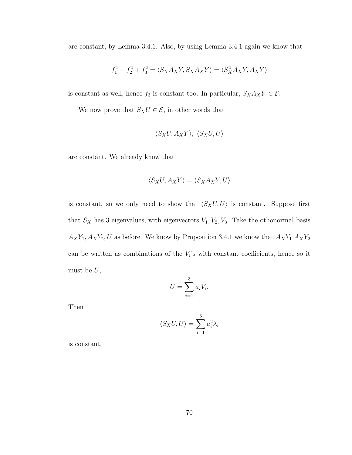are constant, by Lemma 3.4.1. Also, by using Lemma 3.4.1 again we know that

$$
f_1^2 + f_2^2 + f_3^2 = \langle S_X A_X Y, S_X A_X Y \rangle = \langle S_X^2 A_X Y, A_X Y \rangle
$$

is constant as well, hence  $f_3$  is constant too. In particular,  $S_XA_XY \in \mathcal{E}$ .

We now prove that  $S_XU \in \mathcal{E}$ , in other words that

$$
\langle S_XU, A_XY \rangle, \langle S_XU, U \rangle
$$

are constant. We already know that

$$
\langle S_XU, A_XY \rangle = \langle S_XA_XY, U \rangle
$$

is constant, so we only need to show that  $\langle S_XU, U \rangle$  is constant. Suppose first that  $S_X$  has 3 eigenvalues, with eigenvectors  $V_1, V_2, V_3$ . Take the othonormal basis  ${\mathcal A}_XY_1, {\mathcal A}_XY_2, U$  as before. We know by Proposition 3.4.1 we know that  ${\mathcal A}_XY_1$   ${\mathcal A}_XY_2$ can be written as combinations of the  $V_i$ 's with constant coefficients, hence so it must be  ${\cal U},$ 

$$
U = \sum_{i=1}^{3} a_i V_i.
$$

Then

$$
\langle S_X U, U \rangle = \sum_{i=1}^3 a_i^2 \lambda_i
$$

is constant.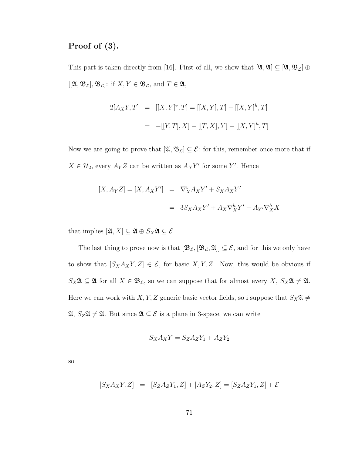#### Proof of (3).

This part is taken directly from [16]. First of all, we show that  $[\mathfrak{A}, \mathfrak{A}] \subseteq [\mathfrak{A}, \mathfrak{B}_\mathcal{L}] \oplus$  $[[\mathfrak{A}, \mathfrak{B}_\mathcal{L}], \mathfrak{B}_\mathcal{L}]:$  if  $X, Y \in \mathfrak{B}_\mathcal{L}$ , and  $T \in \mathfrak{A}$ ,

$$
2[A_XY, T] = [[X, Y]^v, T] = [[X, Y], T] - [[X, Y]^h, T]
$$

$$
= -[[Y, T], X] - [[T, X], Y] - [[X, Y]^h, T]
$$

Now we are going to prove that  $[\mathfrak{A}, \mathfrak{B}_{\mathcal{L}}] \subseteq \mathcal{E}$ : for this, remember once more that if  $X \in \mathcal{H}_2$ , every  $A_Y Z$  can be written as  $A_X Y'$  for some Y'. Hence

$$
[X, A_Y Z] = [X, A_X Y'] = \nabla_X^v A_X Y' + S_X A_X Y'
$$

$$
= 3S_X A_X Y' + A_X \nabla_X^h Y' - A_{Y'} \nabla_X^h X
$$

that implies  $[\mathfrak{A}, X] \subseteq \mathfrak{A} \oplus S_X \mathfrak{A} \subseteq \mathcal{E}$ .

The last thing to prove now is that  $[\mathfrak{B}_{\mathcal{L}}, [\mathfrak{B}_{\mathcal{L}}, \mathfrak{A}]] \subseteq \mathcal{E}$ , and for this we only have to show that  $[S_X A_X Y, Z] \in \mathcal{E}$ , for basic X, Y, Z. Now, this would be obvious if  $S_X\mathfrak{A} \subseteq \mathfrak{A}$  for all  $X \in \mathfrak{B}_{\mathcal{L}}$ , so we can suppose that for almost every  $X$ ,  $S_X\mathfrak{A} \neq \mathfrak{A}$ . Here we can work with  $X, Y, Z$  generic basic vector fields, so i suppose that  $S_X\mathfrak{A} \neq$  $\mathfrak{A}, S_Z\mathfrak{A} \neq \mathfrak{A}$ . But since  $\mathfrak{A} \subseteq \mathcal{E}$  is a plane in 3-space, we can write

$$
S_X A_X Y = S_Z A_Z Y_1 + A_Z Y_2
$$

so

$$
[S_X A_X Y, Z] = [S_Z A_Z Y_1, Z] + [A_Z Y_2, Z] = [S_Z A_Z Y_1, Z] + \mathcal{E}
$$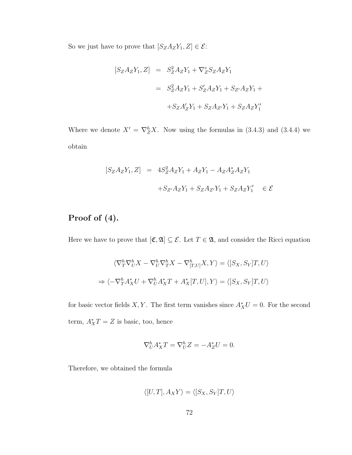So we just have to prove that  $[S_Z A_Z Y_1, Z] \in \mathcal{E}$ :

$$
[S_Z A_Z Y_1, Z] = S_Z^2 A_Z Y_1 + \nabla_Z^v S_Z A_Z Y_1
$$
  

$$
= S_Z^2 A_Z Y_1 + S_Z' A_Z Y_1 + S_{Z'} A_Z Y_1 +
$$
  

$$
+ S_Z A_Z' Y_1 + S_Z A_{Z'} Y_1 + S_Z A_Z Y_1'
$$

Where we denote  $X' = \nabla_Z^h X$ . Now using the formulas in (3.4.3) and (3.4.4) we obtain

$$
[S_Z A_Z Y_1, Z] = 4S_Z^2 A_Z Y_1 + A_Z Y_1 - A_Z A_Z^* A_Z Y_1
$$
  
+
$$
S_{Z'} A_Z Y_1 + S_Z A_{Z'} Y_1 + S_Z A_Z Y_1' \in \mathcal{E}
$$

### Proof of (4).

Here we have to prove that  $[\mathfrak{C}, \mathfrak{A}] \subseteq \mathcal{E}$ . Let  $T \in \mathfrak{A}$ , and consider the Ricci equation

$$
\langle \nabla_T^h \nabla_U^h X - \nabla_U^h \nabla_T^h X - \nabla_{[T,U]}^h X, Y \rangle = \langle [S_X, S_Y]T, U \rangle
$$
  
\n
$$
\Rightarrow \langle -\nabla_T^h A_X^* U + \nabla_U^h A_X^* T + A_X^* [T, U], Y \rangle = \langle [S_X, S_Y]T, U \rangle
$$

for basic vector fields X, Y. The first term vanishes since  $A_X^*U = 0$ . For the second term,  $A_X^*T = Z$  is basic, too, hence

$$
\nabla_U^h A_X^* T = \nabla_U^h Z = -A_Z^* U = 0.
$$

Therefore, we obtained the formula

$$
\langle [U, T], A_X Y \rangle = \langle [S_X, S_Y]T, U \rangle
$$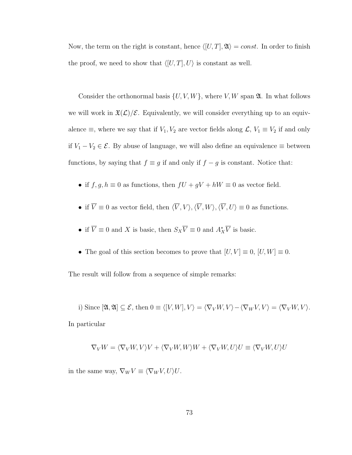Now, the term on the right is constant, hence  $\langle [U, T], \mathfrak{A} \rangle = const.$  In order to finish the proof, we need to show that  $\langle [U, T], U \rangle$  is constant as well.

Consider the orthonormal basis  $\{U, V, W\}$ , where V, W span  $\mathfrak{A}$ . In what follows we will work in  $\mathfrak{X}(\mathcal{L})/\mathcal{E}$ . Equivalently, we will consider everything up to an equivalence  $\equiv$ , where we say that if  $V_1, V_2$  are vector fields along  $\mathcal{L}, V_1 \equiv V_2$  if and only if  $V_1 - V_2 \in \mathcal{E}$ . By abuse of language, we will also define an equivalence ≡ between functions, by saying that  $f \equiv g$  if and only if  $f - g$  is constant. Notice that:

- $\bullet\,$  if  $f,g,h\equiv 0$  as functions, then  $fU+gV+hW\equiv 0$  as vector field.
- if  $\overline{V} \equiv 0$  as vector field, then  $\langle \overline{V}, V \rangle, \langle \overline{V}, W \rangle, \langle \overline{V}, U \rangle \equiv 0$  as functions.
- if  $\overline{V} \equiv 0$  and X is basic, then  $S_X \overline{V} \equiv 0$  and  $A_X^* \overline{V}$  is basic.
- The goal of this section becomes to prove that  $[U, V] \equiv 0$ ,  $[U, W] \equiv 0$ .

The result will follow from a sequence of simple remarks:

i) Since  $[\mathfrak{A}, \mathfrak{A}] \subseteq \mathcal{E}$ , then  $0 \equiv \langle [V, W], V \rangle = \langle \nabla_V W, V \rangle - \langle \nabla_W V, V \rangle = \langle \nabla_V W, V \rangle$ . In particular

$$
\nabla_V W = \langle \nabla_V W, V \rangle V + \langle \nabla_V W, W \rangle W + \langle \nabla_V W, U \rangle U \equiv \langle \nabla_V W, U \rangle U
$$

in the same way,  $\nabla_W V \equiv \langle \nabla_W V, U \rangle U$ .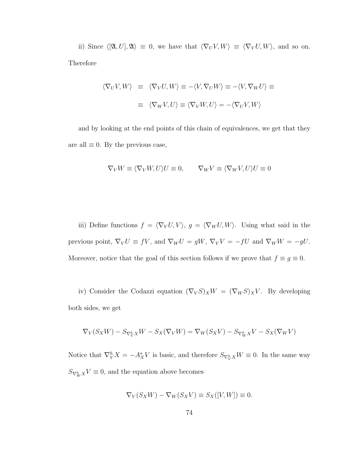ii) Since  $\langle [A, U], \mathfrak{A} \rangle \equiv 0$ , we have that  $\langle \nabla_U V, W \rangle \equiv \langle \nabla_V U, W \rangle$ , and so on. Therefore

$$
\langle \nabla_U V, W \rangle \equiv \langle \nabla_V U, W \rangle \equiv -\langle V, \nabla_U W \rangle \equiv -\langle V, \nabla_W U \rangle \equiv
$$

$$
\equiv \langle \nabla_W V, U \rangle \equiv \langle \nabla_V W, U \rangle = -\langle \nabla_U V, W \rangle
$$

and by looking at the end points of this chain of equivalences, we get that they are all  $\equiv 0$ . By the previous case,

$$
\nabla_V W \equiv \langle \nabla_V W, U \rangle U \equiv 0, \qquad \nabla_W V \equiv \langle \nabla_W V, U \rangle U \equiv 0
$$

iii) Define functions  $f = \langle \nabla_V U, V \rangle$ ,  $g = \langle \nabla_W U, W \rangle$ . Using what said in the previous point,  $\nabla_V U \equiv fV$ , and  $\nabla_W U = gW$ ,  $\nabla_V V = -fU$  and  $\nabla_W W = -gU$ . Moreover, notice that the goal of this section follows if we prove that  $f \equiv g \equiv 0$ .

iv) Consider the Codazzi equation  $(\nabla_V S)_X W = (\nabla_W S)_X V$ . By developing both sides, we get

$$
\nabla_V(S_XW)-S_{\nabla^h_VX}W-S_X(\nabla_VW)=\nabla_W(S_XV)-S_{\nabla^h_WX}V-S_X(\nabla_WV)
$$

Notice that  $\nabla_V^h X = -A_X^* V$  is basic, and therefore  $S_{\nabla_V^h X} W \equiv 0$ . In the same way  $S_{\nabla_W^h X} V \equiv 0$ , and the equation above becomes

$$
\nabla_V(S_X W) - \nabla_W(S_X V) \equiv S_X([V, W]) \equiv 0.
$$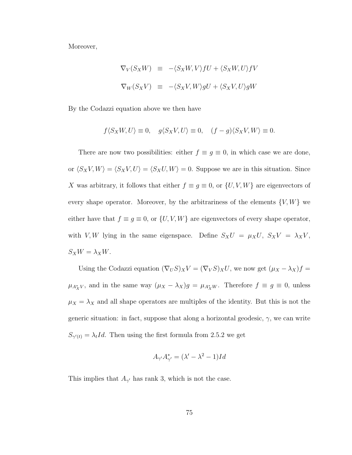Moreover,

$$
\nabla_V(S_X W) \equiv -\langle S_X W, V \rangle fU + \langle S_X W, U \rangle fV
$$
  

$$
\nabla_W(S_X V) \equiv -\langle S_X V, W \rangle gU + \langle S_X V, U \rangle gW
$$

By the Codazzi equation above we then have

$$
f\langle S_XW,U\rangle \equiv 0, \quad g\langle S_XV,U\rangle \equiv 0, \quad (f-g)\langle S_XV,W\rangle \equiv 0.
$$

There are now two possibilities: either  $f \equiv g \equiv 0$ , in which case we are done, or  $\langle S_XV, W\rangle = \langle S_XV, U\rangle = \langle S_XU, W\rangle = 0$ . Suppose we are in this situation. Since X was arbitrary, it follows that either  $f \equiv g \equiv 0$ , or  $\{U, V, W\}$  are eigenvectors of every shape operator. Moreover, by the arbitrariness of the elements  $\{V, W\}$  we either have that  $f \equiv g \equiv 0$ , or  $\{U, V, W\}$  are eigenvectors of every shape operator, with V, W lying in the same eigenspace. Define  $S_XU = \mu_XU$ ,  $S_XV = \lambda_XV$ ,  $S_XW = \lambda_XW.$ 

Using the Codazzi equation  $(\nabla_U S)_X V = (\nabla_V S)_X U$ , we now get  $(\mu_X - \lambda_X) f =$  $\mu_{A_X^*V}$ , and in the same way  $(\mu_X - \lambda_X)g = \mu_{A_X^*W}$ . Therefore  $f \equiv g \equiv 0$ , unless  $\mu_X = \lambda_X$  and all shape operators are multiples of the identity. But this is not the generic situation: in fact, suppose that along a horizontal geodesic,  $\gamma$ , we can write  $S_{\gamma'(t)} = \lambda_t Id$ . Then using the first formula from 2.5.2 we get

$$
A_{\gamma'}A_{\gamma'}^* = (\lambda' - \lambda^2 - 1)Id
$$

This implies that  $A_{\gamma'}$  has rank 3, which is not the case.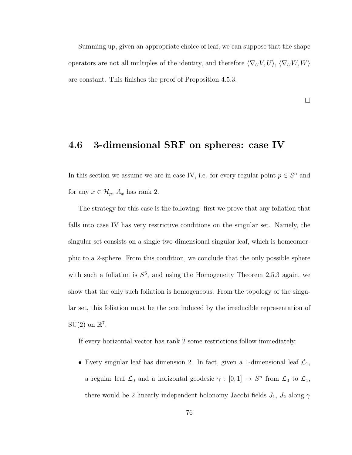Summing up, given an appropriate choice of leaf, we can suppose that the shape operators are not all multiples of the identity, and therefore  $\langle \nabla_U V, U \rangle$ ,  $\langle \nabla_U W, W \rangle$ are constant. This finishes the proof of Proposition 4.5.3.

 $\Box$ 

#### 4.6 3-dimensional SRF on spheres: case IV

In this section we assume we are in case IV, i.e. for every regular point  $p \in S<sup>n</sup>$  and for any  $x \in \mathcal{H}_p$ ,  $A_x$  has rank 2.

The strategy for this case is the following: first we prove that any foliation that falls into case IV has very restrictive conditions on the singular set. Namely, the singular set consists on a single two-dimensional singular leaf, which is homeomorphic to a 2-sphere. From this condition, we conclude that the only possible sphere with such a foliation is  $S^6$ , and using the Homogeneity Theorem 2.5.3 again, we show that the only such foliation is homogeneous. From the topology of the singular set, this foliation must be the one induced by the irreducible representation of  $SU(2)$  on  $\mathbb{R}^7$ .

If every horizontal vector has rank 2 some restrictions follow immediately:

• Every singular leaf has dimension 2. In fact, given a 1-dimensional leaf  $\mathcal{L}_1$ , a regular leaf  $\mathcal{L}_0$  and a horizontal geodesic  $\gamma : [0,1] \to S^n$  from  $\mathcal{L}_0$  to  $\mathcal{L}_1$ , there would be 2 linearly independent holonomy Jacobi fields  $J_1$ ,  $J_2$  along  $\gamma$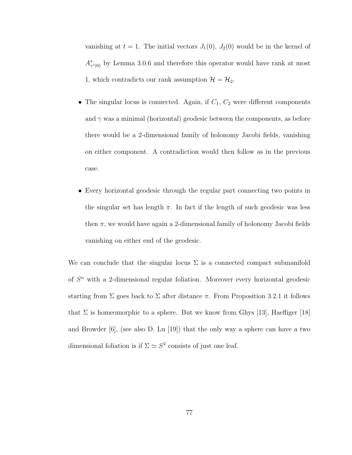vanishing at  $t = 1$ . The initial vectors  $J_1(0)$ ,  $J_2(0)$  would be in the kernel of  $A^*_{\gamma'(0)}$  by Lemma 3.0.6 and therefore this operator would have rank at most 1, which contradicts our rank assumption  $\mathcal{H} = \mathcal{H}_2$ .

- The singular locus is connected. Again, if  $C_1$ ,  $C_2$  were different components and  $\gamma$  was a minimal (horizontal) geodesic between the components, as before there would be a 2-dimensional family of holonomy Jacobi fields, vanishing on either component. A contradiction would then follow as in the previous case.
- Every horizontal geodesic through the regular part connecting two points in the singular set has length  $\pi$ . In fact if the length of such geodesic was less then  $\pi$ , we would have again a 2-dimensional family of holonomy Jacobi fields vanishing on either end of the geodesic.

We can conclude that the singular locus  $\Sigma$  is a connected compact submanifold of  $S<sup>n</sup>$  with a 2-dimensional regular foliation. Moreover every horizontal geodesic starting from  $\Sigma$  goes back to  $\Sigma$  after distance  $\pi$ . From Proposition 3.2.1 it follows that  $\Sigma$  is homeomorphic to a sphere. But we know from Ghys [13], Haefliger [18] and Browder [6], (see also D. Lu [19]) that the only way a sphere can have a two dimensional foliation is if  $\Sigma \simeq S^2$  consists of just one leaf.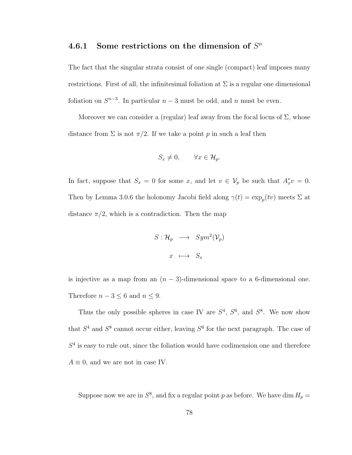### 4.6.1 Some restrictions on the dimension of  $S<sup>n</sup>$

The fact that the singular strata consist of one single (compact) leaf imposes many restrictions. First of all, the infinitesimal foliation at  $\Sigma$  is a regular one dimensional foliation on  $S^{n-3}$ . In particular  $n-3$  must be odd, and n must be even.

Moreover we can consider a (regular) leaf away from the focal locus of  $\Sigma$ , whose distance from  $\Sigma$  is not  $\pi/2$ . If we take a point p in such a leaf then

$$
S_x \neq 0, \qquad \forall x \in \mathcal{H}_p.
$$

In fact, suppose that  $S_x = 0$  for some x, and let  $v \in V_p$  be such that  $A_x^*v = 0$ . Then by Lemma 3.0.6 the holonomy Jacobi field along  $\gamma(t) = \exp_p(tv)$  meets  $\Sigma$  at distance  $\pi/2$ , which is a contradiction. Then the map

$$
S: \mathcal{H}_p \longrightarrow Sym^2(\mathcal{V}_p)
$$

$$
x \longmapsto S_x
$$

is injective as a map from an  $(n-3)$ -dimensional space to a 6-dimensional one. Therefore  $n-3 \leq 6$  and  $n \leq 9$ .

Thus the only possible spheres in case IV are  $S<sup>4</sup>$ ,  $S<sup>6</sup>$ , and  $S<sup>8</sup>$ . We now show that  $S^4$  and  $S^8$  cannot occur either, leaving  $S^6$  for the next paragraph. The case of  $S<sup>4</sup>$  is easy to rule out, since the foliation would have codimension one and therefore  $A \equiv 0$ , and we are not in case IV.

Suppose now we are in  $S^8$ , and fix a regular point p as before. We have dim  $H_p =$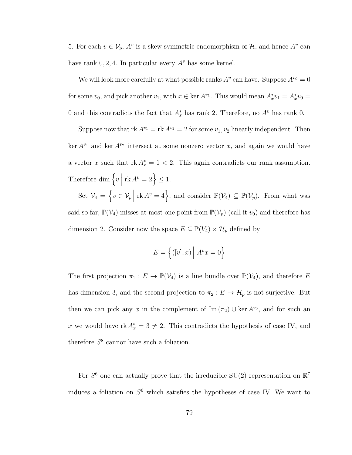5. For each  $v \in V_p$ ,  $A^v$  is a skew-symmetric endomorphism of  $\mathcal{H}$ , and hence  $A^v$  can have rank  $0, 2, 4$ . In particular every  $A^v$  has some kernel.

We will look more carefully at what possible ranks  $A^v$  can have. Suppose  $A^{v_0} = 0$ for some  $v_0$ , and pick another  $v_1$ , with  $x \in \ker A^{v_1}$ . This would mean  $A_x^* v_1 = A_x^* v_0 =$ 0 and this contradicts the fact that  $A_x^*$  has rank 2. Therefore, no  $A^v$  has rank 0.

Suppose now that  $rk A^{v_1} = rk A^{v_2} = 2$  for some  $v_1, v_2$  linearly independent. Then ker  $A^{v_1}$  and ker  $A^{v_2}$  intersect at some nonzero vector x, and again we would have a vector x such that  $rk A_x^* = 1 < 2$ . This again contradicts our rank assumption. Therefore dim  $\left\{v \mid \right\}$  $\operatorname{rk} A^v = 2$   $\leq 1$ .

Set  $\mathcal{V}_4 = \left\{ v \in \mathcal{V}_p \middle|$ rk  $A^v = 4$ , and consider  $\mathbb{P}(\mathcal{V}_4) \subseteq \mathbb{P}(\mathcal{V}_p)$ . From what was said so far,  $\mathbb{P}(\mathcal{V}_4)$  misses at most one point from  $\mathbb{P}(\mathcal{V}_p)$  (call it  $v_0$ ) and therefore has

dimension 2. Consider now the space  $E \subseteq \mathbb{P}(V_4) \times \mathcal{H}_p$  defined by

$$
E = \left\{ ([v], x) \middle| A^v x = 0 \right\}
$$

The first projection  $\pi_1 : E \to \mathbb{P}(\mathcal{V}_4)$  is a line bundle over  $\mathbb{P}(\mathcal{V}_4)$ , and therefore E has dimension 3, and the second projection to  $\pi_2 : E \to \mathcal{H}_p$  is not surjective. But then we can pick any x in the complement of  $\text{Im}(\pi_2) \cup \text{ker } A^{v_0}$ , and for such an x we would have  $rk A_x^* = 3 \neq 2$ . This contradicts the hypothesis of case IV, and therefore  $S^8$  cannor have such a foliation.

For  $S^6$  one can actually prove that the irreducible SU(2) representation on  $\mathbb{R}^7$ induces a foliation on  $S^6$  which satisfies the hypotheses of case IV. We want to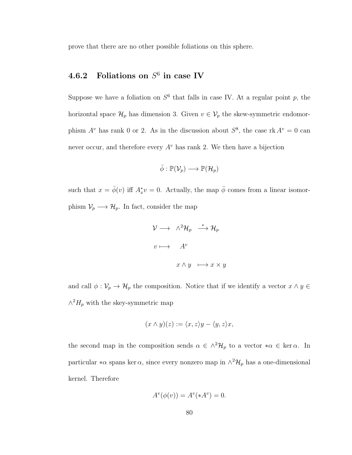prove that there are no other possible foliations on this sphere.

### 4.6.2 Foliations on  $S^6$  in case IV

Suppose we have a foliation on  $S^6$  that falls in case IV. At a regular point p, the horizontal space  $\mathcal{H}_p$  has dimension 3. Given  $v \in \mathcal{V}_p$  the skew-symmetric endomorphism  $A^v$  has rank 0 or 2. As in the discussion about  $S^8$ , the case rk  $A^v = 0$  can never occur, and therefore every  $A^v$  has rank 2. We then have a bijection

$$
\bar{\phi}: \mathbb{P}(\mathcal{V}_p) \longrightarrow \mathbb{P}(\mathcal{H}_p)
$$

such that  $x = \bar{\phi}(v)$  iff  $A_x^*v = 0$ . Actually, the map  $\bar{\phi}$  comes from a linear isomorphism  $\mathcal{V}_p \longrightarrow \mathcal{H}_p$ . In fact, consider the map

$$
\mathcal{V} \longrightarrow \wedge^2 \mathcal{H}_p \stackrel{*}{\longrightarrow} \mathcal{H}_p
$$
  

$$
v \longmapsto A^v
$$
  

$$
x \wedge y \longmapsto x \times y
$$

and call  $\phi: \mathcal{V}_p \to \mathcal{H}_p$  the composition. Notice that if we identify a vector  $x \wedge y \in$  $\wedge^2 H_p$  with the skey-symmetric map

$$
(x \wedge y)(z) := \langle x, z \rangle y - \langle y, z \rangle x,
$$

the second map in the composition sends  $\alpha \in \wedge^2 \mathcal{H}_p$  to a vector  $*\alpha \in \ker \alpha$ . In particular  $*\alpha$  spans ker  $\alpha$ , since every nonzero map in  $\wedge^2 \mathcal{H}_p$  has a one-dimensional kernel. Therefore

$$
A^v(\phi(v)) = A^v(*A^v) = 0.
$$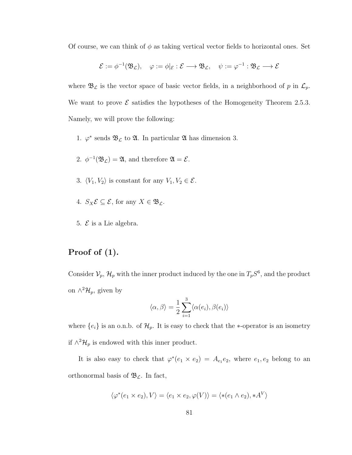Of course, we can think of  $\phi$  as taking vertical vector fields to horizontal ones. Set

$$
\mathcal{E}:=\phi^{-1}(\mathfrak{B}_\mathcal{L}),\quad \varphi:=\phi|_{\mathcal{E}}:\mathcal{E}\longrightarrow \mathfrak{B}_\mathcal{L},\quad \psi:=\varphi^{-1}:\mathfrak{B}_\mathcal{L}\longrightarrow \mathcal{E}
$$

where  $\mathfrak{B}_{\mathcal{L}}$  is the vector space of basic vector fields, in a neighborhood of p in  $\mathcal{L}_p$ . We want to prove  $\mathcal E$  satisfies the hypotheses of the Homogeneity Theorem 2.5.3. Namely, we will prove the following:

- 1.  $\varphi^*$  sends  $\mathfrak{B}_{\mathcal{L}}$  to  $\mathfrak{A}$ . In particular  $\mathfrak{A}$  has dimension 3.
- 2.  $\phi^{-1}(\mathfrak{B}_\mathcal{L}) = \mathfrak{A}$ , and therefore  $\mathfrak{A} = \mathcal{E}$ .
- 3.  $\langle V_1, V_2 \rangle$  is constant for any  $V_1, V_2 \in \mathcal{E}$ .
- 4.  $S_X \mathcal{E} \subseteq \mathcal{E}$ , for any  $X \in \mathfrak{B}_{\mathcal{L}}$ .
- 5.  $\mathcal E$  is a Lie algebra.

#### Proof of (1).

Consider  $\mathcal{V}_p$ ,  $\mathcal{H}_p$  with the inner product induced by the one in  $T_pS^6$ , and the product on  $\wedge^2 \mathcal{H}_p$ , given by

$$
\langle \alpha, \beta \rangle = \frac{1}{2} \sum_{i=1}^{3} \langle \alpha(e_i), \beta(e_i) \rangle
$$

where  $\{e_i\}$  is an o.n.b. of  $\mathcal{H}_p$ . It is easy to check that the ∗-operator is an isometry if  $\wedge^2 \mathcal{H}_p$  is endowed with this inner product.

It is also easy to check that  $\varphi^*(e_1 \times e_2) = A_{e_1}e_2$ , where  $e_1, e_2$  belong to an orthonormal basis of  $\mathfrak{B}_{\mathcal{L}}$ . In fact,

$$
\langle \varphi^*(e_1 \times e_2), V \rangle = \langle e_1 \times e_2, \varphi(V) \rangle = \langle * (e_1 \wedge e_2), *A^V \rangle
$$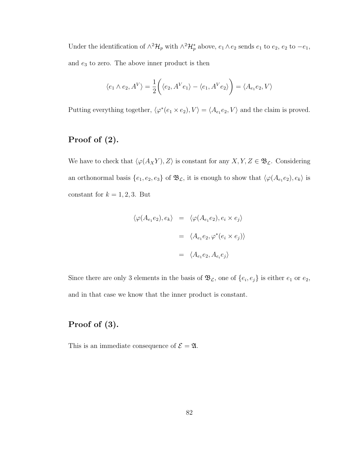Under the identification of  $\wedge^2 \mathcal{H}_p$  with  $\wedge^2 \mathcal{H}_p^*$  above,  $e_1 \wedge e_2$  sends  $e_1$  to  $e_2$ ,  $e_2$  to  $-e_1$ , and  $\mathfrak{e}_3$  to zero. The above inner product is then

$$
\langle e_1 \wedge e_2, A^V \rangle = \frac{1}{2} \bigg( \langle e_2, A^V e_1 \rangle - \langle e_1, A^V e_2 \rangle \bigg) = \langle A_{e_1} e_2, V \rangle
$$

Putting everything together,  $\langle \varphi^*(e_1 \times e_2), V \rangle = \langle A_{e_1} e_2, V \rangle$  and the claim is proved.

### Proof of (2).

We have to check that  $\langle \varphi(A_X Y), Z \rangle$  is constant for any  $X, Y, Z \in \mathfrak{B}_{\mathcal{L}}$ . Considering an orthonormal basis  $\{e_1, e_2, e_3\}$  of  $\mathfrak{B}_{\mathcal{L}}$ , it is enough to show that  $\langle \varphi(A_{e_1}e_2), e_k \rangle$  is constant for  $k = 1, 2, 3$ . But

$$
\langle \varphi(A_{e_1}e_2), e_k \rangle = \langle \varphi(A_{e_1}e_2), e_i \times e_j \rangle
$$

$$
= \langle A_{e_1}e_2, \varphi^*(e_i \times e_j) \rangle
$$

$$
= \langle A_{e_1}e_2, A_{e_i}e_j \rangle
$$

Since there are only 3 elements in the basis of  $\mathfrak{B}_{\mathcal{L}}$ , one of  $\{e_i, e_j\}$  is either  $e_1$  or  $e_2$ , and in that case we know that the inner product is constant.

#### Proof of (3).

This is an immediate consequence of  $\mathcal{E} = \mathfrak{A}$ .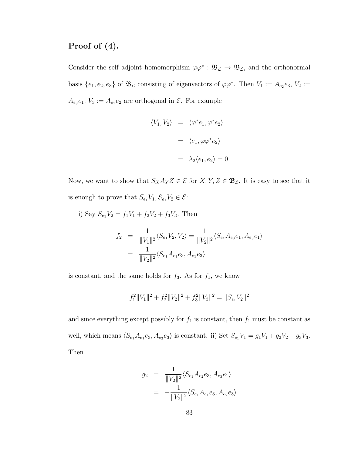#### Proof of (4).

Consider the self adjoint homomorphism  $\varphi \varphi^* : \mathfrak{B}_{\mathcal{L}} \to \mathfrak{B}_{\mathcal{L}}$ , and the orthonormal basis  $\{e_1, e_2, e_3\}$  of  $\mathfrak{B}_{\mathcal{L}}$  consisting of eigenvectors of  $\varphi \varphi^*$ . Then  $V_1 := A_{e_2}e_3$ ,  $V_2 :=$  $A_{e_3}e_1, V_3 := A_{e_1}e_2$  are orthogonal in  $\mathcal{E}$ . For example

$$
\langle V_1, V_2 \rangle = \langle \varphi^* e_1, \varphi^* e_2 \rangle
$$

$$
= \langle e_1, \varphi \varphi^* e_2 \rangle
$$

$$
= \lambda_2 \langle e_1, e_2 \rangle = 0
$$

Now, we want to show that  $S_X A_Y Z \in \mathcal{E}$  for  $X, Y, Z \in \mathfrak{B}_{\mathcal{L}}$ . It is easy to see that it is enough to prove that  $S_{e_1}V_1, S_{e_1}V_2 \in \mathcal{E}$ :

i) Say  $S_{e_1}V_2 = f_1V_1 + f_2V_2 + f_3V_3$ . Then

$$
f_2 = \frac{1}{\|V_1\|^2} \langle S_{e_1} V_2, V_2 \rangle = \frac{1}{\|V_2\|^2} \langle S_{e_1} A_{e_3} e_1, A_{e_3} e_1 \rangle
$$
  
= 
$$
\frac{1}{\|V_2\|^2} \langle S_{e_1} A_{e_1} e_3, A_{e_1} e_3 \rangle
$$

is constant, and the same holds for  $f_3$ . As for  $f_1$ , we know

$$
f_1^2 ||V_1||^2 + f_2^2 ||V_2||^2 + f_3^2 ||V_3||^2 = ||S_{e_1}V_2||^2
$$

and since everything except possibly for  $f_1$  is constant, then  $f_1$  must be constant as well, which means  $\langle S_{e_1}A_{e_1}e_3, A_{e_2}e_3 \rangle$  is constant. ii) Set  $S_{e_1}V_1 = g_1V_1 + g_2V_2 + g_3V_3$ . Then

$$
g_2 = \frac{1}{\|V_2\|^2} \langle S_{e_1} A_{e_2} e_3, A_{e_3} e_1 \rangle
$$
  
= 
$$
-\frac{1}{\|V_2\|^2} \langle S_{e_1} A_{e_1} e_3, A_{e_2} e_3 \rangle
$$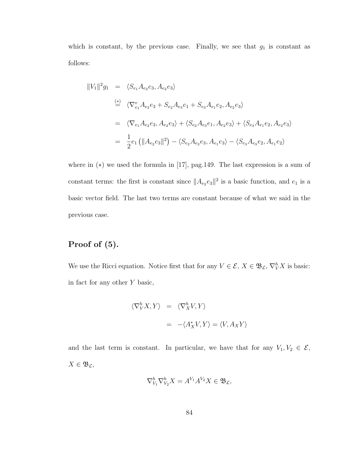which is constant, by the previous case. Finally, we see that  $g_1$  is constant as follows:

$$
||V_1||^2 g_1 = \langle S_{e_1} A_{e_2} e_3, A_{e_2} e_3 \rangle
$$
  
\n
$$
\stackrel{(*)}{=} \langle \nabla_{e_1}^v A_{e_2} e_3 + S_{e_2} A_{e_3} e_1 + S_{e_3} A_{e_1} e_2, A_{e_2} e_3 \rangle
$$
  
\n
$$
= \langle \nabla_{e_1} A_{e_2} e_3, A_{e_2} e_3 \rangle + \langle S_{e_2} A_{e_3} e_1, A_{e_2} e_3 \rangle + \langle S_{e_3} A_{e_1} e_2, A_{e_2} e_3 \rangle
$$
  
\n
$$
= \frac{1}{2} e_1 (||A_{e_2} e_3||^2) - \langle S_{e_2} A_{e_2} e_3, A_{e_1} e_3 \rangle - \langle S_{e_3} A_{e_3} e_2, A_{e_1} e_2 \rangle
$$

where in (∗) we used the formula in [17], pag.149. The last expression is a sum of constant terms: the first is constant since  $||A_{e_2}e_3||^2$  is a basic function, and  $e_1$  is a basic vector field. The last two terms are constant because of what we said in the previous case.

#### Proof of (5).

We use the Ricci equation. Notice first that for any  $V \in \mathcal{E}, X \in \mathfrak{B}_{\mathcal{L}}, \nabla_V^h X$  is basic: in fact for any other Y basic,

$$
\langle \nabla_V^h X, Y \rangle = \langle \nabla_X^h V, Y \rangle
$$
  
= -\langle A\_X^\* V, Y \rangle = \langle V, A\_X Y \rangle

and the last term is constant. In particular, we have that for any  $V_1, V_2 \in \mathcal{E}$ ,  $X \in \mathfrak{B}_{\mathcal{L}},$ 

$$
\nabla_{V_1}^h \nabla_{V_2}^h X = A^{V_1} A^{V_2} X \in \mathfrak{B}_{\mathcal{L}},
$$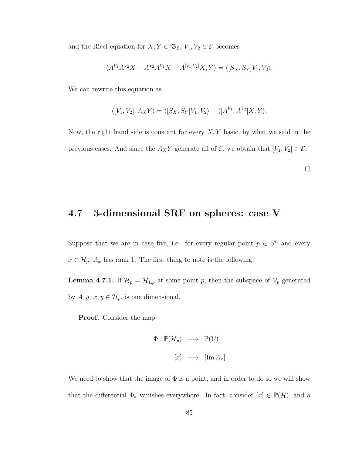and the Ricci equation for  $X, Y \in \mathfrak{B}_{\mathcal{L}}, V_1, V_2 \in \mathcal{E}$  becomes

$$
\langle A^{V_1} A^{V_2} X - A^{V_2} A^{V_1} X - A^{[V_1, V_2]} X, Y \rangle = \langle [S_X, S_Y] V_1, V_2 \rangle.
$$

We can rewrite this equation as

$$
\langle [V_1, V_2], A_X Y \rangle = \langle [S_X, S_Y] V_1, V_2 \rangle - \langle [A^{V_1}, A^{V_2}] X, Y \rangle.
$$

Now, the right hand side is constant for every  $X, Y$  basic, by what we said in the previous cases. And since the  $A_XY$  generate all of  $\mathcal{E}$ , we obtain that  $[V_1, V_2] \in \mathcal{E}$ .

 $\Box$ 

# 4.7 3-dimensional SRF on spheres: case V

Suppose that we are in case five, i.e. for every regular point  $p \in S<sup>n</sup>$  and every  $x \in \mathcal{H}_p$ ,  $A_x$  has rank 1. The first thing to note is the following:

**Lemma 4.7.1.** If  $\mathcal{H}_p = \mathcal{H}_{1,p}$  at some point p, then the subspace of  $\mathcal{V}_p$  generated by  $A_x y, x, y \in \mathcal{H}_p$ , is one dimensional.

Proof. Consider the map

$$
\Phi : \mathbb{P}(\mathcal{H}_p) \longrightarrow \mathbb{P}(\mathcal{V})
$$

$$
[x] \longmapsto [\text{Im } A_x]
$$

We need to show that the image of  $\Phi$  is a point, and in order to do so we will show that the differential  $\Phi_*$  vanishes everywhere. In fact, consider  $[x] \in \mathbb{P}(\mathcal{H})$ , and a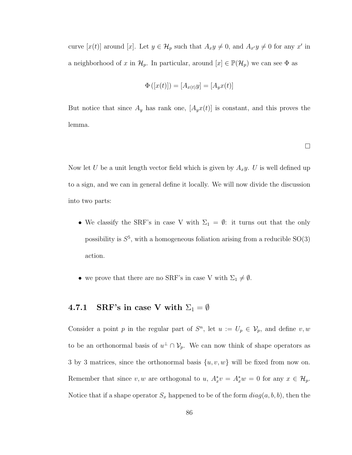curve  $[x(t)]$  around  $[x]$ . Let  $y \in \mathcal{H}_p$  such that  $A_x y \neq 0$ , and  $A_{x'} y \neq 0$  for any  $x'$  in a neighborhood of x in  $\mathcal{H}_p$ . In particular, around  $[x] \in \mathbb{P}(\mathcal{H}_p)$  we can see  $\Phi$  as

$$
\Phi([x(t)]) = [A_{x(t)}y] = [A_y x(t)]
$$

But notice that since  $A_y$  has rank one,  $[A_y x(t)]$  is constant, and this proves the lemma.

 $\Box$ 

Now let U be a unit length vector field which is given by  $A_x y$ . U is well defined up to a sign, and we can in general define it locally. We will now divide the discussion into two parts:

- We classify the SRF's in case V with  $\Sigma_1 = \emptyset$ : it turns out that the only possibility is  $S^5$ , with a homogeneous foliation arising from a reducible  $SO(3)$ action.
- we prove that there are no SRF's in case V with  $\Sigma_1 \neq \emptyset$ .

### 4.7.1 SRF's in case V with  $\Sigma_1 = \emptyset$

Consider a point p in the regular part of  $S<sup>n</sup>$ , let  $u := U_p \in V_p$ , and define  $v, w$ to be an orthonormal basis of  $u^{\perp} \cap V_p$ . We can now think of shape operators as 3 by 3 matrices, since the orthonormal basis  $\{u, v, w\}$  will be fixed from now on. Remember that since v, w are orthogonal to u,  $A_x^*v = A_x^*w = 0$  for any  $x \in \mathcal{H}_p$ . Notice that if a shape operator  $S_x$  happened to be of the form  $diag(a, b, b)$ , then the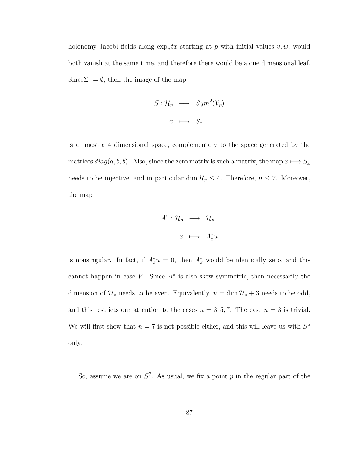holonomy Jacobi fields along  $\exp_p tx$  starting at p with initial values v, w, would both vanish at the same time, and therefore there would be a one dimensional leaf. Since $\Sigma_1 = \emptyset$ , then the image of the map

$$
S: \mathcal{H}_p \longrightarrow Sym^2(\mathcal{V}_p)
$$

$$
x \longmapsto S_x
$$

is at most a 4 dimensional space, complementary to the space generated by the matrices  $diag(a, b, b)$ . Also, since the zero matrix is such a matrix, the map  $x \mapsto S_x$ needs to be injective, and in particular dim  $\mathcal{H}_p \leq 4$ . Therefore,  $n \leq 7$ . Moreover, the map

$$
A^u: \mathcal{H}_p \longrightarrow \mathcal{H}_p
$$

$$
x \longrightarrow A_x^*u
$$

is nonsingular. In fact, if  $A_x^*u = 0$ , then  $A_x^*$  would be identically zero, and this cannot happen in case V. Since  $A^u$  is also skew symmetric, then necessarily the dimension of  $\mathcal{H}_p$  needs to be even. Equivalently,  $n = \dim \mathcal{H}_p + 3$  needs to be odd, and this restricts our attention to the cases  $n = 3, 5, 7$ . The case  $n = 3$  is trivial. We will first show that  $n = 7$  is not possible either, and this will leave us with  $S^5$ only.

So, assume we are on  $S^7$ . As usual, we fix a point p in the regular part of the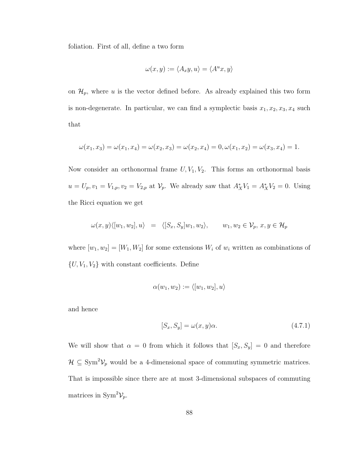foliation. First of all, define a two form

$$
\omega(x, y) := \langle A_x y, u \rangle = \langle A^u x, y \rangle
$$

on  $\mathcal{H}_p$ , where u is the vector defined before. As already explained this two form is non-degenerate. In particular, we can find a symplectic basis  $x_1, x_2, x_3, x_4$  such that

$$
\omega(x_1, x_3) = \omega(x_1, x_4) = \omega(x_2, x_3) = \omega(x_2, x_4) = 0, \omega(x_1, x_2) = \omega(x_3, x_4) = 1.
$$

Now consider an orthonormal frame  $U, V_1, V_2$ . This forms an orthonormal basis  $u = U_p, v_1 = V_{1,p}, v_2 = V_{2,p}$  at  $V_p$ . We already saw that  $A_X^* V_1 = A_X^* V_2 = 0$ . Using the Ricci equation we get

$$
\omega(x, y) \langle [w_1, w_2], u \rangle = \langle [S_x, S_y] w_1, w_2 \rangle, \qquad w_1, w_2 \in \mathcal{V}_p, x, y \in \mathcal{H}_p
$$

where  $[w_1, w_2] = [W_1, W_2]$  for some extensions  $W_i$  of  $w_i$  written as combinations of  $\{U, V_1, V_2\}$  with constant coefficients. Define

$$
\alpha(w_1, w_2) := \langle [w_1, w_2], u \rangle
$$

and hence

$$
[S_x, S_y] = \omega(x, y)\alpha.
$$
\n(4.7.1)

We will show that  $\alpha = 0$  from which it follows that  $[S_x, S_y] = 0$  and therefore  $\mathcal{H} \subseteq \text{Sym}^2 \mathcal{V}_p$  would be a 4-dimensional space of commuting symmetric matrices. That is impossible since there are at most 3-dimensional subspaces of commuting matrices in Sym<sup>2</sup> $\mathcal{V}_p$ .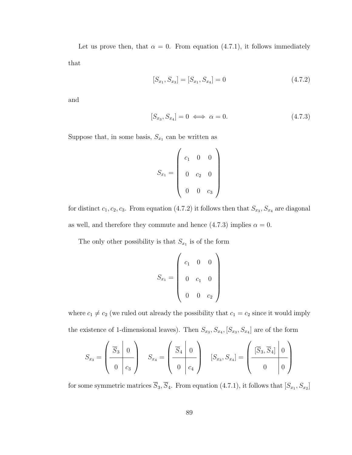Let us prove then, that  $\alpha = 0$ . From equation (4.7.1), it follows immediately that

$$
[S_{x_1}, S_{x_3}] = [S_{x_1}, S_{x_4}] = 0 \tag{4.7.2}
$$

and

$$
[S_{x_3}, S_{x_4}] = 0 \iff \alpha = 0. \tag{4.7.3}
$$

Suppose that, in some basis,  $S_{x_1}$  can be written as

$$
S_{x_1} = \left(\begin{array}{ccc} c_1 & 0 & 0 \\ 0 & c_2 & 0 \\ 0 & 0 & c_3 \end{array}\right)
$$

for distinct  $c_1, c_2, c_3$ . From equation (4.7.2) it follows then that  $S_{x_3}, S_{x_4}$  are diagonal as well, and therefore they commute and hence (4.7.3) implies  $\alpha = 0$ .

The only other possibility is that  $S_{x_1}$  is of the form

$$
S_{x_1} = \begin{pmatrix} c_1 & 0 & 0 \\ 0 & c_1 & 0 \\ 0 & 0 & c_2 \end{pmatrix}
$$

where  $c_1 \neq c_2$  (we ruled out already the possibility that  $c_1 = c_2$  since it would imply the existence of 1-dimensional leaves). Then  $S_{x_3}, S_{x_4}, [S_{x_3}, S_{x_4}]$  are of the form

$$
S_{x_3} = \begin{pmatrix} \overline{S}_3 & 0 \\ 0 & c_3 \end{pmatrix} \quad S_{x_4} = \begin{pmatrix} \overline{S}_4 & 0 \\ 0 & c_4 \end{pmatrix} \quad [S_{x_3}, S_{x_4}] = \begin{pmatrix} \overline{S}_3, \overline{S}_4 & 0 \\ 0 & 0 \end{pmatrix}
$$

for some symmetric matrices  $\overline{S}_3$ ,  $\overline{S}_4$ . From equation (4.7.1), it follows that  $[S_{x_1}, S_{x_2}]$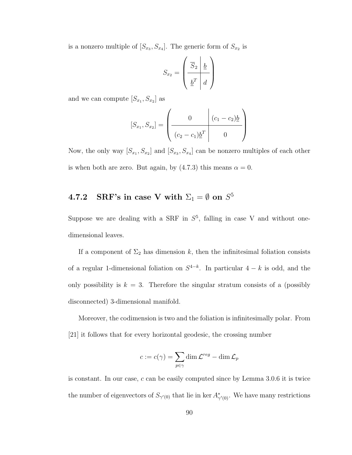is a nonzero multiple of  $[S_{x_3}, S_{x_4}]$ . The generic form of  $S_{x_2}$  is

$$
S_{x_2} = \left(\begin{array}{c|c}\n\overline{S}_2 & \underline{b} \\
\hline\n\underline{b}^T & d\n\end{array}\right)
$$

and we can compute  $[S_{x_1}, S_{x_2}]$  as

$$
[S_{x_1}, S_{x_2}] = \left(\begin{array}{c|c} 0 & (c_1 - c_2)\underline{b} \\ \hline (c_2 - c_1)\underline{b}^T & 0 \end{array}\right)
$$

Now, the only way  $[S_{x_1}, S_{x_2}]$  and  $[S_{x_3}, S_{x_4}]$  can be nonzero multiples of each other is when both are zero. But again, by (4.7.3) this means  $\alpha = 0$ .

# $\textbf{4.7.2} \quad \textbf{SRF's in case V with } \Sigma_1 = \emptyset \textbf{ on } S^5$

Suppose we are dealing with a SRF in  $S^5$ , falling in case V and without onedimensional leaves.

If a component of  $\Sigma_2$  has dimension k, then the infinitesimal foliation consists of a regular 1-dimensional foliation on  $S^{4-k}$ . In particular  $4-k$  is odd, and the only possibility is  $k = 3$ . Therefore the singular stratum consists of a (possibly disconnected) 3-dimensional manifold.

Moreover, the codimension is two and the foliation is infinitesimally polar. From [21] it follows that for every horizontal geodesic, the crossing number

$$
c := c(\gamma) = \sum_{p \in \gamma} \dim \mathcal{L}^{reg} - \dim \mathcal{L}_p
$$

is constant. In our case, c can be easily computed since by Lemma 3.0.6 it is twice the number of eigenvectors of  $S_{\gamma'(0)}$  that lie in ker  $A_{\gamma'(0)}^*$ . We have many restrictions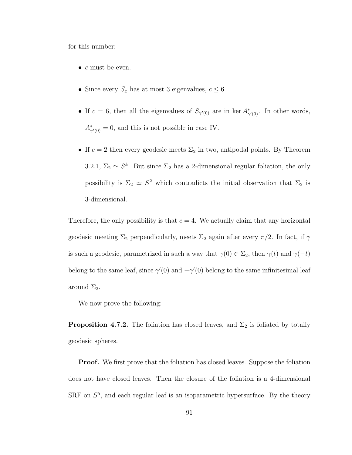for this number:

- $c$  must be even.
- Since every  $S_x$  has at most 3 eigenvalues,  $c \leq 6$ .
- If  $c = 6$ , then all the eigenvalues of  $S_{\gamma'(0)}$  are in ker  $A_{\gamma'(0)}^*$ . In other words,  $A^*_{\gamma'(0)} = 0$ , and this is not possible in case IV.
- If  $c = 2$  then every geodesic meets  $\Sigma_2$  in two, antipodal points. By Theorem 3.2.1,  $\Sigma_2 \simeq S^k$ . But since  $\Sigma_2$  has a 2-dimensional regular foliation, the only possibility is  $\Sigma_2 \simeq S^2$  which contradicts the initial observation that  $\Sigma_2$  is 3-dimensional.

Therefore, the only possibility is that  $c = 4$ . We actually claim that any horizontal geodesic meeting  $\Sigma_2$  perpendicularly, meets  $\Sigma_2$  again after every  $\pi/2$ . In fact, if  $\gamma$ is such a geodesic, parametrized in such a way that  $\gamma(0) \in \Sigma_2$ , then  $\gamma(t)$  and  $\gamma(-t)$ belong to the same leaf, since  $\gamma'(0)$  and  $-\gamma'(0)$  belong to the same infinitesimal leaf around  $\Sigma_2$ .

We now prove the following:

**Proposition 4.7.2.** The foliation has closed leaves, and  $\Sigma_2$  is foliated by totally geodesic spheres.

**Proof.** We first prove that the foliation has closed leaves. Suppose the foliation does not have closed leaves. Then the closure of the foliation is a 4-dimensional SRF on  $S<sup>5</sup>$ , and each regular leaf is an isoparametric hypersurface. By the theory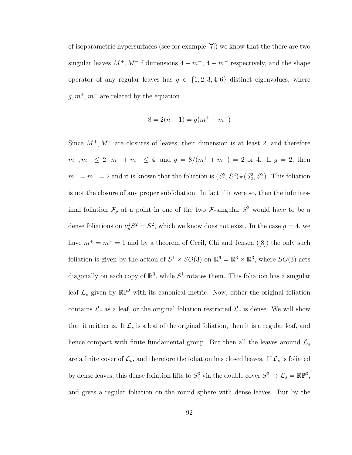of isoparametric hypersurfaces (see for example [7]) we know that the there are two singular leaves  $M^+, M^-$  f dimensions  $4 - m^+, 4 - m^-$  respectively, and the shape operator of any regular leaves has  $g \in \{1, 2, 3, 4, 6\}$  distinct eigenvalues, where  $g, m^+, m^-$  are related by the equation

$$
8 = 2(n - 1) = g(m^+ + m^-)
$$

Since  $M^+, M^-$  are closures of leaves, their dimension is at least 2, and therefore  $m^+, m^- \leq 2, m^+ + m^- \leq 4$ , and  $g = 8/(m^+ + m^-) = 2$  or 4. If  $g = 2$ , then  $m^+ = m^- = 2$  and it is known that the foliation is  $(S_1^2, S^2) \star (S_2^2, S^2)$ . This foliation is not the closure of any proper subfoliation. In fact if it were so, then the infinitesimal foliation  $\mathcal{F}_p$  at a point in one of the two  $\overline{\mathcal{F}}$ -singular  $S^2$  would have to be a dense foliations on  $\nu_p^1 S^2 = S^2$ , which we know does not exist. In the case  $g = 4$ , we have  $m^+ = m^- = 1$  and by a theorem of Cecil, Chi and Jensen ([8]) the only such foliation is given by the action of  $S^1 \times SO(3)$  on  $\mathbb{R}^6 = \mathbb{R}^3 \times \mathbb{R}^3$ , where  $SO(3)$  acts diagonally on each copy of  $\mathbb{R}^3$ , while  $S^1$  rotates them. This foliation has a singular leaf  $\mathcal{L}_s$  given by  $\mathbb{RP}^2$  with its canonical metric. Now, either the original foliation contains  $\mathcal{L}_s$  as a leaf, or the original foliation restricted  $\mathcal{L}_s$  is dense. We will show that it neither is. If  $\mathcal{L}_s$  is a leaf of the original foliation, then it is a regular leaf, and hence compact with finite fundamental group. But then all the leaves around  $\mathcal{L}_s$ are a finite cover of  $\mathcal{L}_s$ , and therefore the foliation has closed leaves. If  $\mathcal{L}_s$  is foliated by dense leaves, this dense foliation lifts to  $S^3$  via the double cover  $S^3 \to \mathcal{L}_s = \mathbb{RP}^3$ , and gives a regular foliation on the round sphere with dense leaves. But by the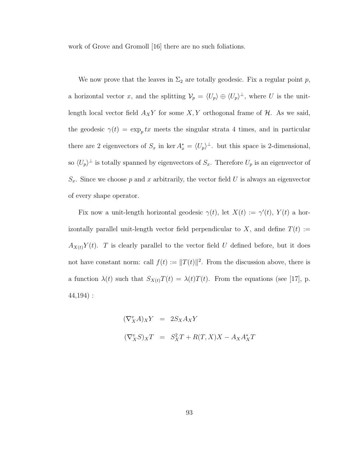work of Grove and Gromoll [16] there are no such foliations.

We now prove that the leaves in  $\Sigma_2$  are totally geodesic. Fix a regular point p, a horizontal vector x, and the splitting  $\mathcal{V}_p = \langle U_p \rangle \oplus \langle U_p \rangle^{\perp}$ , where U is the unitlength local vector field  $A_X Y$  for some  $X, Y$  orthogonal frame of  $H$ . As we said, the geodesic  $\gamma(t) = \exp_p tx$  meets the singular strata 4 times, and in particular there are 2 eigenvectors of  $S_x$  in ker  $A_x^* = \langle U_p \rangle^{\perp}$ . but this space is 2-dimensional, so  $\langle U_p \rangle^{\perp}$  is totally spanned by eigenvectors of  $S_x$ . Therefore  $U_p$  is an eigenvector of  $S_x$ . Since we choose p and x arbitrarily, the vector field U is always an eigenvector of every shape operator.

Fix now a unit-length horizontal geodesic  $\gamma(t)$ , let  $X(t) := \gamma'(t)$ ,  $Y(t)$  a horizontally parallel unit-length vector field perpendicular to X, and define  $T(t) :=$  $A_{X(t)}Y(t)$ . T is clearly parallel to the vector field U defined before, but it does not have constant norm: call  $f(t) := ||T(t)||^2$ . From the discussion above, there is a function  $\lambda(t)$  such that  $S_{X(t)}T(t) = \lambda(t)T(t)$ . From the equations (see [17], p. 44,194) :

$$
\begin{aligned} (\nabla_X^v A)_X Y &= 2S_X A_X Y \\ (\nabla_X^v S)_X T &= S_X^2 T + R(T, X)X - A_X A_X^* T \end{aligned}
$$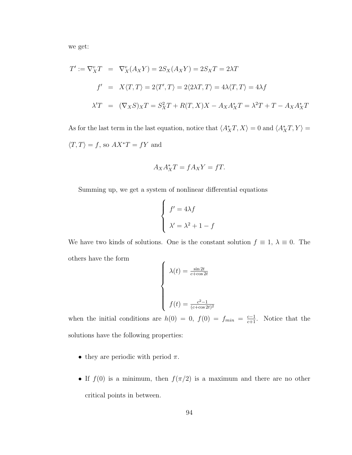we get:

$$
T' := \nabla_X^v T = \nabla_X^v (A_X Y) = 2S_X (A_X Y) = 2S_X T = 2\lambda T
$$
  
\n
$$
f' = X \langle T, T \rangle = 2 \langle T', T \rangle = 2 \langle 2\lambda T, T \rangle = 4\lambda \langle T, T \rangle = 4\lambda f
$$
  
\n
$$
\lambda' T = (\nabla_X S)_X T = S_X^2 T + R(T, X)X - A_X A_X^* T = \lambda^2 T + T - A_X A_X^* T
$$

As for the last term in the last equation, notice that  $\langle A_X^*T, X \rangle = 0$  and  $\langle A_X^*T, Y \rangle =$  $\langle T, T \rangle = f$ , so  $AX^*T = fY$  and

$$
A_X A_X^* T = f A_X Y = f T.
$$

Summing up, we get a system of nonlinear differential equations

$$
\begin{cases}\nf' = 4\lambda f \\
\lambda' = \lambda^2 + 1 - f\n\end{cases}
$$

We have two kinds of solutions. One is the constant solution  $f \equiv 1, \lambda \equiv 0$ . The others have the form

$$
\begin{cases}\n\lambda(t) = \frac{\sin 2t}{c + \cos 2t} \\
f(t) = \frac{c^2 - 1}{(c + \cos 2t)^2}\n\end{cases}
$$

when the initial conditions are  $h(0) = 0$ ,  $f(0) = f_{min} = \frac{c-1}{c+1}$ . Notice that the solutions have the following properties:

- they are periodic with period  $\pi$ .
- If  $f(0)$  is a minimum, then  $f(\pi/2)$  is a maximum and there are no other critical points in between.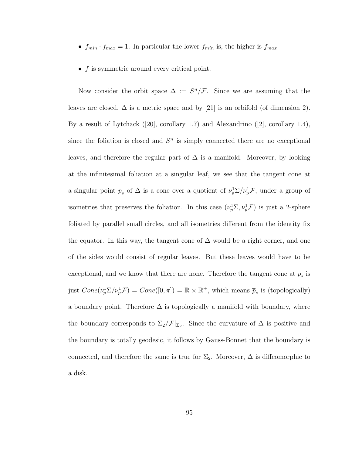- $f_{min} \cdot f_{max} = 1$ . In particular the lower  $f_{min}$  is, the higher is  $f_{max}$
- $\bullet$   $\ f$  is symmetric around every critical point.

Now consider the orbit space  $\Delta := S^n / \mathcal{F}$ . Since we are assuming that the leaves are closed,  $\Delta$  is a metric space and by [21] is an orbifold (of dimension 2). By a result of Lytchack ([20], corollary 1.7) and Alexandrino ([2], corollary 1.4), since the foliation is closed and  $S<sup>n</sup>$  is simply connected there are no exceptional leaves, and therefore the regular part of  $\Delta$  is a manifold. Moreover, by looking at the infinitesimal foliation at a singular leaf, we see that the tangent cone at a singular point  $\bar{p}_s$  of  $\Delta$  is a cone over a quotient of  $\nu_p^1 \Sigma / \nu_p^1 \mathcal{F}$ , under a group of isometries that preserves the foliation. In this case  $(\nu_p^1 \Sigma, \nu_p^1 \mathcal{F})$  is just a 2-sphere foliated by parallel small circles, and all isometries different from the identity fix the equator. In this way, the tangent cone of  $\Delta$  would be a right corner, and one of the sides would consist of regular leaves. But these leaves would have to be exceptional, and we know that there are none. Therefore the tangent cone at  $\bar{p}_s$  is just  $Cone(\nu_p^1\Sigma/\nu_p^1\mathcal{F})=Cone([0,\pi])=\mathbb{R}\times\mathbb{R}^+$ , which means  $\overline{p}_s$  is (topologically) a boundary point. Therefore  $\Delta$  is topologically a manifold with boundary, where the boundary corresponds to  $\Sigma_2/\mathcal{F}|_{\Sigma_2}$ . Since the curvature of  $\Delta$  is positive and the boundary is totally geodesic, it follows by Gauss-Bonnet that the boundary is connected, and therefore the same is true for  $\Sigma_2$ . Moreover,  $\Delta$  is diffeomorphic to a disk.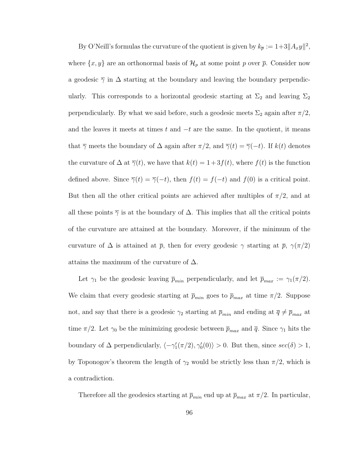By O'Neill's formulas the curvature of the quotient is given by  $k_{\overline{p}} := 1+3||A_xy||^2$ , where  $\{x, y\}$  are an orthonormal basis of  $\mathcal{H}_p$  at some point p over  $\bar{p}$ . Consider now a geodesic  $\overline{\gamma}$  in  $\Delta$  starting at the boundary and leaving the boundary perpendicularly. This corresponds to a horizontal geodesic starting at  $\Sigma_2$  and leaving  $\Sigma_2$ perpendicularly. By what we said before, such a geodesic meets  $\Sigma_2$  again after  $\pi/2$ , and the leaves it meets at times t and  $-t$  are the same. In the quotient, it means that  $\overline{\gamma}$  meets the boundary of  $\Delta$  again after  $\pi/2$ , and  $\overline{\gamma}(t) = \overline{\gamma}(-t)$ . If  $k(t)$  denotes the curvature of  $\Delta$  at  $\overline{\gamma}(t)$ , we have that  $k(t) = 1+3f(t)$ , where  $f(t)$  is the function defined above. Since  $\overline{\gamma}(t) = \overline{\gamma}(-t)$ , then  $f(t) = f(-t)$  and  $f(0)$  is a critical point. But then all the other critical points are achieved after multiples of  $\pi/2$ , and at all these points  $\overline{\gamma}$  is at the boundary of  $\Delta$ . This implies that all the critical points of the curvature are attained at the boundary. Moreover, if the minimum of the curvature of  $\Delta$  is attained at  $\bar{p}$ , then for every geodesic  $\gamma$  starting at  $\bar{p}$ ,  $\gamma(\pi/2)$ attains the maximum of the curvature of  $\Delta$ .

Let  $\gamma_1$  be the geodesic leaving  $\bar{p}_{min}$  perpendicularly, and let  $\bar{p}_{max} := \gamma_1(\pi/2)$ . We claim that every geodesic starting at  $\bar{p}_{min}$  goes to  $\bar{p}_{max}$  at time  $\pi/2$ . Suppose not, and say that there is a geodesic  $\gamma_2$  starting at  $\overline{p}_{min}$  and ending at  $\overline{q} \neq \overline{p}_{max}$  at time  $\pi/2$ . Let  $\gamma_0$  be the minimizing geodesic between  $\overline{p}_{max}$  and  $\overline{q}$ . Since  $\gamma_1$  hits the boundary of  $\Delta$  perpendicularly,  $\langle -\gamma'_1(\pi/2), \gamma'_0(0) \rangle > 0$ . But then, since  $sec(\delta) > 1$ , by Toponogov's theorem the length of  $\gamma_2$  would be strictly less than  $\pi/2$ , which is a contradiction.

Therefore all the geodesics starting at  $\bar{p}_{min}$  end up at  $\bar{p}_{max}$  at  $\pi/2$ . In particular,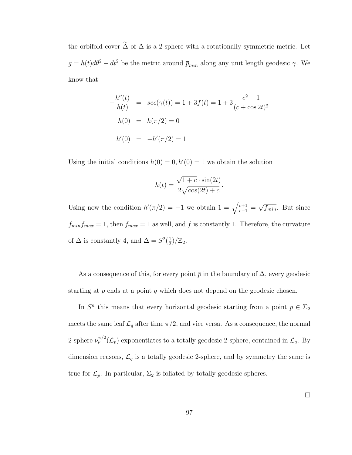the orbifold cover  $\tilde{\Delta}$  of  $\Delta$  is a 2-sphere with a rotationally symmetric metric. Let  $g = h(t)d\theta^2 + dt^2$  be the metric around  $\bar{p}_{min}$  along any unit length geodesic  $\gamma$ . We know that

$$
-\frac{h''(t)}{h(t)} = \sec(\gamma(t)) = 1 + 3f(t) = 1 + 3\frac{c^2 - 1}{(c + \cos 2t)^2}
$$
  
 
$$
h(0) = h(\pi/2) = 0
$$
  
 
$$
h'(0) = -h'(\pi/2) = 1
$$

Using the initial conditions  $h(0) = 0, h'(0) = 1$  we obtain the solution

$$
h(t) = \frac{\sqrt{1+c} \cdot \sin(2t)}{2\sqrt{\cos(2t) + c}}.
$$

Using now the condition  $h'(\pi/2) = -1$  we obtain  $1 = \sqrt{\frac{c+1}{c-1}} =$ √  $\overline{f_{min}}$ . But since  $f_{min}f_{max} = 1$ , then  $f_{max} = 1$  as well, and f is constantly 1. Therefore, the curvature of  $\Delta$  is constantly 4, and  $\Delta = S^2(\frac{1}{2})$  $\frac{1}{2})/\mathbb{Z}_2.$ 

As a consequence of this, for every point  $\bar{p}$  in the boundary of  $\Delta$ , every geodesic starting at  $\bar{p}$  ends at a point  $\bar{q}$  which does not depend on the geodesic chosen.

In  $S<sup>n</sup>$  this means that every horizontal geodesic starting from a point  $p \in \Sigma_2$ meets the same leaf  $\mathcal{L}_q$  after time  $\pi/2$ , and vice versa. As a consequence, the normal 2-sphere  $\nu_p^{\pi/2}(\mathcal{L}_p)$  exponentiates to a totally geodesic 2-sphere, contained in  $\mathcal{L}_q$ . By dimension reasons,  $\mathcal{L}_q$  is a totally geodesic 2-sphere, and by symmetry the same is true for  $\mathcal{L}_p$ . In particular,  $\Sigma_2$  is foliated by totally geodesic spheres.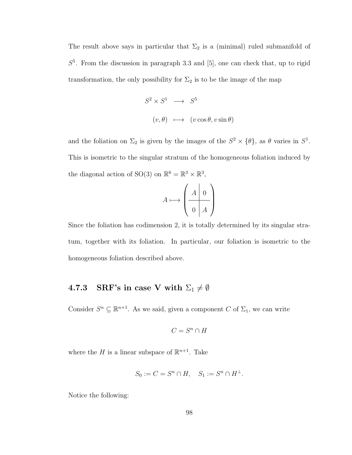The result above says in particular that  $\Sigma_2$  is a (minimal) ruled submanifold of  $S<sup>5</sup>$ . From the discussion in paragraph 3.3 and [5], one can check that, up to rigid transformation, the only possibility for  $\Sigma_2$  is to be the image of the map

$$
S^2 \times S^1 \longrightarrow S^5
$$
  

$$
(v, \theta) \longmapsto (v \cos \theta, v \sin \theta)
$$

and the foliation on  $\Sigma_2$  is given by the images of the  $S^2 \times {\theta}$ , as  $\theta$  varies in  $S^1$ . This is isometric to the singular stratum of the homogeneous foliation induced by the diagonal action of SO(3) on  $\mathbb{R}^6 = \mathbb{R}^3 \times \mathbb{R}^3$ ,

$$
A \longmapsto \left(\begin{array}{c|c} A & 0 \\ \hline 0 & A \end{array}\right)
$$

Since the foliation has codimension 2, it is totally determined by its singular stratum, together with its foliation. In particular, our foliation is isometric to the homogeneous foliation described above.

# 4.7.3 SRF's in case V with  $\Sigma_1 \neq \emptyset$

Consider  $S^n \subseteq \mathbb{R}^{n+1}$ . As we said, given a component C of  $\Sigma_1$ , we can write

$$
C=S^n\cap H
$$

where the H is a linear subspace of  $\mathbb{R}^{n+1}$ . Take

$$
S_0 := C = S^n \cap H, \quad S_1 := S^n \cap H^{\perp}.
$$

Notice the following: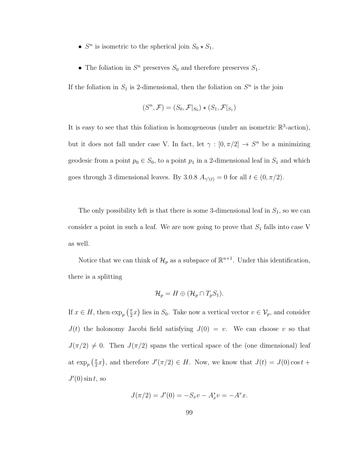- $S<sup>n</sup>$  is isometric to the spherical join  $S_0 \star S_1$ .
- The foliation in  $S<sup>n</sup>$  preserves  $S<sub>0</sub>$  and therefore preserves  $S<sub>1</sub>$ .

If the foliation in  $S_1$  is 2-dimensional, then the foliation on  $S<sup>n</sup>$  is the join

$$
(S^n, \mathcal{F}) = (S_0, \mathcal{F}|_{S_0}) \star (S_1, \mathcal{F}|_{S_1})
$$

It is easy to see that this foliation is homogeneous (under an isometric  $\mathbb{R}^3$ -action), but it does not fall under case V. In fact, let  $\gamma : [0, \pi/2] \to S^n$  be a minimizing geodesic from a point  $p_0 \in S_0$ , to a point  $p_1$  in a 2-dimensional leaf in  $S_1$  and which goes through 3 dimensional leaves. By 3.0.8  $A_{\gamma'(t)} = 0$  for all  $t \in (0, \pi/2)$ .

The only possibility left is that there is some 3-dimensional leaf in  $S_1$ , so we can consider a point in such a leaf. We are now going to prove that  $S_1$  falls into case V as well.

Notice that we can think of  $\mathcal{H}_p$  as a subspace of  $\mathbb{R}^{n+1}$ . Under this identification, there is a splitting

$$
\mathcal{H}_p = H \oplus (\mathcal{H}_p \cap T_p S_1).
$$

If  $x \in H$ , then  $\exp_p\left(\frac{\pi}{2}\right)$  $(\frac{\pi}{2}x)$  lies in  $S_0$ . Take now a vertical vector  $v \in V_p$ , and consider  $J(t)$  the holonomy Jacobi field satisfying  $J(0) = v$ . We can choose v so that  $J(\pi/2) \neq 0$ . Then  $J(\pi/2)$  spans the vertical space of the (one dimensional) leaf at  $\exp_p\left(\frac{\pi}{2}\right)$  $(\frac{\pi}{2}x)$ , and therefore  $J'(\pi/2) \in H$ . Now, we know that  $J(t) = J(0) \cos t +$  $J'(0)$  sin t, so

$$
J(\pi/2) = J'(0) = -S_x v - A_x^* v = -A^v x.
$$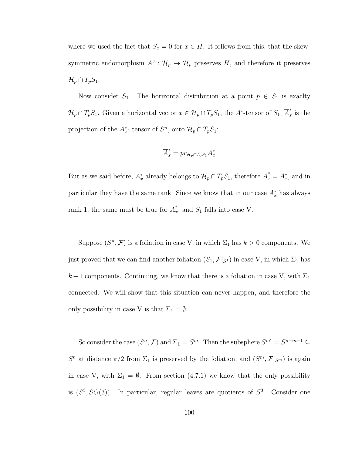where we used the fact that  $S_x = 0$  for  $x \in H$ . It follows from this, that the skewsymmetric endomorphism  $A^v: \mathcal{H}_p \to \mathcal{H}_p$  preserves H, and therefore it preserves  $\mathcal{H}_p \cap T_pS_1.$ 

Now consider  $S_1$ . The horizontal distribution at a point  $p \in S_1$  is exaclty  $\mathcal{H}_p \cap T_pS_1$ . Given a horizontal vector  $x \in \mathcal{H}_p \cap T_pS_1$ , the A<sup>\*</sup>-tensor of  $S_1$ ,  $\overline{A}_x^*$  $\int_x^{\pi}$  is the projection of the  $A_x^*$ - tensor of  $S^n$ , onto  $\mathcal{H}_p \cap T_p S_1$ :

$$
\overline{A}_x^* = pr_{\mathcal{H}_p \cap T_p S_1} A_x^*
$$

But as we said before,  $A_x^*$  already belongs to  $\mathcal{H}_p \cap T_pS_1$ , therefore  $\overline{A}_x^* = A_x^*$ , and in particular they have the same rank. Since we know that in our case  $A_x^*$  has always rank 1, the same must be true for  $\overline{A}_x^*$  $\int_x^{\infty}$ , and  $S_1$  falls into case V.

Suppose  $(S^n, \mathcal{F})$  is a foliation in case V, in which  $\Sigma_1$  has  $k > 0$  components. We just proved that we can find another foliation  $(S_1, \mathcal{F}|_{S^1})$  in case V, in which  $\Sigma_1$  has  $k-1$  components. Continuing, we know that there is a foliation in case V, with  $\Sigma_1$ connected. We will show that this situation can never happen, and therefore the only possibility in case V is that  $\Sigma_1 = \emptyset$ .

So consider the case  $(S^n, \mathcal{F})$  and  $\Sigma_1 = S^m$ . Then the subsphere  $S^{m'} = S^{n-m-1} \subseteq$  $S^n$  at distance  $\pi/2$  from  $\Sigma_1$  is preserved by the foliation, and  $(S^m, \mathcal{F}|_{S^m})$  is again in case V, with  $\Sigma_1 = \emptyset$ . From section (4.7.1) we know that the only possibility is  $(S^5, SO(3))$ . In particular, regular leaves are quotients of  $S^3$ . Consider one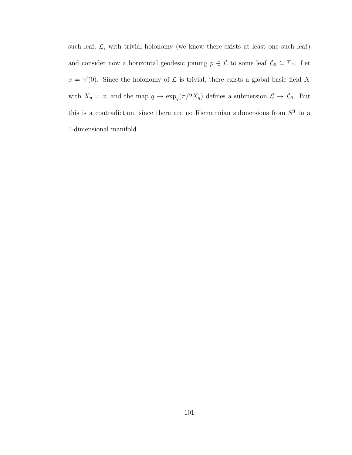such leaf,  $\mathcal{L}$ , with trivial holonomy (we know there exists at least one such leaf) and consider now a horizontal geodesic joining  $p \in \mathcal{L}$  to some leaf  $\mathcal{L}_0 \subseteq \Sigma_1$ . Let  $x = \gamma'(0)$ . Since the holonomy of  $\mathcal L$  is trivial, there exists a global basic field X with  $X_p = x$ , and the map  $q \to \exp_q(\pi/2X_q)$  defines a submersion  $\mathcal{L} \to \mathcal{L}_0$ . But this is a contradiction, since there are no Riemannian submersions from  $S<sup>3</sup>$  to a 1-dimensional manifold.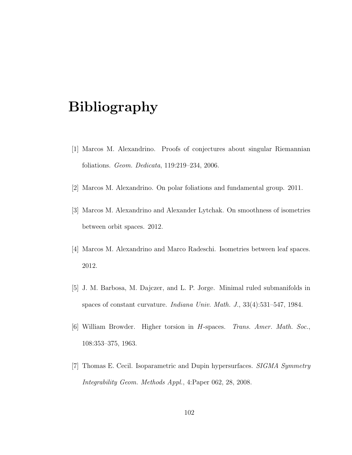## Bibliography

- [1] Marcos M. Alexandrino. Proofs of conjectures about singular Riemannian foliations. Geom. Dedicata, 119:219–234, 2006.
- [2] Marcos M. Alexandrino. On polar foliations and fundamental group. 2011.
- [3] Marcos M. Alexandrino and Alexander Lytchak. On smoothness of isometries between orbit spaces. 2012.
- [4] Marcos M. Alexandrino and Marco Radeschi. Isometries between leaf spaces. 2012.
- [5] J. M. Barbosa, M. Dajczer, and L. P. Jorge. Minimal ruled submanifolds in spaces of constant curvature. Indiana Univ. Math. J., 33(4):531–547, 1984.
- [6] William Browder. Higher torsion in H-spaces. Trans. Amer. Math. Soc., 108:353–375, 1963.
- [7] Thomas E. Cecil. Isoparametric and Dupin hypersurfaces. SIGMA Symmetry Integrability Geom. Methods Appl., 4:Paper 062, 28, 2008.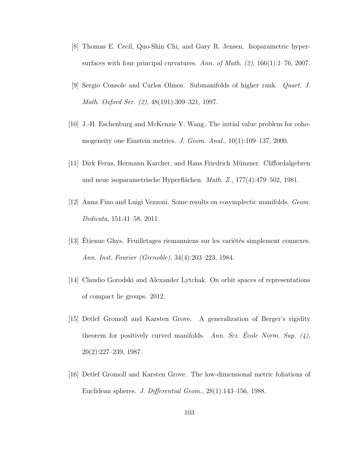- [8] Thomas E. Cecil, Quo-Shin Chi, and Gary R. Jensen. Isoparametric hypersurfaces with four principal curvatures. Ann. of Math.  $(2)$ , 166 $(1)$ :1–76, 2007.
- [9] Sergio Console and Carlos Olmos. Submanifolds of higher rank. Quart. J. Math. Oxford Ser. (2), 48(191):309–321, 1997.
- [10] J.-H. Eschenburg and McKenzie Y. Wang. The initial value problem for cohomogeneity one Einstein metrics. J. Geom. Anal., 10(1):109–137, 2000.
- [11] Dirk Ferus, Hermann Karcher, and Hans Friedrich M¨unzner. Cliffordalgebren und neue isoparametrische Hyperflächen. Math. Z., 177(4):479–502, 1981.
- [12] Anna Fino and Luigi Vezzoni. Some results on cosymplectic manifolds. Geom. Dedicata, 151:41–58, 2011.
- [13] Etienne Ghys. Feuilletages riemanniens sur les variétés simplement connexes. Ann. Inst. Fourier (Grenoble), 34(4):203–223, 1984.
- [14] Claudio Gorodski and Alexander Lytchak. On orbit spaces of representations of compact lie groups. 2012.
- [15] Detlef Gromoll and Karsten Grove. A generalization of Berger's rigidity theorem for positively curved manifolds. Ann. Sci. Ecole Norm. Sup.  $(4)$ , 20(2):227–239, 1987.
- [16] Detlef Gromoll and Karsten Grove. The low-dimensional metric foliations of Euclidean spheres. J. Differential Geom., 28(1):143–156, 1988.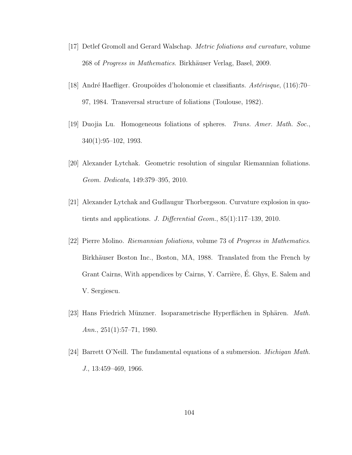- [17] Detlef Gromoll and Gerard Walschap. Metric foliations and curvature, volume 268 of Progress in Mathematics. Birkhäuser Verlag, Basel, 2009.
- [18] André Haefliger. Groupoïdes d'holonomie et classifiants.  $Ast\acute{e}risque$ , (116):70– 97, 1984. Transversal structure of foliations (Toulouse, 1982).
- [19] Duojia Lu. Homogeneous foliations of spheres. Trans. Amer. Math. Soc., 340(1):95–102, 1993.
- [20] Alexander Lytchak. Geometric resolution of singular Riemannian foliations. Geom. Dedicata, 149:379–395, 2010.
- [21] Alexander Lytchak and Gudlaugur Thorbergsson. Curvature explosion in quotients and applications. J. Differential Geom., 85(1):117–139, 2010.
- [22] Pierre Molino. Riemannian foliations, volume 73 of Progress in Mathematics. Birkhäuser Boston Inc., Boston, MA, 1988. Translated from the French by Grant Cairns, With appendices by Cairns, Y. Carrière, É. Ghys, E. Salem and V. Sergiescu.
- [23] Hans Friedrich Münzner. Isoparametrische Hyperflächen in Sphären. Math. Ann.,  $251(1):57-71$ , 1980.
- [24] Barrett O'Neill. The fundamental equations of a submersion. Michigan Math. J., 13:459–469, 1966.